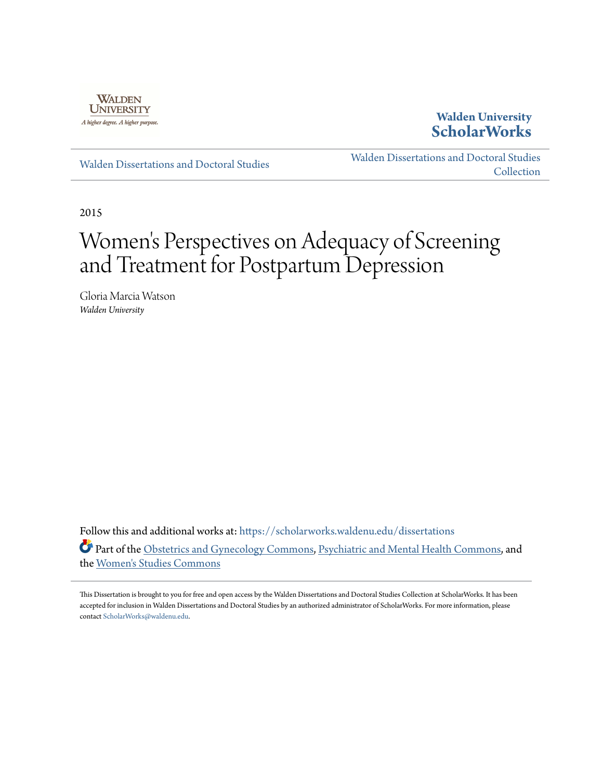

## **Walden University [ScholarWorks](https://scholarworks.waldenu.edu?utm_source=scholarworks.waldenu.edu%2Fdissertations%2F1593&utm_medium=PDF&utm_campaign=PDFCoverPages)**

[Walden Dissertations and Doctoral Studies](https://scholarworks.waldenu.edu/dissertations?utm_source=scholarworks.waldenu.edu%2Fdissertations%2F1593&utm_medium=PDF&utm_campaign=PDFCoverPages)

[Walden Dissertations and Doctoral Studies](https://scholarworks.waldenu.edu/dissanddoc?utm_source=scholarworks.waldenu.edu%2Fdissertations%2F1593&utm_medium=PDF&utm_campaign=PDFCoverPages) **[Collection](https://scholarworks.waldenu.edu/dissanddoc?utm_source=scholarworks.waldenu.edu%2Fdissertations%2F1593&utm_medium=PDF&utm_campaign=PDFCoverPages)** 

2015

# Women 's Perspectives on Adequacy of Screening and Treatment for Postpartum Depression

Gloria Marcia Watson *Walden University*

Follow this and additional works at: [https://scholarworks.waldenu.edu/dissertations](https://scholarworks.waldenu.edu/dissertations?utm_source=scholarworks.waldenu.edu%2Fdissertations%2F1593&utm_medium=PDF&utm_campaign=PDFCoverPages) Part of the [Obstetrics and Gynecology Commons,](http://network.bepress.com/hgg/discipline/693?utm_source=scholarworks.waldenu.edu%2Fdissertations%2F1593&utm_medium=PDF&utm_campaign=PDFCoverPages) [Psychiatric and Mental Health Commons,](http://network.bepress.com/hgg/discipline/711?utm_source=scholarworks.waldenu.edu%2Fdissertations%2F1593&utm_medium=PDF&utm_campaign=PDFCoverPages) and the [Women's Studies Commons](http://network.bepress.com/hgg/discipline/561?utm_source=scholarworks.waldenu.edu%2Fdissertations%2F1593&utm_medium=PDF&utm_campaign=PDFCoverPages)

This Dissertation is brought to you for free and open access by the Walden Dissertations and Doctoral Studies Collection at ScholarWorks. It has been accepted for inclusion in Walden Dissertations and Doctoral Studies by an authorized administrator of ScholarWorks. For more information, please contact [ScholarWorks@waldenu.edu](mailto:ScholarWorks@waldenu.edu).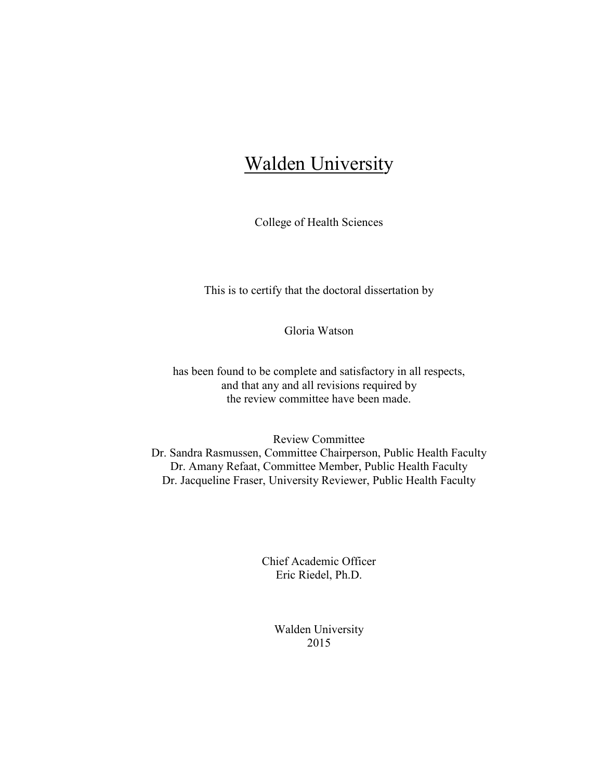## **Walden University**

College of Health Sciences

This is to certify that the doctoral dissertation by

Gloria Watson

has been found to be complete and satisfactory in all respects, and that any and all revisions required by the review committee have been made.

Review Committee Dr. Sandra Rasmussen, Committee Chairperson, Public Health Faculty Dr. Amany Refaat, Committee Member, Public Health Faculty Dr. Jacqueline Fraser, University Reviewer, Public Health Faculty

> Chief Academic Officer Eric Riedel, Ph.D.

> > Walden University 2015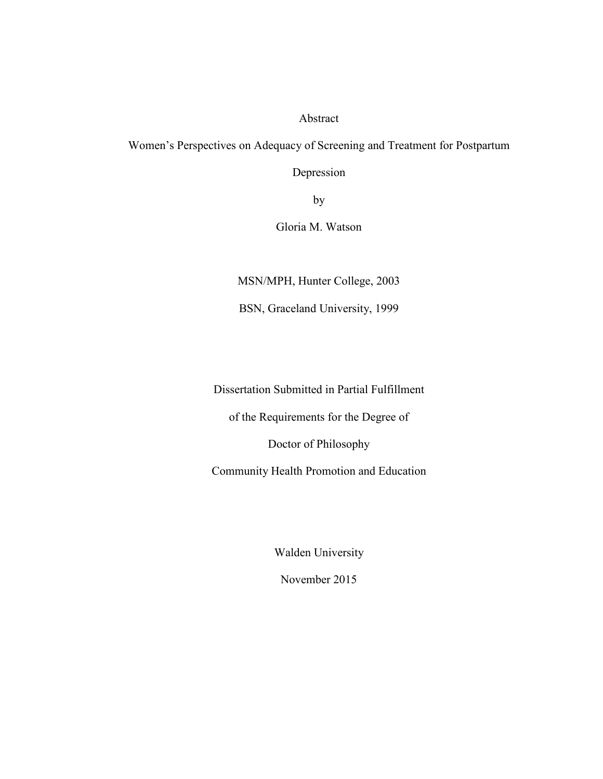#### Abstract

Women's Perspectives on Adequacy of Screening and Treatment for Postpartum

Depression

by

Gloria M. Watson

MSN/MPH, Hunter College, 2003

BSN, Graceland University, 1999

Dissertation Submitted in Partial Fulfillment

of the Requirements for the Degree of

Doctor of Philosophy

Community Health Promotion and Education

Walden University

November 2015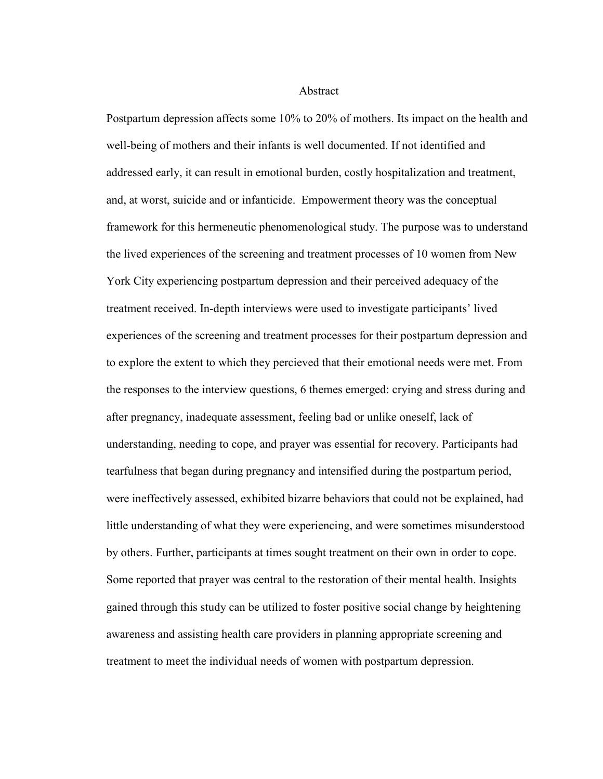Abstract

Postpartum depression affects some 10% to 20% of mothers. Its impact on the health and well-being of mothers and their infants is well documented. If not identified and addressed early, it can result in emotional burden, costly hospitalization and treatment, and, at worst, suicide and or infanticide. Empowerment theory was the conceptual framework for this hermeneutic phenomenological study. The purpose was to understand the lived experiences of the screening and treatment processes of 10 women from New York City experiencing postpartum depression and their perceived adequacy of the treatment received. In-depth interviews were used to investigate participants' lived experiences of the screening and treatment processes for their postpartum depression and to explore the extent to which they percieved that their emotional needs were met. From the responses to the interview questions, 6 themes emerged: crying and stress during and after pregnancy, inadequate assessment, feeling bad or unlike oneself, lack of understanding, needing to cope, and prayer was essential for recovery. Participants had tearfulness that began during pregnancy and intensified during the postpartum period, were ineffectively assessed, exhibited bizarre behaviors that could not be explained, had little understanding of what they were experiencing, and were sometimes misunderstood by others. Further, participants at times sought treatment on their own in order to cope. Some reported that prayer was central to the restoration of their mental health. Insights gained through this study can be utilized to foster positive social change by heightening awareness and assisting health care providers in planning appropriate screening and treatment to meet the individual needs of women with postpartum depression.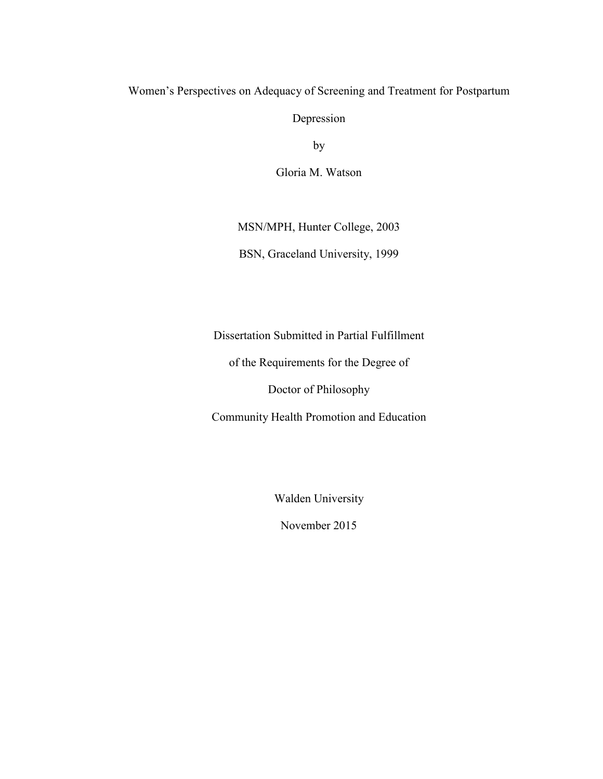### Women's Perspectives on Adequacy of Screening and Treatment for Postpartum

Depression

by

Gloria M. Watson

MSN/MPH, Hunter College, 2003

BSN, Graceland University, 1999

Dissertation Submitted in Partial Fulfillment

of the Requirements for the Degree of

Doctor of Philosophy

Community Health Promotion and Education

Walden University

November 2015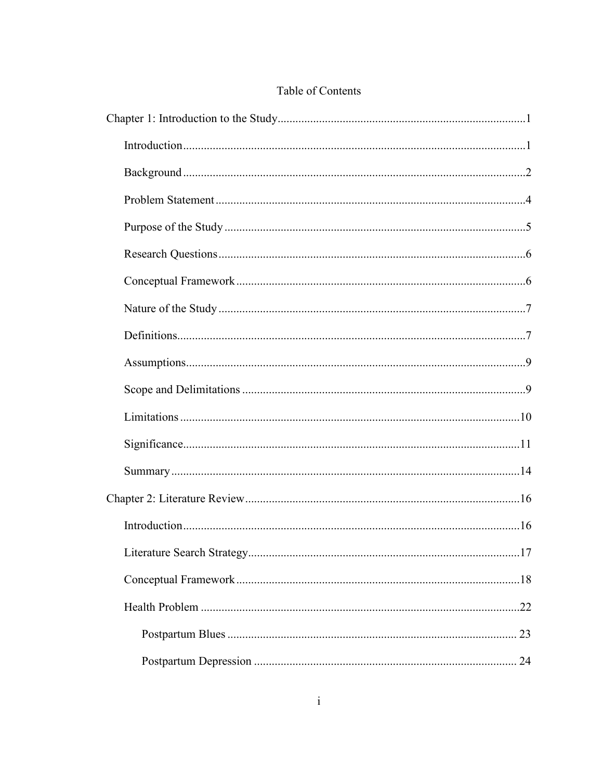## Table of Contents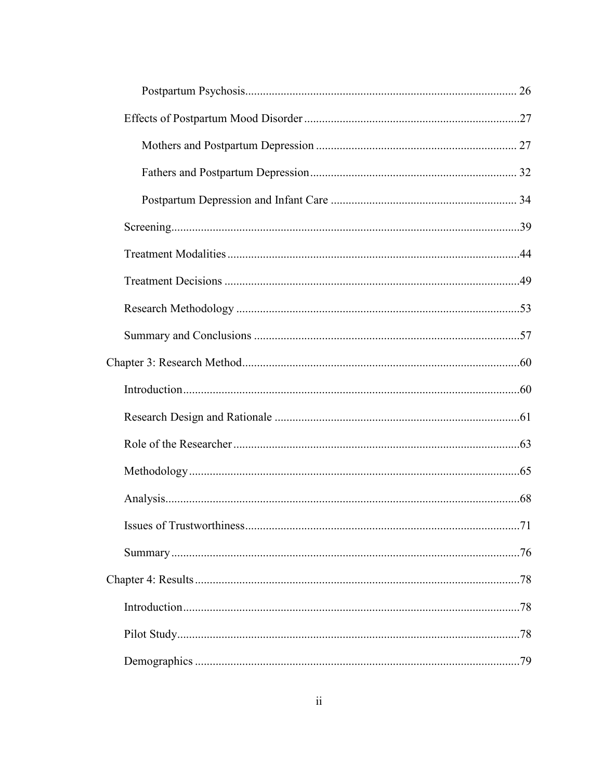| .71 |
|-----|
|     |
|     |
|     |
|     |
|     |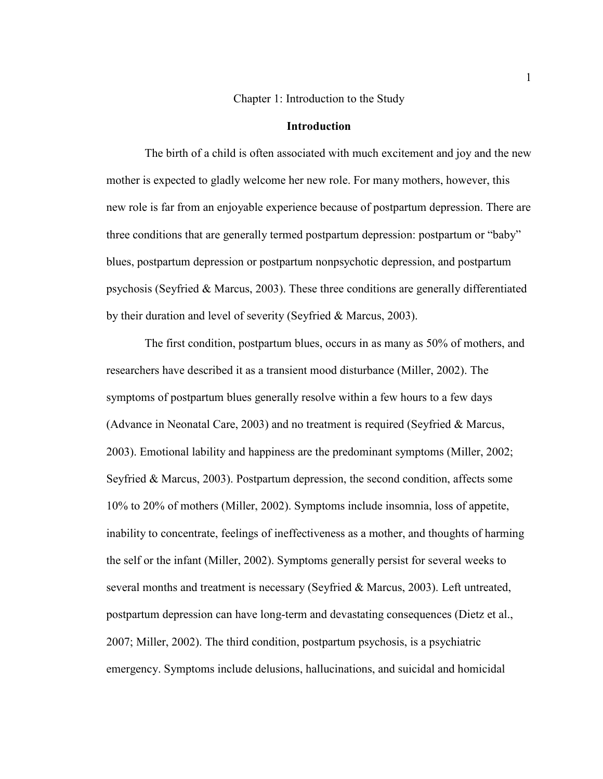Chapter 1: Introduction to the Study

#### **Introduction**

 The birth of a child is often associated with much excitement and joy and the new mother is expected to gladly welcome her new role. For many mothers, however, this new role is far from an enjoyable experience because of postpartum depression. There are three conditions that are generally termed postpartum depression: postpartum or "baby" blues, postpartum depression or postpartum nonpsychotic depression, and postpartum psychosis (Seyfried & Marcus, 2003). These three conditions are generally differentiated by their duration and level of severity (Seyfried & Marcus, 2003).

 The first condition, postpartum blues, occurs in as many as 50% of mothers, and researchers have described it as a transient mood disturbance (Miller, 2002). The symptoms of postpartum blues generally resolve within a few hours to a few days (Advance in Neonatal Care, 2003) and no treatment is required (Seyfried & Marcus, 2003). Emotional lability and happiness are the predominant symptoms (Miller, 2002; Seyfried & Marcus, 2003). Postpartum depression, the second condition, affects some 10% to 20% of mothers (Miller, 2002). Symptoms include insomnia, loss of appetite, inability to concentrate, feelings of ineffectiveness as a mother, and thoughts of harming the self or the infant (Miller, 2002). Symptoms generally persist for several weeks to several months and treatment is necessary (Seyfried & Marcus, 2003). Left untreated, postpartum depression can have long-term and devastating consequences (Dietz et al., 2007; Miller, 2002). The third condition, postpartum psychosis, is a psychiatric emergency. Symptoms include delusions, hallucinations, and suicidal and homicidal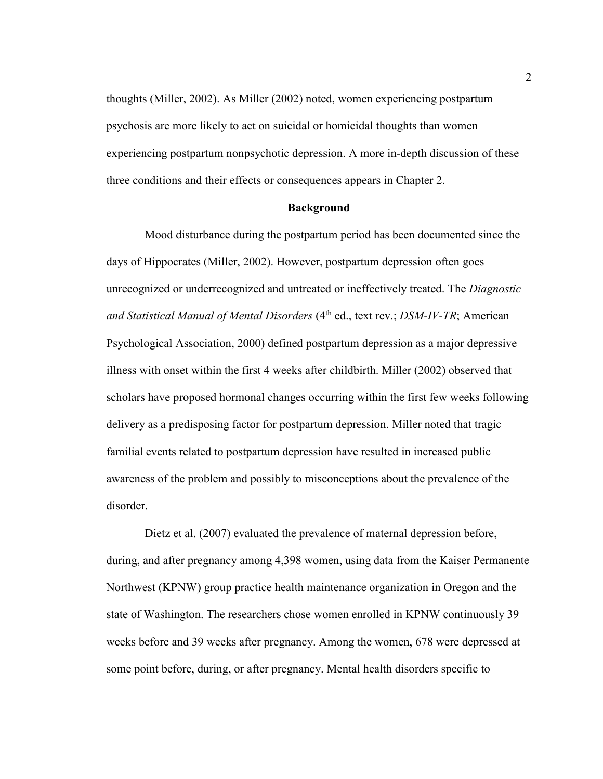thoughts (Miller, 2002). As Miller (2002) noted, women experiencing postpartum psychosis are more likely to act on suicidal or homicidal thoughts than women experiencing postpartum nonpsychotic depression. A more in-depth discussion of these three conditions and their effects or consequences appears in Chapter 2.

#### **Background**

 Mood disturbance during the postpartum period has been documented since the days of Hippocrates (Miller, 2002). However, postpartum depression often goes unrecognized or underrecognized and untreated or ineffectively treated. The *Diagnostic and Statistical Manual of Mental Disorders* (4<sup>th</sup> ed., text rev.; *DSM-IV-TR*; American Psychological Association, 2000) defined postpartum depression as a major depressive illness with onset within the first 4 weeks after childbirth. Miller (2002) observed that scholars have proposed hormonal changes occurring within the first few weeks following delivery as a predisposing factor for postpartum depression. Miller noted that tragic familial events related to postpartum depression have resulted in increased public awareness of the problem and possibly to misconceptions about the prevalence of the disorder.

 Dietz et al. (2007) evaluated the prevalence of maternal depression before, during, and after pregnancy among 4,398 women, using data from the Kaiser Permanente Northwest (KPNW) group practice health maintenance organization in Oregon and the state of Washington. The researchers chose women enrolled in KPNW continuously 39 weeks before and 39 weeks after pregnancy. Among the women, 678 were depressed at some point before, during, or after pregnancy. Mental health disorders specific to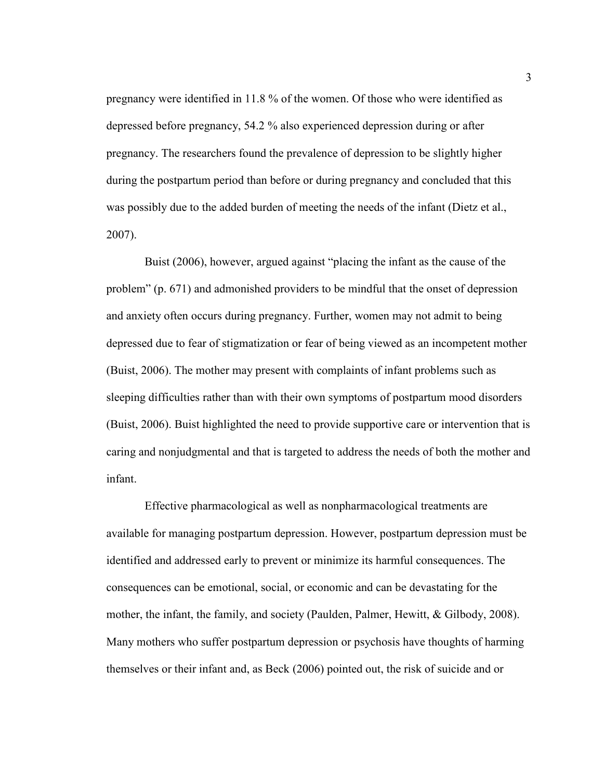pregnancy were identified in 11.8 % of the women. Of those who were identified as depressed before pregnancy, 54.2 % also experienced depression during or after pregnancy. The researchers found the prevalence of depression to be slightly higher during the postpartum period than before or during pregnancy and concluded that this was possibly due to the added burden of meeting the needs of the infant (Dietz et al., 2007).

 Buist (2006), however, argued against "placing the infant as the cause of the problem" (p. 671) and admonished providers to be mindful that the onset of depression and anxiety often occurs during pregnancy. Further, women may not admit to being depressed due to fear of stigmatization or fear of being viewed as an incompetent mother (Buist, 2006). The mother may present with complaints of infant problems such as sleeping difficulties rather than with their own symptoms of postpartum mood disorders (Buist, 2006). Buist highlighted the need to provide supportive care or intervention that is caring and nonjudgmental and that is targeted to address the needs of both the mother and infant.

 Effective pharmacological as well as nonpharmacological treatments are available for managing postpartum depression. However, postpartum depression must be identified and addressed early to prevent or minimize its harmful consequences. The consequences can be emotional, social, or economic and can be devastating for the mother, the infant, the family, and society (Paulden, Palmer, Hewitt, & Gilbody, 2008). Many mothers who suffer postpartum depression or psychosis have thoughts of harming themselves or their infant and, as Beck (2006) pointed out, the risk of suicide and or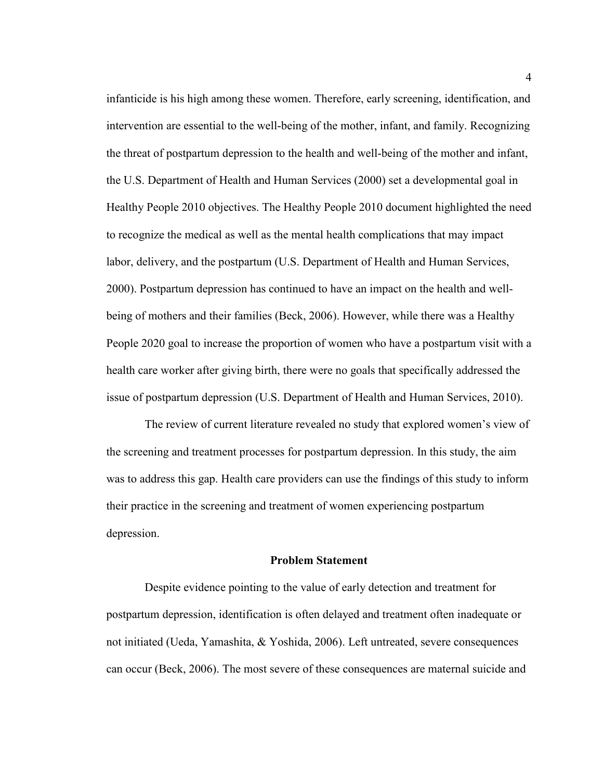infanticide is his high among these women. Therefore, early screening, identification, and intervention are essential to the well-being of the mother, infant, and family. Recognizing the threat of postpartum depression to the health and well-being of the mother and infant, the U.S. Department of Health and Human Services (2000) set a developmental goal in Healthy People 2010 objectives. The Healthy People 2010 document highlighted the need to recognize the medical as well as the mental health complications that may impact labor, delivery, and the postpartum (U.S. Department of Health and Human Services, 2000). Postpartum depression has continued to have an impact on the health and wellbeing of mothers and their families (Beck, 2006). However, while there was a Healthy People 2020 goal to increase the proportion of women who have a postpartum visit with a health care worker after giving birth, there were no goals that specifically addressed the issue of postpartum depression (U.S. Department of Health and Human Services, 2010).

 The review of current literature revealed no study that explored women's view of the screening and treatment processes for postpartum depression. In this study, the aim was to address this gap. Health care providers can use the findings of this study to inform their practice in the screening and treatment of women experiencing postpartum depression.

#### **Problem Statement**

 Despite evidence pointing to the value of early detection and treatment for postpartum depression, identification is often delayed and treatment often inadequate or not initiated (Ueda, Yamashita, & Yoshida, 2006). Left untreated, severe consequences can occur (Beck, 2006). The most severe of these consequences are maternal suicide and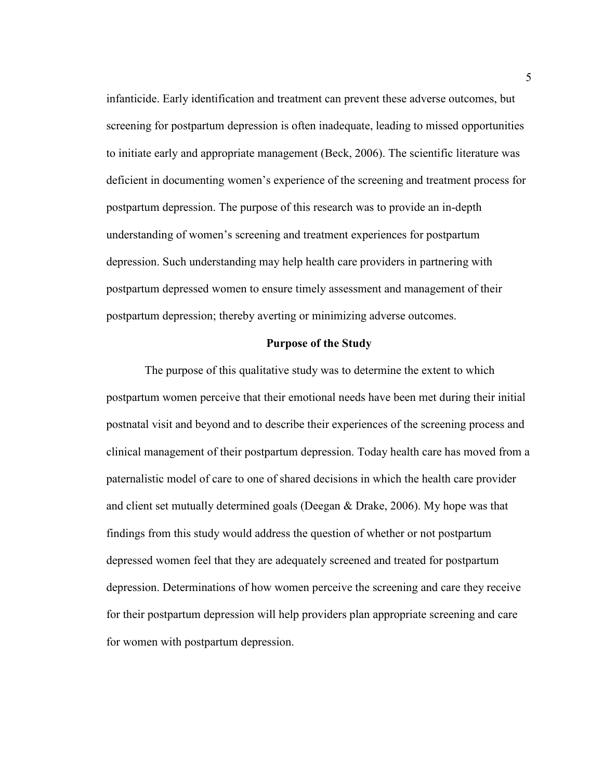infanticide. Early identification and treatment can prevent these adverse outcomes, but screening for postpartum depression is often inadequate, leading to missed opportunities to initiate early and appropriate management (Beck, 2006). The scientific literature was deficient in documenting women's experience of the screening and treatment process for postpartum depression. The purpose of this research was to provide an in-depth understanding of women's screening and treatment experiences for postpartum depression. Such understanding may help health care providers in partnering with postpartum depressed women to ensure timely assessment and management of their postpartum depression; thereby averting or minimizing adverse outcomes.

#### **Purpose of the Study**

 The purpose of this qualitative study was to determine the extent to which postpartum women perceive that their emotional needs have been met during their initial postnatal visit and beyond and to describe their experiences of the screening process and clinical management of their postpartum depression. Today health care has moved from a paternalistic model of care to one of shared decisions in which the health care provider and client set mutually determined goals (Deegan & Drake, 2006). My hope was that findings from this study would address the question of whether or not postpartum depressed women feel that they are adequately screened and treated for postpartum depression. Determinations of how women perceive the screening and care they receive for their postpartum depression will help providers plan appropriate screening and care for women with postpartum depression.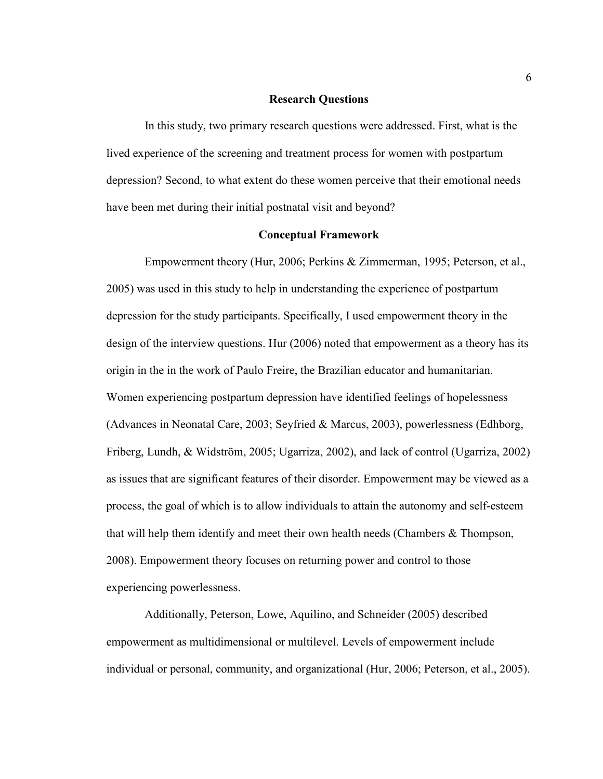#### **Research Questions**

 In this study, two primary research questions were addressed. First, what is the lived experience of the screening and treatment process for women with postpartum depression? Second, to what extent do these women perceive that their emotional needs have been met during their initial postnatal visit and beyond?

#### **Conceptual Framework**

 Empowerment theory (Hur, 2006; Perkins & Zimmerman, 1995; Peterson, et al., 2005) was used in this study to help in understanding the experience of postpartum depression for the study participants. Specifically, I used empowerment theory in the design of the interview questions. Hur (2006) noted that empowerment as a theory has its origin in the in the work of Paulo Freire, the Brazilian educator and humanitarian. Women experiencing postpartum depression have identified feelings of hopelessness (Advances in Neonatal Care, 2003; Seyfried & Marcus, 2003), powerlessness (Edhborg, Friberg, Lundh, & Widström, 2005; Ugarriza, 2002), and lack of control (Ugarriza, 2002) as issues that are significant features of their disorder. Empowerment may be viewed as a process, the goal of which is to allow individuals to attain the autonomy and self-esteem that will help them identify and meet their own health needs (Chambers & Thompson, 2008). Empowerment theory focuses on returning power and control to those experiencing powerlessness.

 Additionally, Peterson, Lowe, Aquilino, and Schneider (2005) described empowerment as multidimensional or multilevel. Levels of empowerment include individual or personal, community, and organizational (Hur, 2006; Peterson, et al., 2005).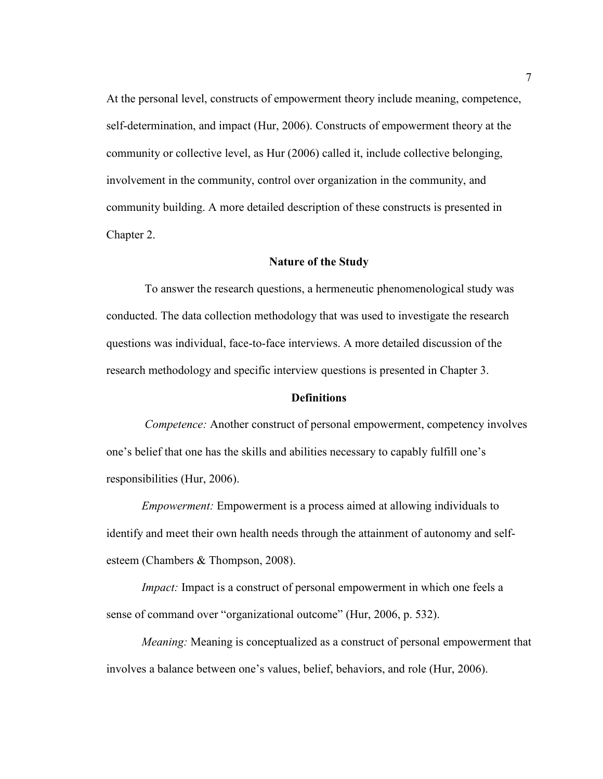At the personal level, constructs of empowerment theory include meaning, competence, self-determination, and impact (Hur, 2006). Constructs of empowerment theory at the community or collective level, as Hur (2006) called it, include collective belonging, involvement in the community, control over organization in the community, and community building. A more detailed description of these constructs is presented in Chapter 2.

#### **Nature of the Study**

 To answer the research questions, a hermeneutic phenomenological study was conducted. The data collection methodology that was used to investigate the research questions was individual, face-to-face interviews. A more detailed discussion of the research methodology and specific interview questions is presented in Chapter 3.

#### **Definitions**

 *Competence:* Another construct of personal empowerment, competency involves one's belief that one has the skills and abilities necessary to capably fulfill one's responsibilities (Hur, 2006).

*Empowerment:* Empowerment is a process aimed at allowing individuals to identify and meet their own health needs through the attainment of autonomy and selfesteem (Chambers & Thompson, 2008).

*Impact:* Impact is a construct of personal empowerment in which one feels a sense of command over "organizational outcome" (Hur, 2006, p. 532).

*Meaning:* Meaning is conceptualized as a construct of personal empowerment that involves a balance between one's values, belief, behaviors, and role (Hur, 2006).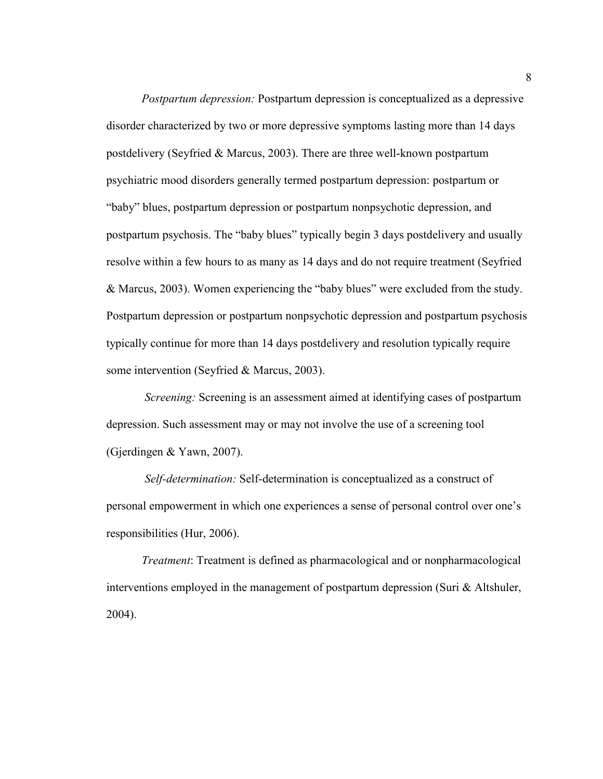*Postpartum depression:* Postpartum depression is conceptualized as a depressive disorder characterized by two or more depressive symptoms lasting more than 14 days postdelivery (Seyfried & Marcus, 2003). There are three well-known postpartum psychiatric mood disorders generally termed postpartum depression: postpartum or "baby" blues, postpartum depression or postpartum nonpsychotic depression, and postpartum psychosis. The "baby blues" typically begin 3 days postdelivery and usually resolve within a few hours to as many as 14 days and do not require treatment (Seyfried & Marcus, 2003). Women experiencing the "baby blues" were excluded from the study. Postpartum depression or postpartum nonpsychotic depression and postpartum psychosis typically continue for more than 14 days postdelivery and resolution typically require some intervention (Seyfried & Marcus, 2003).

*Screening:* Screening is an assessment aimed at identifying cases of postpartum depression. Such assessment may or may not involve the use of a screening tool (Gjerdingen & Yawn, 2007).

 *Self-determination:* Self-determination is conceptualized as a construct of personal empowerment in which one experiences a sense of personal control over one's responsibilities (Hur, 2006).

*Treatment*: Treatment is defined as pharmacological and or nonpharmacological interventions employed in the management of postpartum depression (Suri & Altshuler, 2004).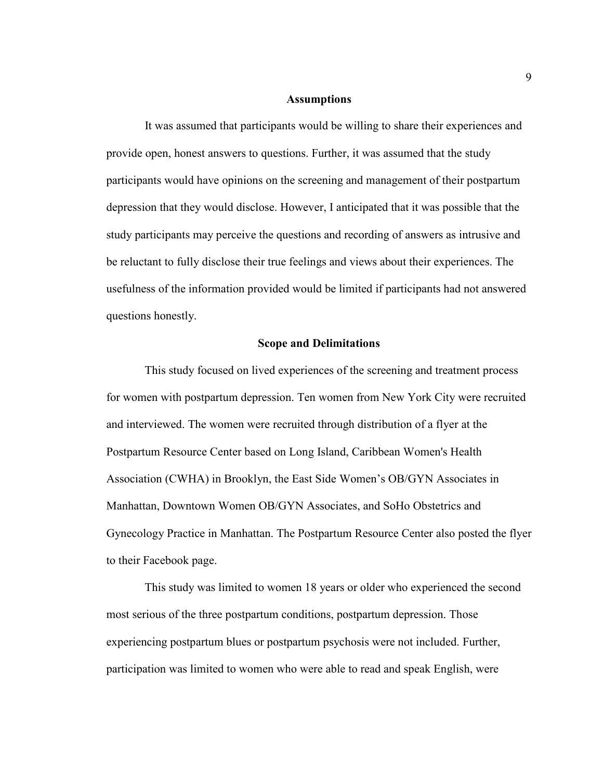#### **Assumptions**

 It was assumed that participants would be willing to share their experiences and provide open, honest answers to questions. Further, it was assumed that the study participants would have opinions on the screening and management of their postpartum depression that they would disclose. However, I anticipated that it was possible that the study participants may perceive the questions and recording of answers as intrusive and be reluctant to fully disclose their true feelings and views about their experiences. The usefulness of the information provided would be limited if participants had not answered questions honestly.

#### **Scope and Delimitations**

 This study focused on lived experiences of the screening and treatment process for women with postpartum depression. Ten women from New York City were recruited and interviewed. The women were recruited through distribution of a flyer at the Postpartum Resource Center based on Long Island, Caribbean Women's Health Association (CWHA) in Brooklyn, the East Side Women's OB/GYN Associates in Manhattan, Downtown Women OB/GYN Associates, and SoHo Obstetrics and Gynecology Practice in Manhattan. The Postpartum Resource Center also posted the flyer to their Facebook page.

 This study was limited to women 18 years or older who experienced the second most serious of the three postpartum conditions, postpartum depression. Those experiencing postpartum blues or postpartum psychosis were not included. Further, participation was limited to women who were able to read and speak English, were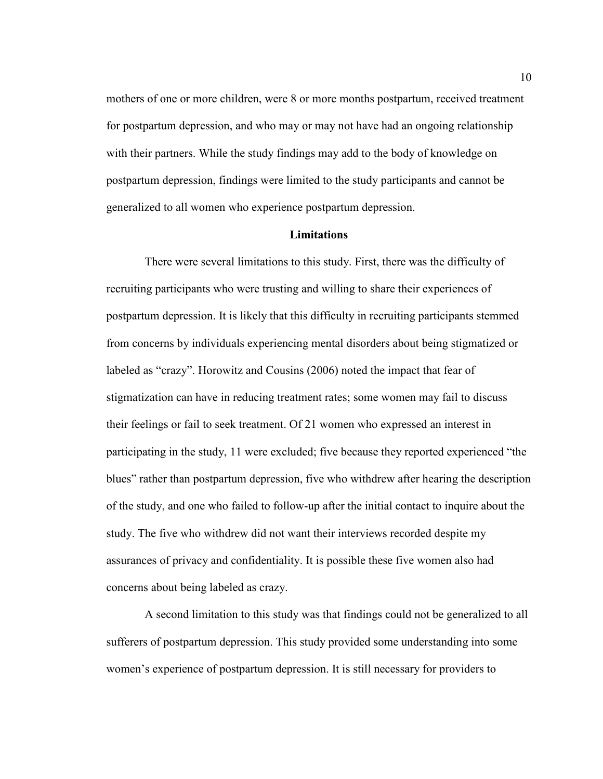mothers of one or more children, were 8 or more months postpartum, received treatment for postpartum depression, and who may or may not have had an ongoing relationship with their partners. While the study findings may add to the body of knowledge on postpartum depression, findings were limited to the study participants and cannot be generalized to all women who experience postpartum depression.

#### **Limitations**

 There were several limitations to this study. First, there was the difficulty of recruiting participants who were trusting and willing to share their experiences of postpartum depression. It is likely that this difficulty in recruiting participants stemmed from concerns by individuals experiencing mental disorders about being stigmatized or labeled as "crazy". Horowitz and Cousins (2006) noted the impact that fear of stigmatization can have in reducing treatment rates; some women may fail to discuss their feelings or fail to seek treatment. Of 21 women who expressed an interest in participating in the study, 11 were excluded; five because they reported experienced "the blues" rather than postpartum depression, five who withdrew after hearing the description of the study, and one who failed to follow-up after the initial contact to inquire about the study. The five who withdrew did not want their interviews recorded despite my assurances of privacy and confidentiality. It is possible these five women also had concerns about being labeled as crazy.

 A second limitation to this study was that findings could not be generalized to all sufferers of postpartum depression. This study provided some understanding into some women's experience of postpartum depression. It is still necessary for providers to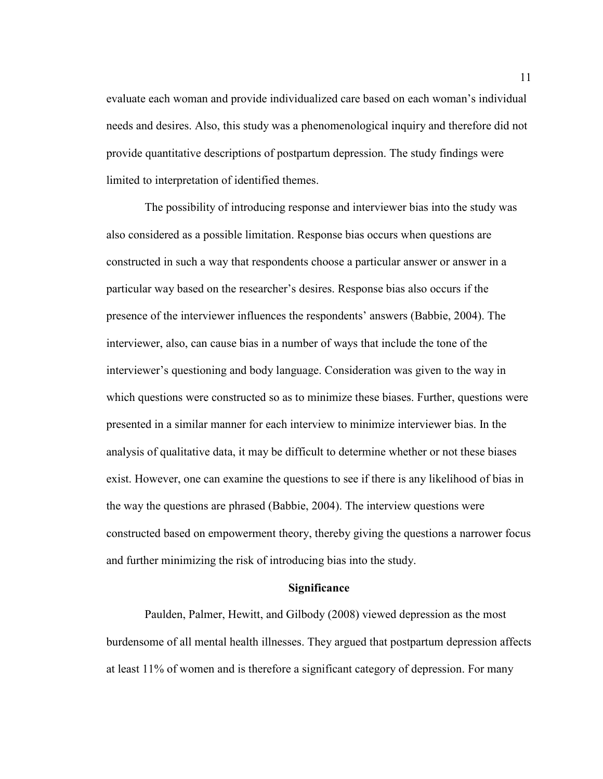evaluate each woman and provide individualized care based on each woman's individual needs and desires. Also, this study was a phenomenological inquiry and therefore did not provide quantitative descriptions of postpartum depression. The study findings were limited to interpretation of identified themes.

 The possibility of introducing response and interviewer bias into the study was also considered as a possible limitation. Response bias occurs when questions are constructed in such a way that respondents choose a particular answer or answer in a particular way based on the researcher's desires. Response bias also occurs if the presence of the interviewer influences the respondents' answers (Babbie, 2004). The interviewer, also, can cause bias in a number of ways that include the tone of the interviewer's questioning and body language. Consideration was given to the way in which questions were constructed so as to minimize these biases. Further, questions were presented in a similar manner for each interview to minimize interviewer bias. In the analysis of qualitative data, it may be difficult to determine whether or not these biases exist. However, one can examine the questions to see if there is any likelihood of bias in the way the questions are phrased (Babbie, 2004). The interview questions were constructed based on empowerment theory, thereby giving the questions a narrower focus and further minimizing the risk of introducing bias into the study.

#### **Significance**

 Paulden, Palmer, Hewitt, and Gilbody (2008) viewed depression as the most burdensome of all mental health illnesses. They argued that postpartum depression affects at least 11% of women and is therefore a significant category of depression. For many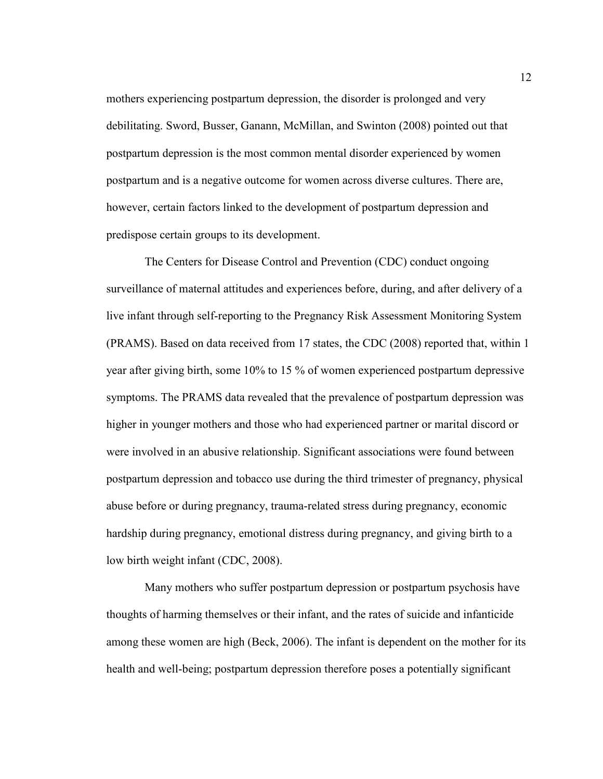mothers experiencing postpartum depression, the disorder is prolonged and very debilitating. Sword, Busser, Ganann, McMillan, and Swinton (2008) pointed out that postpartum depression is the most common mental disorder experienced by women postpartum and is a negative outcome for women across diverse cultures. There are, however, certain factors linked to the development of postpartum depression and predispose certain groups to its development.

 The Centers for Disease Control and Prevention (CDC) conduct ongoing surveillance of maternal attitudes and experiences before, during, and after delivery of a live infant through self-reporting to the Pregnancy Risk Assessment Monitoring System (PRAMS). Based on data received from 17 states, the CDC (2008) reported that, within 1 year after giving birth, some 10% to 15 % of women experienced postpartum depressive symptoms. The PRAMS data revealed that the prevalence of postpartum depression was higher in younger mothers and those who had experienced partner or marital discord or were involved in an abusive relationship. Significant associations were found between postpartum depression and tobacco use during the third trimester of pregnancy, physical abuse before or during pregnancy, trauma-related stress during pregnancy, economic hardship during pregnancy, emotional distress during pregnancy, and giving birth to a low birth weight infant (CDC, 2008).

 Many mothers who suffer postpartum depression or postpartum psychosis have thoughts of harming themselves or their infant, and the rates of suicide and infanticide among these women are high (Beck, 2006). The infant is dependent on the mother for its health and well-being; postpartum depression therefore poses a potentially significant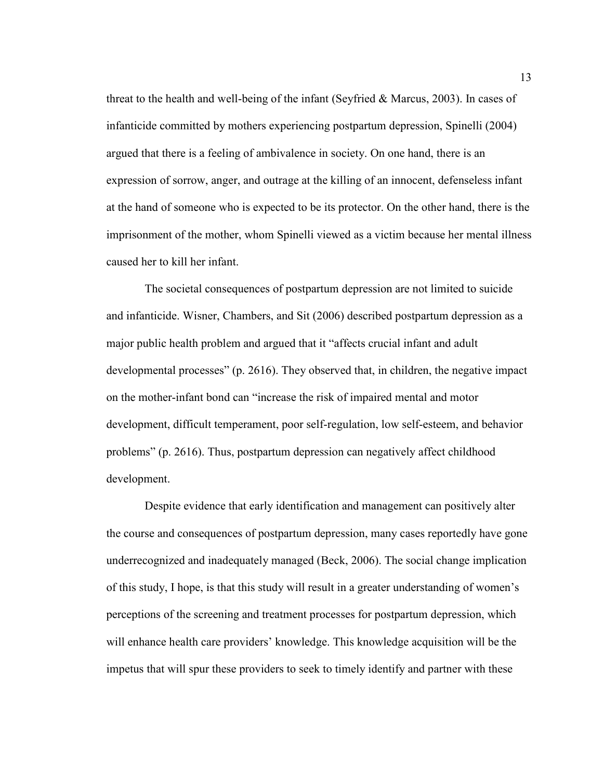threat to the health and well-being of the infant (Seyfried & Marcus, 2003). In cases of infanticide committed by mothers experiencing postpartum depression, Spinelli (2004) argued that there is a feeling of ambivalence in society. On one hand, there is an expression of sorrow, anger, and outrage at the killing of an innocent, defenseless infant at the hand of someone who is expected to be its protector. On the other hand, there is the imprisonment of the mother, whom Spinelli viewed as a victim because her mental illness caused her to kill her infant.

 The societal consequences of postpartum depression are not limited to suicide and infanticide. Wisner, Chambers, and Sit (2006) described postpartum depression as a major public health problem and argued that it "affects crucial infant and adult developmental processes" (p. 2616). They observed that, in children, the negative impact on the mother-infant bond can "increase the risk of impaired mental and motor development, difficult temperament, poor self-regulation, low self-esteem, and behavior problems" (p. 2616). Thus, postpartum depression can negatively affect childhood development.

 Despite evidence that early identification and management can positively alter the course and consequences of postpartum depression, many cases reportedly have gone underrecognized and inadequately managed (Beck, 2006). The social change implication of this study, I hope, is that this study will result in a greater understanding of women's perceptions of the screening and treatment processes for postpartum depression, which will enhance health care providers' knowledge. This knowledge acquisition will be the impetus that will spur these providers to seek to timely identify and partner with these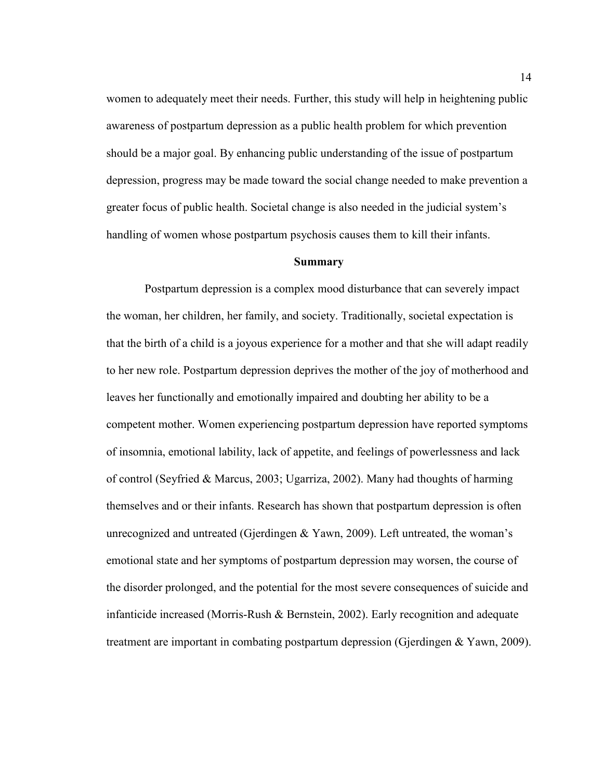women to adequately meet their needs. Further, this study will help in heightening public awareness of postpartum depression as a public health problem for which prevention should be a major goal. By enhancing public understanding of the issue of postpartum depression, progress may be made toward the social change needed to make prevention a greater focus of public health. Societal change is also needed in the judicial system's handling of women whose postpartum psychosis causes them to kill their infants.

#### **Summary**

 Postpartum depression is a complex mood disturbance that can severely impact the woman, her children, her family, and society. Traditionally, societal expectation is that the birth of a child is a joyous experience for a mother and that she will adapt readily to her new role. Postpartum depression deprives the mother of the joy of motherhood and leaves her functionally and emotionally impaired and doubting her ability to be a competent mother. Women experiencing postpartum depression have reported symptoms of insomnia, emotional lability, lack of appetite, and feelings of powerlessness and lack of control (Seyfried & Marcus, 2003; Ugarriza, 2002). Many had thoughts of harming themselves and or their infants. Research has shown that postpartum depression is often unrecognized and untreated (Gjerdingen & Yawn, 2009). Left untreated, the woman's emotional state and her symptoms of postpartum depression may worsen, the course of the disorder prolonged, and the potential for the most severe consequences of suicide and infanticide increased (Morris-Rush & Bernstein, 2002). Early recognition and adequate treatment are important in combating postpartum depression (Gjerdingen & Yawn, 2009).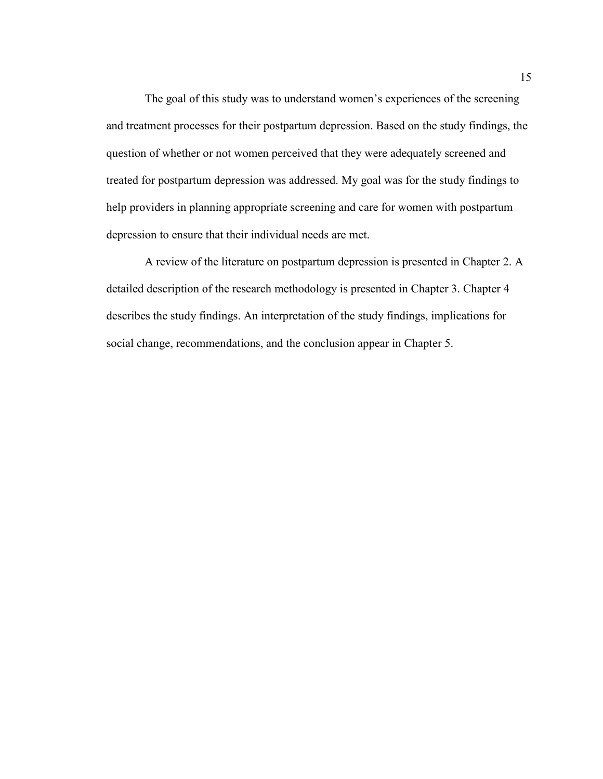The goal of this study was to understand women's experiences of the screening and treatment processes for their postpartum depression. Based on the study findings, the question of whether or not women perceived that they were adequately screened and treated for postpartum depression was addressed. My goal was for the study findings to help providers in planning appropriate screening and care for women with postpartum depression to ensure that their individual needs are met.

 A review of the literature on postpartum depression is presented in Chapter 2. A detailed description of the research methodology is presented in Chapter 3. Chapter 4 describes the study findings. An interpretation of the study findings, implications for social change, recommendations, and the conclusion appear in Chapter 5.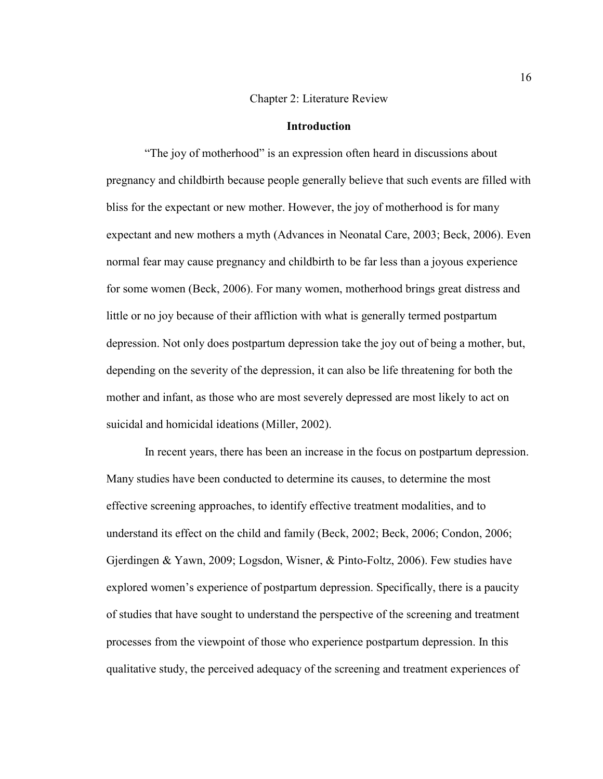#### Chapter 2: Literature Review

#### **Introduction**

 "The joy of motherhood" is an expression often heard in discussions about pregnancy and childbirth because people generally believe that such events are filled with bliss for the expectant or new mother. However, the joy of motherhood is for many expectant and new mothers a myth (Advances in Neonatal Care, 2003; Beck, 2006). Even normal fear may cause pregnancy and childbirth to be far less than a joyous experience for some women (Beck, 2006). For many women, motherhood brings great distress and little or no joy because of their affliction with what is generally termed postpartum depression. Not only does postpartum depression take the joy out of being a mother, but, depending on the severity of the depression, it can also be life threatening for both the mother and infant, as those who are most severely depressed are most likely to act on suicidal and homicidal ideations (Miller, 2002).

 In recent years, there has been an increase in the focus on postpartum depression. Many studies have been conducted to determine its causes, to determine the most effective screening approaches, to identify effective treatment modalities, and to understand its effect on the child and family (Beck, 2002; Beck, 2006; Condon, 2006; Gjerdingen & Yawn, 2009; Logsdon, Wisner, & Pinto-Foltz, 2006). Few studies have explored women's experience of postpartum depression. Specifically, there is a paucity of studies that have sought to understand the perspective of the screening and treatment processes from the viewpoint of those who experience postpartum depression. In this qualitative study, the perceived adequacy of the screening and treatment experiences of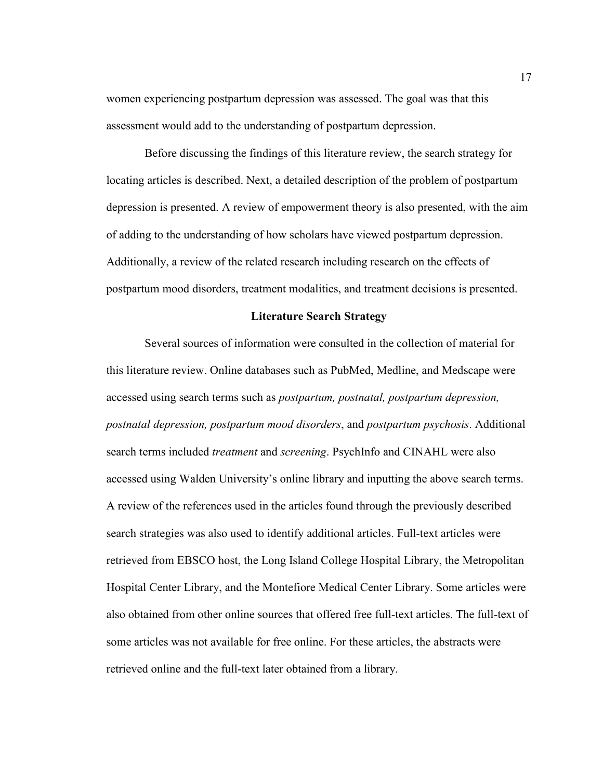women experiencing postpartum depression was assessed. The goal was that this assessment would add to the understanding of postpartum depression.

 Before discussing the findings of this literature review, the search strategy for locating articles is described. Next, a detailed description of the problem of postpartum depression is presented. A review of empowerment theory is also presented, with the aim of adding to the understanding of how scholars have viewed postpartum depression. Additionally, a review of the related research including research on the effects of postpartum mood disorders, treatment modalities, and treatment decisions is presented.

#### **Literature Search Strategy**

 Several sources of information were consulted in the collection of material for this literature review. Online databases such as PubMed, Medline, and Medscape were accessed using search terms such as *postpartum, postnatal, postpartum depression, postnatal depression, postpartum mood disorders*, and *postpartum psychosis*. Additional search terms included *treatment* and *screening*. PsychInfo and CINAHL were also accessed using Walden University's online library and inputting the above search terms. A review of the references used in the articles found through the previously described search strategies was also used to identify additional articles. Full-text articles were retrieved from EBSCO host, the Long Island College Hospital Library, the Metropolitan Hospital Center Library, and the Montefiore Medical Center Library. Some articles were also obtained from other online sources that offered free full-text articles. The full-text of some articles was not available for free online. For these articles, the abstracts were retrieved online and the full-text later obtained from a library.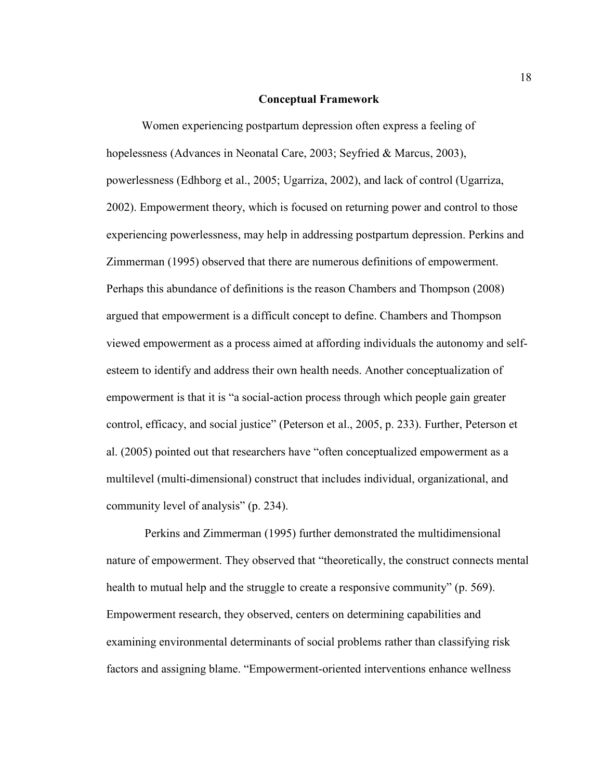#### **Conceptual Framework**

Women experiencing postpartum depression often express a feeling of hopelessness (Advances in Neonatal Care, 2003; Seyfried & Marcus, 2003), powerlessness (Edhborg et al., 2005; Ugarriza, 2002), and lack of control (Ugarriza, 2002). Empowerment theory, which is focused on returning power and control to those experiencing powerlessness, may help in addressing postpartum depression. Perkins and Zimmerman (1995) observed that there are numerous definitions of empowerment. Perhaps this abundance of definitions is the reason Chambers and Thompson (2008) argued that empowerment is a difficult concept to define. Chambers and Thompson viewed empowerment as a process aimed at affording individuals the autonomy and selfesteem to identify and address their own health needs. Another conceptualization of empowerment is that it is "a social-action process through which people gain greater control, efficacy, and social justice" (Peterson et al., 2005, p. 233). Further, Peterson et al. (2005) pointed out that researchers have "often conceptualized empowerment as a multilevel (multi-dimensional) construct that includes individual, organizational, and community level of analysis" (p. 234).

 Perkins and Zimmerman (1995) further demonstrated the multidimensional nature of empowerment. They observed that "theoretically, the construct connects mental health to mutual help and the struggle to create a responsive community" (p. 569). Empowerment research, they observed, centers on determining capabilities and examining environmental determinants of social problems rather than classifying risk factors and assigning blame. "Empowerment-oriented interventions enhance wellness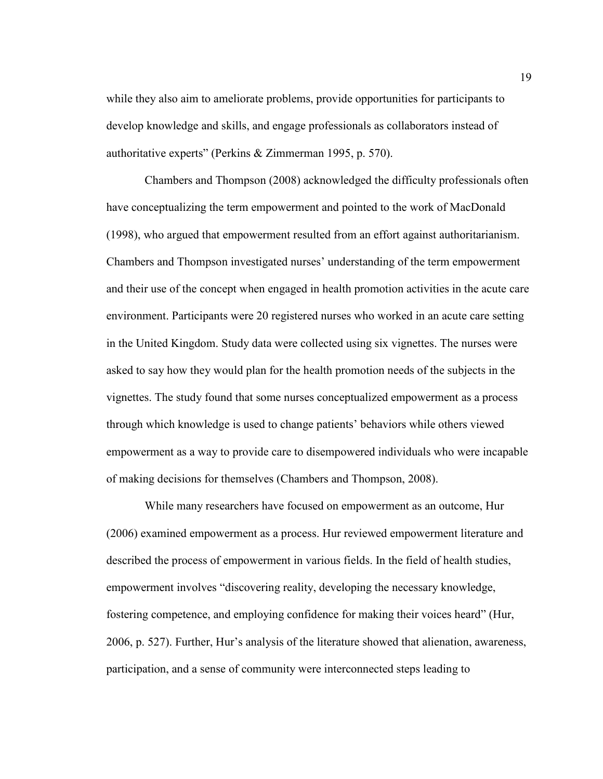while they also aim to ameliorate problems, provide opportunities for participants to develop knowledge and skills, and engage professionals as collaborators instead of authoritative experts" (Perkins & Zimmerman 1995, p. 570).

 Chambers and Thompson (2008) acknowledged the difficulty professionals often have conceptualizing the term empowerment and pointed to the work of MacDonald (1998), who argued that empowerment resulted from an effort against authoritarianism. Chambers and Thompson investigated nurses' understanding of the term empowerment and their use of the concept when engaged in health promotion activities in the acute care environment. Participants were 20 registered nurses who worked in an acute care setting in the United Kingdom. Study data were collected using six vignettes. The nurses were asked to say how they would plan for the health promotion needs of the subjects in the vignettes. The study found that some nurses conceptualized empowerment as a process through which knowledge is used to change patients' behaviors while others viewed empowerment as a way to provide care to disempowered individuals who were incapable of making decisions for themselves (Chambers and Thompson, 2008).

 While many researchers have focused on empowerment as an outcome, Hur (2006) examined empowerment as a process. Hur reviewed empowerment literature and described the process of empowerment in various fields. In the field of health studies, empowerment involves "discovering reality, developing the necessary knowledge, fostering competence, and employing confidence for making their voices heard" (Hur, 2006, p. 527). Further, Hur's analysis of the literature showed that alienation, awareness, participation, and a sense of community were interconnected steps leading to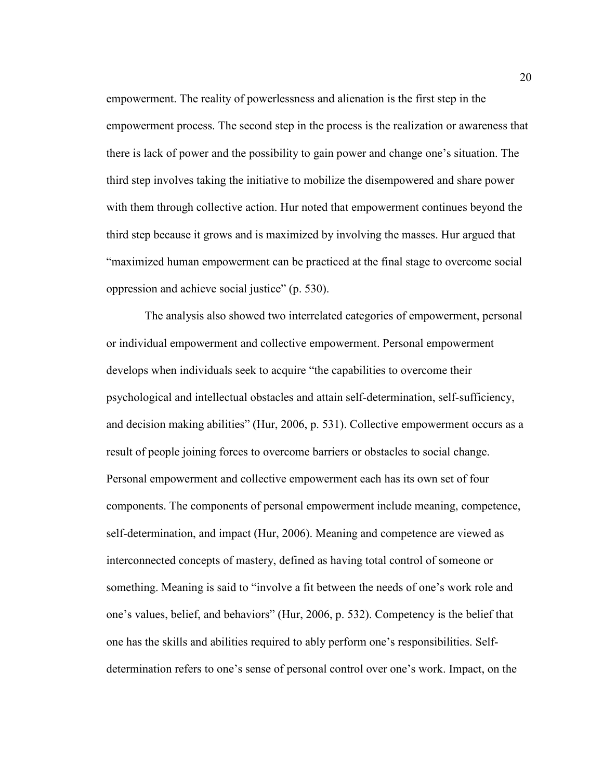empowerment. The reality of powerlessness and alienation is the first step in the empowerment process. The second step in the process is the realization or awareness that there is lack of power and the possibility to gain power and change one's situation. The third step involves taking the initiative to mobilize the disempowered and share power with them through collective action. Hur noted that empowerment continues beyond the third step because it grows and is maximized by involving the masses. Hur argued that "maximized human empowerment can be practiced at the final stage to overcome social oppression and achieve social justice" (p. 530).

 The analysis also showed two interrelated categories of empowerment, personal or individual empowerment and collective empowerment. Personal empowerment develops when individuals seek to acquire "the capabilities to overcome their psychological and intellectual obstacles and attain self-determination, self-sufficiency, and decision making abilities" (Hur, 2006, p. 531). Collective empowerment occurs as a result of people joining forces to overcome barriers or obstacles to social change. Personal empowerment and collective empowerment each has its own set of four components. The components of personal empowerment include meaning, competence, self-determination, and impact (Hur, 2006). Meaning and competence are viewed as interconnected concepts of mastery, defined as having total control of someone or something. Meaning is said to "involve a fit between the needs of one's work role and one's values, belief, and behaviors" (Hur, 2006, p. 532). Competency is the belief that one has the skills and abilities required to ably perform one's responsibilities. Selfdetermination refers to one's sense of personal control over one's work. Impact, on the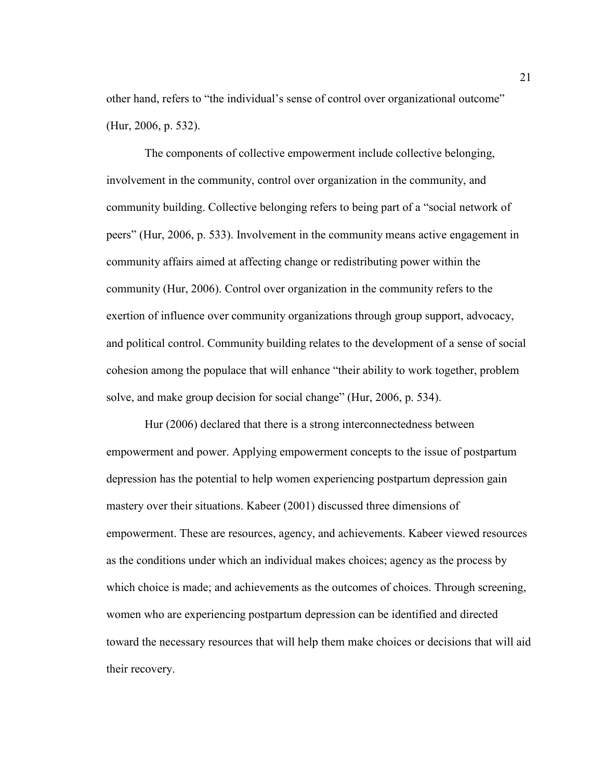other hand, refers to "the individual's sense of control over organizational outcome" (Hur, 2006, p. 532).

 The components of collective empowerment include collective belonging, involvement in the community, control over organization in the community, and community building. Collective belonging refers to being part of a "social network of peers" (Hur, 2006, p. 533). Involvement in the community means active engagement in community affairs aimed at affecting change or redistributing power within the community (Hur, 2006). Control over organization in the community refers to the exertion of influence over community organizations through group support, advocacy, and political control. Community building relates to the development of a sense of social cohesion among the populace that will enhance "their ability to work together, problem solve, and make group decision for social change" (Hur, 2006, p. 534).

 Hur (2006) declared that there is a strong interconnectedness between empowerment and power. Applying empowerment concepts to the issue of postpartum depression has the potential to help women experiencing postpartum depression gain mastery over their situations. Kabeer (2001) discussed three dimensions of empowerment. These are resources, agency, and achievements. Kabeer viewed resources as the conditions under which an individual makes choices; agency as the process by which choice is made; and achievements as the outcomes of choices. Through screening, women who are experiencing postpartum depression can be identified and directed toward the necessary resources that will help them make choices or decisions that will aid their recovery.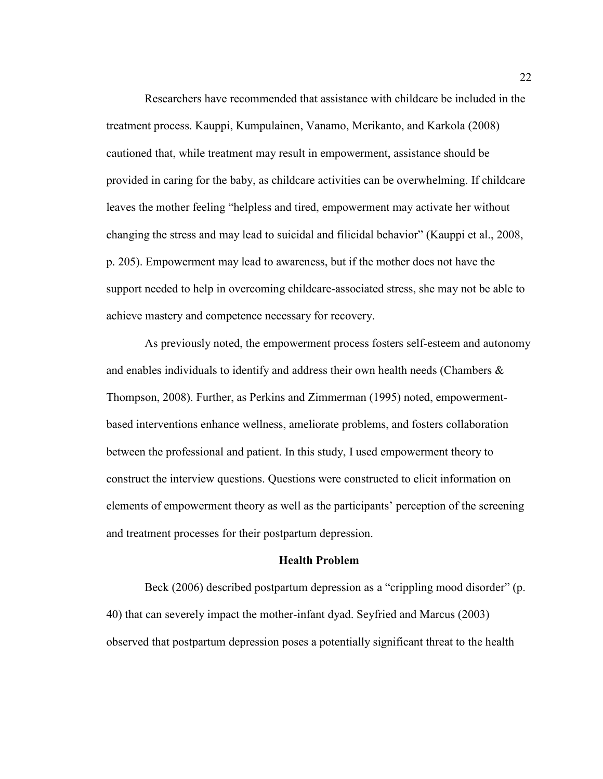Researchers have recommended that assistance with childcare be included in the treatment process. Kauppi, Kumpulainen, Vanamo, Merikanto, and Karkola (2008) cautioned that, while treatment may result in empowerment, assistance should be provided in caring for the baby, as childcare activities can be overwhelming. If childcare leaves the mother feeling "helpless and tired, empowerment may activate her without changing the stress and may lead to suicidal and filicidal behavior" (Kauppi et al., 2008, p. 205). Empowerment may lead to awareness, but if the mother does not have the support needed to help in overcoming childcare-associated stress, she may not be able to achieve mastery and competence necessary for recovery.

 As previously noted, the empowerment process fosters self-esteem and autonomy and enables individuals to identify and address their own health needs (Chambers & Thompson, 2008). Further, as Perkins and Zimmerman (1995) noted, empowermentbased interventions enhance wellness, ameliorate problems, and fosters collaboration between the professional and patient. In this study, I used empowerment theory to construct the interview questions. Questions were constructed to elicit information on elements of empowerment theory as well as the participants' perception of the screening and treatment processes for their postpartum depression.

#### **Health Problem**

 Beck (2006) described postpartum depression as a "crippling mood disorder" (p. 40) that can severely impact the mother-infant dyad. Seyfried and Marcus (2003) observed that postpartum depression poses a potentially significant threat to the health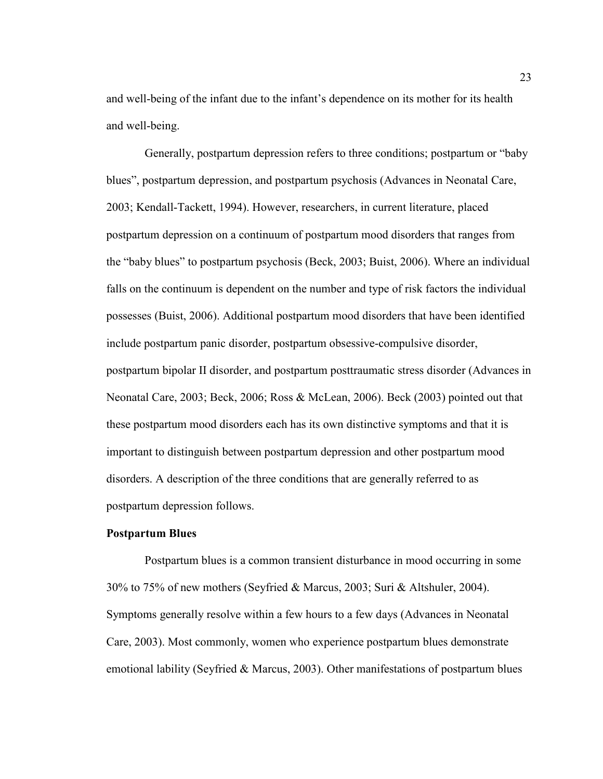and well-being of the infant due to the infant's dependence on its mother for its health and well-being.

 Generally, postpartum depression refers to three conditions; postpartum or "baby blues", postpartum depression, and postpartum psychosis (Advances in Neonatal Care, 2003; Kendall-Tackett, 1994). However, researchers, in current literature, placed postpartum depression on a continuum of postpartum mood disorders that ranges from the "baby blues" to postpartum psychosis (Beck, 2003; Buist, 2006). Where an individual falls on the continuum is dependent on the number and type of risk factors the individual possesses (Buist, 2006). Additional postpartum mood disorders that have been identified include postpartum panic disorder, postpartum obsessive-compulsive disorder, postpartum bipolar II disorder, and postpartum posttraumatic stress disorder (Advances in Neonatal Care, 2003; Beck, 2006; Ross & McLean, 2006). Beck (2003) pointed out that these postpartum mood disorders each has its own distinctive symptoms and that it is important to distinguish between postpartum depression and other postpartum mood disorders. A description of the three conditions that are generally referred to as postpartum depression follows.

#### **Postpartum Blues**

 Postpartum blues is a common transient disturbance in mood occurring in some 30% to 75% of new mothers (Seyfried & Marcus, 2003; Suri & Altshuler, 2004). Symptoms generally resolve within a few hours to a few days (Advances in Neonatal Care, 2003). Most commonly, women who experience postpartum blues demonstrate emotional lability (Seyfried & Marcus, 2003). Other manifestations of postpartum blues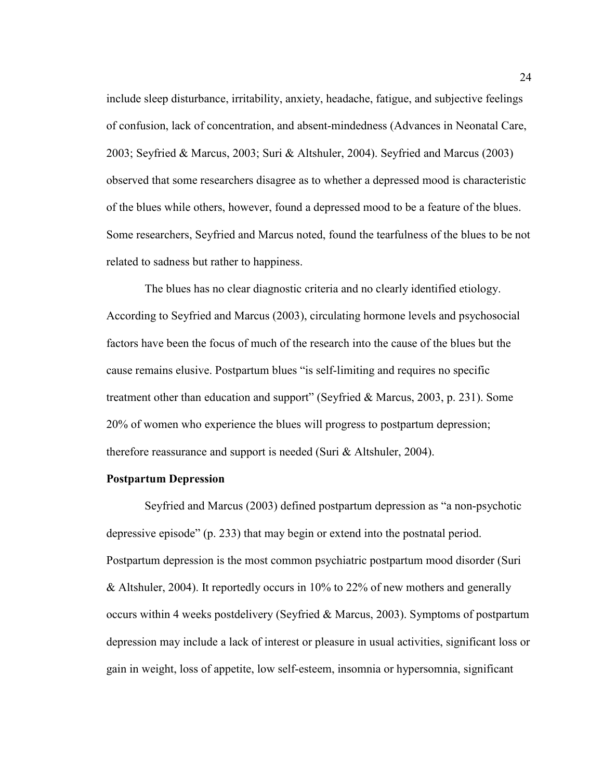include sleep disturbance, irritability, anxiety, headache, fatigue, and subjective feelings of confusion, lack of concentration, and absent-mindedness (Advances in Neonatal Care, 2003; Seyfried & Marcus, 2003; Suri & Altshuler, 2004). Seyfried and Marcus (2003) observed that some researchers disagree as to whether a depressed mood is characteristic of the blues while others, however, found a depressed mood to be a feature of the blues. Some researchers, Seyfried and Marcus noted, found the tearfulness of the blues to be not related to sadness but rather to happiness.

 The blues has no clear diagnostic criteria and no clearly identified etiology. According to Seyfried and Marcus (2003), circulating hormone levels and psychosocial factors have been the focus of much of the research into the cause of the blues but the cause remains elusive. Postpartum blues "is self-limiting and requires no specific treatment other than education and support" (Seyfried & Marcus, 2003, p. 231). Some 20% of women who experience the blues will progress to postpartum depression; therefore reassurance and support is needed (Suri & Altshuler, 2004).

#### **Postpartum Depression**

 Seyfried and Marcus (2003) defined postpartum depression as "a non-psychotic depressive episode" (p. 233) that may begin or extend into the postnatal period. Postpartum depression is the most common psychiatric postpartum mood disorder (Suri & Altshuler, 2004). It reportedly occurs in 10% to 22% of new mothers and generally occurs within 4 weeks postdelivery (Seyfried & Marcus, 2003). Symptoms of postpartum depression may include a lack of interest or pleasure in usual activities, significant loss or gain in weight, loss of appetite, low self-esteem, insomnia or hypersomnia, significant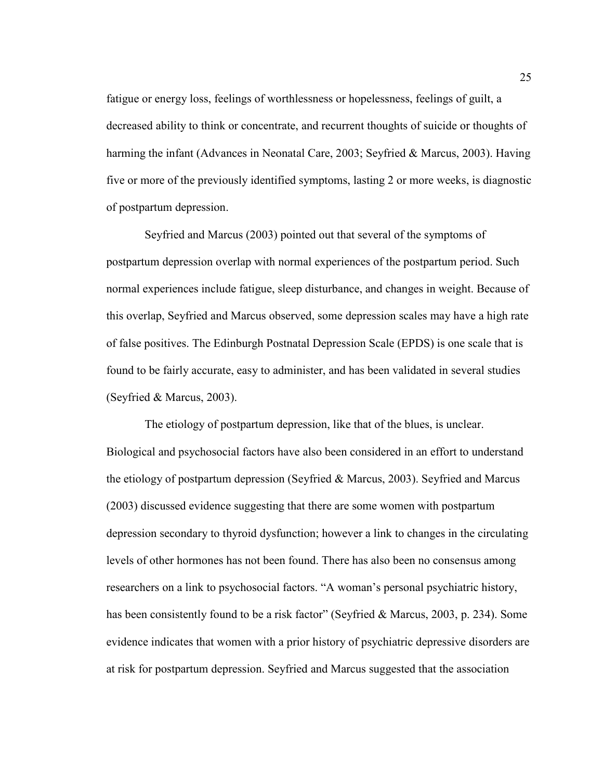fatigue or energy loss, feelings of worthlessness or hopelessness, feelings of guilt, a decreased ability to think or concentrate, and recurrent thoughts of suicide or thoughts of harming the infant (Advances in Neonatal Care, 2003; Seyfried & Marcus, 2003). Having five or more of the previously identified symptoms, lasting 2 or more weeks, is diagnostic of postpartum depression.

 Seyfried and Marcus (2003) pointed out that several of the symptoms of postpartum depression overlap with normal experiences of the postpartum period. Such normal experiences include fatigue, sleep disturbance, and changes in weight. Because of this overlap, Seyfried and Marcus observed, some depression scales may have a high rate of false positives. The Edinburgh Postnatal Depression Scale (EPDS) is one scale that is found to be fairly accurate, easy to administer, and has been validated in several studies (Seyfried & Marcus, 2003).

 The etiology of postpartum depression, like that of the blues, is unclear. Biological and psychosocial factors have also been considered in an effort to understand the etiology of postpartum depression (Seyfried & Marcus, 2003). Seyfried and Marcus (2003) discussed evidence suggesting that there are some women with postpartum depression secondary to thyroid dysfunction; however a link to changes in the circulating levels of other hormones has not been found. There has also been no consensus among researchers on a link to psychosocial factors. "A woman's personal psychiatric history, has been consistently found to be a risk factor" (Seyfried & Marcus, 2003, p. 234). Some evidence indicates that women with a prior history of psychiatric depressive disorders are at risk for postpartum depression. Seyfried and Marcus suggested that the association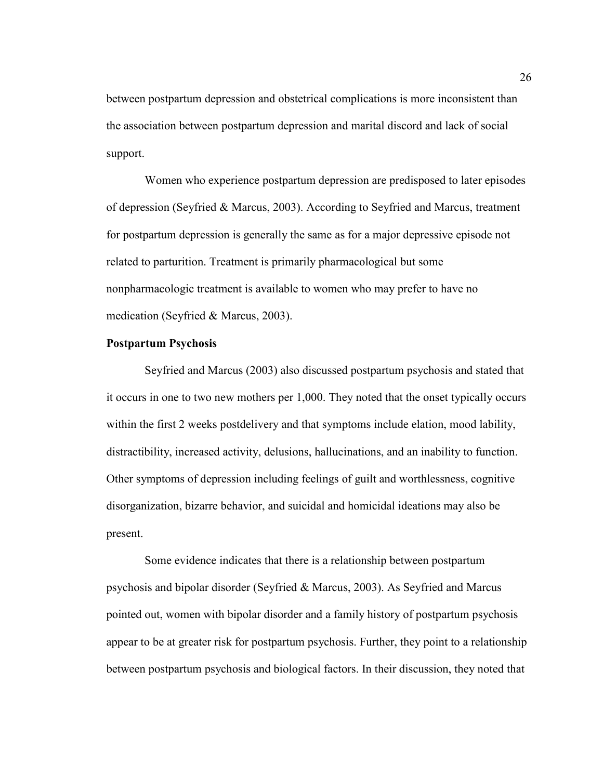between postpartum depression and obstetrical complications is more inconsistent than the association between postpartum depression and marital discord and lack of social support.

 Women who experience postpartum depression are predisposed to later episodes of depression (Seyfried & Marcus, 2003). According to Seyfried and Marcus, treatment for postpartum depression is generally the same as for a major depressive episode not related to parturition. Treatment is primarily pharmacological but some nonpharmacologic treatment is available to women who may prefer to have no medication (Seyfried & Marcus, 2003).

#### **Postpartum Psychosis**

 Seyfried and Marcus (2003) also discussed postpartum psychosis and stated that it occurs in one to two new mothers per 1,000. They noted that the onset typically occurs within the first 2 weeks postdelivery and that symptoms include elation, mood lability, distractibility, increased activity, delusions, hallucinations, and an inability to function. Other symptoms of depression including feelings of guilt and worthlessness, cognitive disorganization, bizarre behavior, and suicidal and homicidal ideations may also be present.

 Some evidence indicates that there is a relationship between postpartum psychosis and bipolar disorder (Seyfried & Marcus, 2003). As Seyfried and Marcus pointed out, women with bipolar disorder and a family history of postpartum psychosis appear to be at greater risk for postpartum psychosis. Further, they point to a relationship between postpartum psychosis and biological factors. In their discussion, they noted that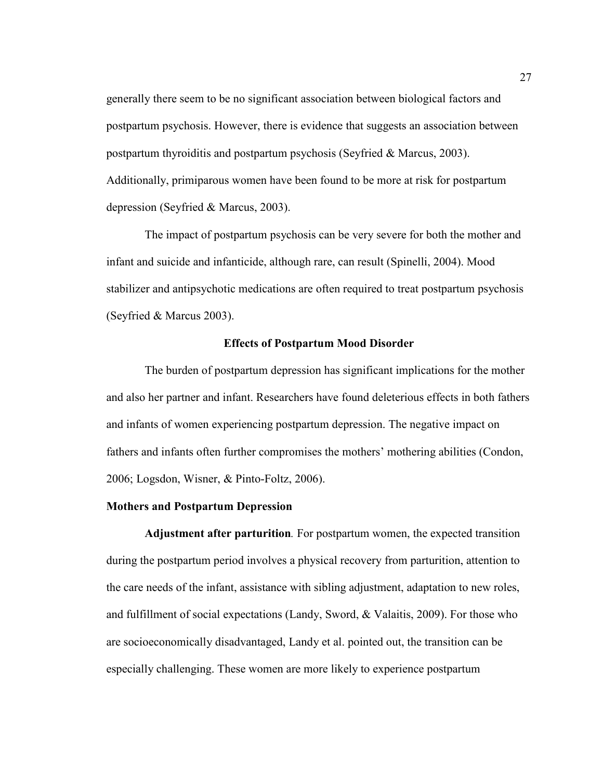generally there seem to be no significant association between biological factors and postpartum psychosis. However, there is evidence that suggests an association between postpartum thyroiditis and postpartum psychosis (Seyfried & Marcus, 2003). Additionally, primiparous women have been found to be more at risk for postpartum depression (Seyfried & Marcus, 2003).

The impact of postpartum psychosis can be very severe for both the mother and infant and suicide and infanticide, although rare, can result (Spinelli, 2004). Mood stabilizer and antipsychotic medications are often required to treat postpartum psychosis (Seyfried & Marcus 2003).

#### **Effects of Postpartum Mood Disorder**

 The burden of postpartum depression has significant implications for the mother and also her partner and infant. Researchers have found deleterious effects in both fathers and infants of women experiencing postpartum depression. The negative impact on fathers and infants often further compromises the mothers' mothering abilities (Condon, 2006; Logsdon, Wisner, & Pinto-Foltz, 2006).

#### **Mothers and Postpartum Depression**

**Adjustment after parturition***.* For postpartum women, the expected transition during the postpartum period involves a physical recovery from parturition, attention to the care needs of the infant, assistance with sibling adjustment, adaptation to new roles, and fulfillment of social expectations (Landy, Sword, & Valaitis, 2009). For those who are socioeconomically disadvantaged, Landy et al. pointed out, the transition can be especially challenging. These women are more likely to experience postpartum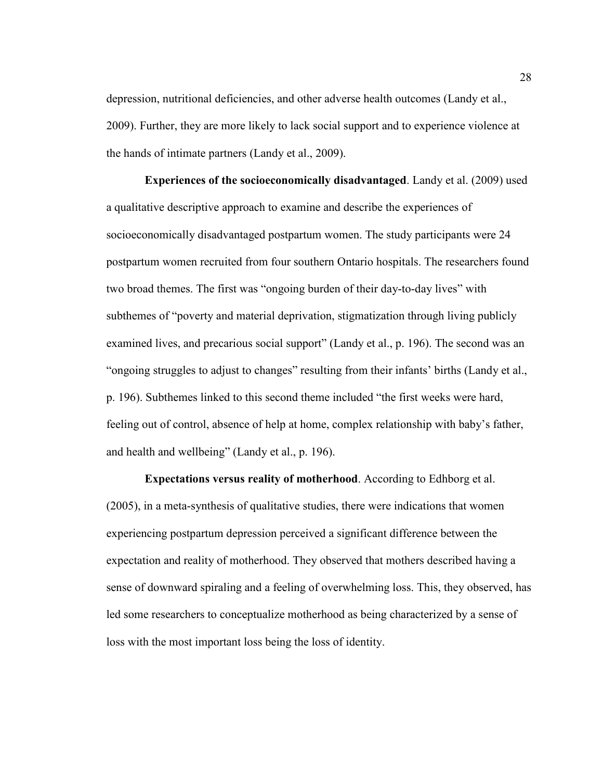depression, nutritional deficiencies, and other adverse health outcomes (Landy et al., 2009). Further, they are more likely to lack social support and to experience violence at the hands of intimate partners (Landy et al., 2009).

**Experiences of the socioeconomically disadvantaged**. Landy et al. (2009) used a qualitative descriptive approach to examine and describe the experiences of socioeconomically disadvantaged postpartum women. The study participants were 24 postpartum women recruited from four southern Ontario hospitals. The researchers found two broad themes. The first was "ongoing burden of their day-to-day lives" with subthemes of "poverty and material deprivation, stigmatization through living publicly examined lives, and precarious social support" (Landy et al., p. 196). The second was an "ongoing struggles to adjust to changes" resulting from their infants' births (Landy et al., p. 196). Subthemes linked to this second theme included "the first weeks were hard, feeling out of control, absence of help at home, complex relationship with baby's father, and health and wellbeing" (Landy et al., p. 196).

**Expectations versus reality of motherhood**. According to Edhborg et al. (2005), in a meta-synthesis of qualitative studies, there were indications that women experiencing postpartum depression perceived a significant difference between the expectation and reality of motherhood. They observed that mothers described having a sense of downward spiraling and a feeling of overwhelming loss. This, they observed, has led some researchers to conceptualize motherhood as being characterized by a sense of loss with the most important loss being the loss of identity.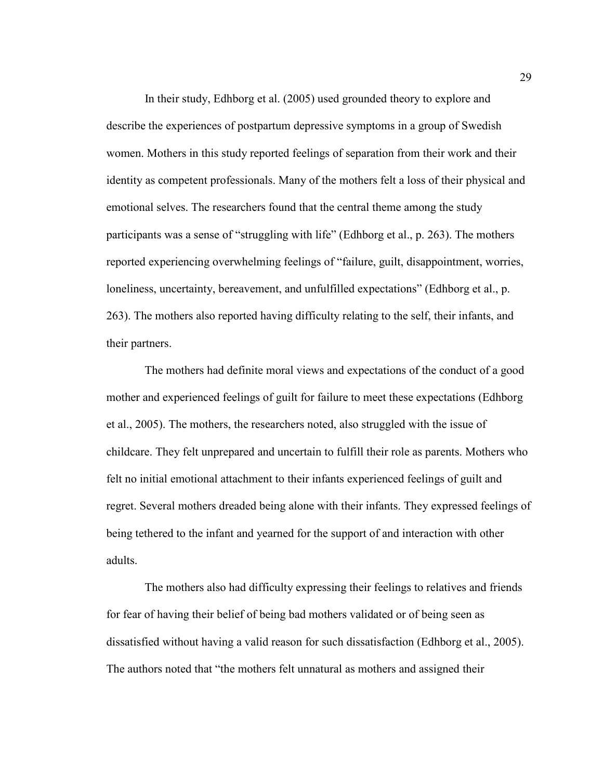In their study, Edhborg et al. (2005) used grounded theory to explore and describe the experiences of postpartum depressive symptoms in a group of Swedish women. Mothers in this study reported feelings of separation from their work and their identity as competent professionals. Many of the mothers felt a loss of their physical and emotional selves. The researchers found that the central theme among the study participants was a sense of "struggling with life" (Edhborg et al., p. 263). The mothers reported experiencing overwhelming feelings of "failure, guilt, disappointment, worries, loneliness, uncertainty, bereavement, and unfulfilled expectations" (Edhborg et al., p. 263). The mothers also reported having difficulty relating to the self, their infants, and their partners.

 The mothers had definite moral views and expectations of the conduct of a good mother and experienced feelings of guilt for failure to meet these expectations (Edhborg et al., 2005). The mothers, the researchers noted, also struggled with the issue of childcare. They felt unprepared and uncertain to fulfill their role as parents. Mothers who felt no initial emotional attachment to their infants experienced feelings of guilt and regret. Several mothers dreaded being alone with their infants. They expressed feelings of being tethered to the infant and yearned for the support of and interaction with other adults.

 The mothers also had difficulty expressing their feelings to relatives and friends for fear of having their belief of being bad mothers validated or of being seen as dissatisfied without having a valid reason for such dissatisfaction (Edhborg et al., 2005). The authors noted that "the mothers felt unnatural as mothers and assigned their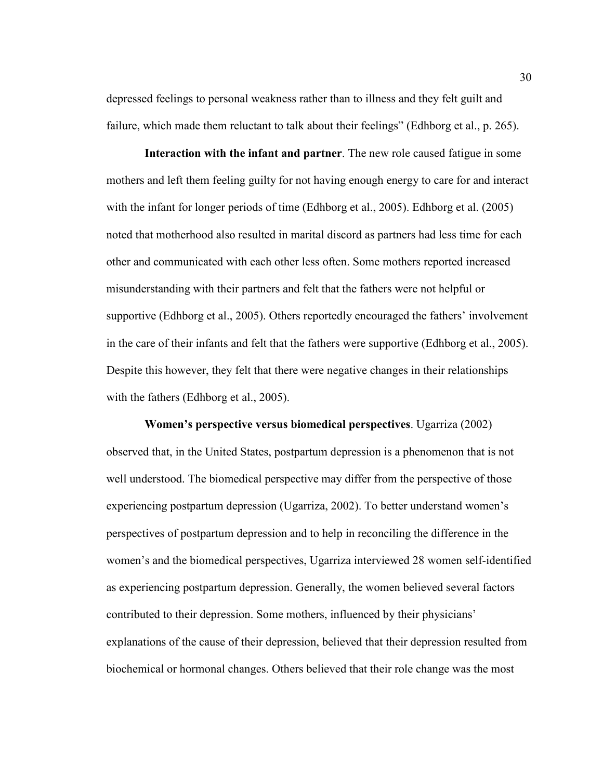depressed feelings to personal weakness rather than to illness and they felt guilt and failure, which made them reluctant to talk about their feelings" (Edhborg et al., p. 265).

**Interaction with the infant and partner**. The new role caused fatigue in some mothers and left them feeling guilty for not having enough energy to care for and interact with the infant for longer periods of time (Edhborg et al., 2005). Edhborg et al. (2005) noted that motherhood also resulted in marital discord as partners had less time for each other and communicated with each other less often. Some mothers reported increased misunderstanding with their partners and felt that the fathers were not helpful or supportive (Edhborg et al., 2005). Others reportedly encouraged the fathers' involvement in the care of their infants and felt that the fathers were supportive (Edhborg et al., 2005). Despite this however, they felt that there were negative changes in their relationships with the fathers (Edhborg et al., 2005).

**Women's perspective versus biomedical perspectives**. Ugarriza (2002) observed that, in the United States, postpartum depression is a phenomenon that is not well understood. The biomedical perspective may differ from the perspective of those experiencing postpartum depression (Ugarriza, 2002). To better understand women's perspectives of postpartum depression and to help in reconciling the difference in the women's and the biomedical perspectives, Ugarriza interviewed 28 women self-identified as experiencing postpartum depression. Generally, the women believed several factors contributed to their depression. Some mothers, influenced by their physicians' explanations of the cause of their depression, believed that their depression resulted from biochemical or hormonal changes. Others believed that their role change was the most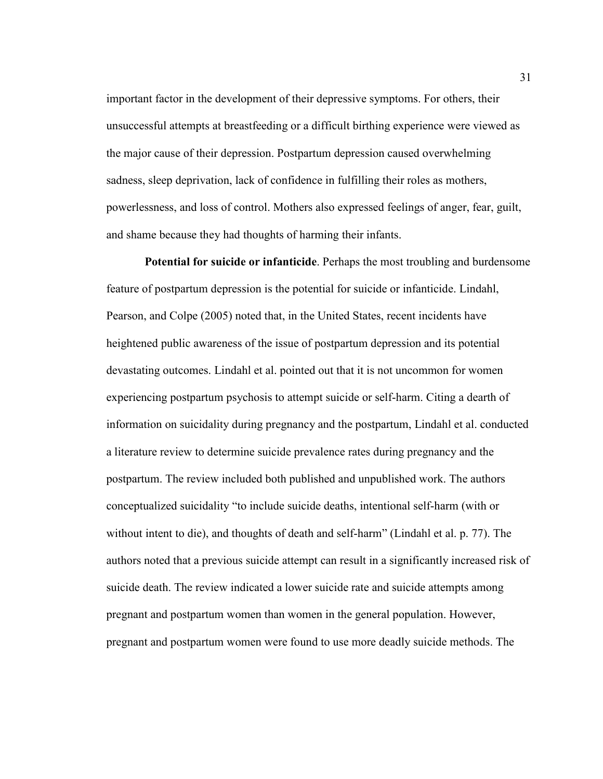important factor in the development of their depressive symptoms. For others, their unsuccessful attempts at breastfeeding or a difficult birthing experience were viewed as the major cause of their depression. Postpartum depression caused overwhelming sadness, sleep deprivation, lack of confidence in fulfilling their roles as mothers, powerlessness, and loss of control. Mothers also expressed feelings of anger, fear, guilt, and shame because they had thoughts of harming their infants.

**Potential for suicide or infanticide**. Perhaps the most troubling and burdensome feature of postpartum depression is the potential for suicide or infanticide. Lindahl, Pearson, and Colpe (2005) noted that, in the United States, recent incidents have heightened public awareness of the issue of postpartum depression and its potential devastating outcomes. Lindahl et al. pointed out that it is not uncommon for women experiencing postpartum psychosis to attempt suicide or self-harm. Citing a dearth of information on suicidality during pregnancy and the postpartum, Lindahl et al. conducted a literature review to determine suicide prevalence rates during pregnancy and the postpartum. The review included both published and unpublished work. The authors conceptualized suicidality "to include suicide deaths, intentional self-harm (with or without intent to die), and thoughts of death and self-harm" (Lindahl et al. p. 77). The authors noted that a previous suicide attempt can result in a significantly increased risk of suicide death. The review indicated a lower suicide rate and suicide attempts among pregnant and postpartum women than women in the general population. However, pregnant and postpartum women were found to use more deadly suicide methods. The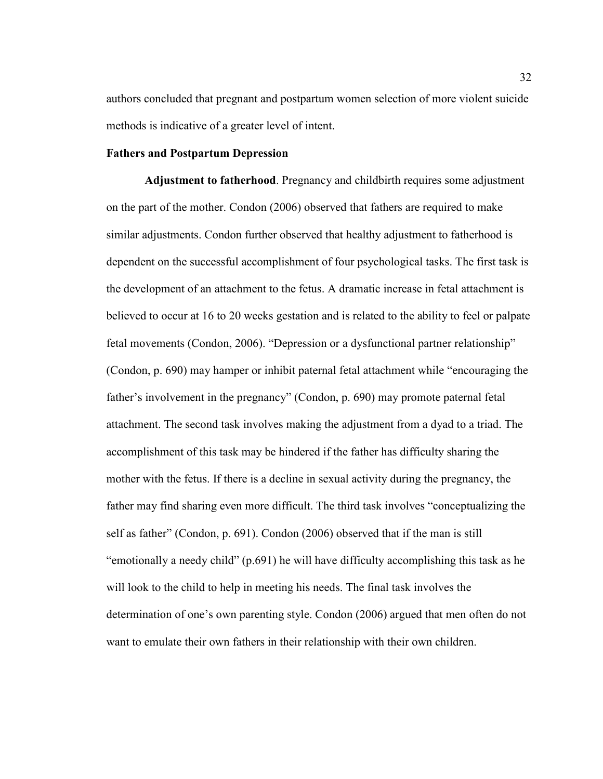authors concluded that pregnant and postpartum women selection of more violent suicide methods is indicative of a greater level of intent.

## **Fathers and Postpartum Depression**

**Adjustment to fatherhood**. Pregnancy and childbirth requires some adjustment on the part of the mother. Condon (2006) observed that fathers are required to make similar adjustments. Condon further observed that healthy adjustment to fatherhood is dependent on the successful accomplishment of four psychological tasks. The first task is the development of an attachment to the fetus. A dramatic increase in fetal attachment is believed to occur at 16 to 20 weeks gestation and is related to the ability to feel or palpate fetal movements (Condon, 2006). "Depression or a dysfunctional partner relationship" (Condon, p. 690) may hamper or inhibit paternal fetal attachment while "encouraging the father's involvement in the pregnancy" (Condon, p. 690) may promote paternal fetal attachment. The second task involves making the adjustment from a dyad to a triad. The accomplishment of this task may be hindered if the father has difficulty sharing the mother with the fetus. If there is a decline in sexual activity during the pregnancy, the father may find sharing even more difficult. The third task involves "conceptualizing the self as father" (Condon, p. 691). Condon (2006) observed that if the man is still "emotionally a needy child" (p.691) he will have difficulty accomplishing this task as he will look to the child to help in meeting his needs. The final task involves the determination of one's own parenting style. Condon (2006) argued that men often do not want to emulate their own fathers in their relationship with their own children.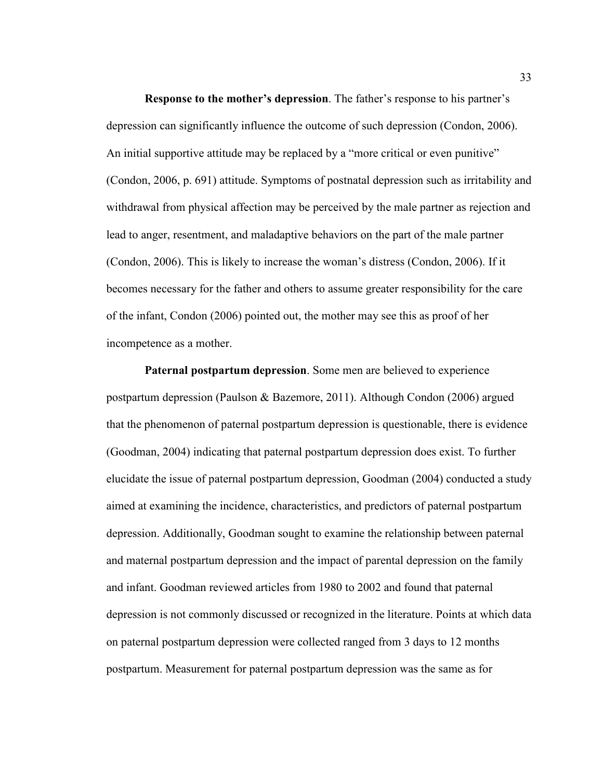**Response to the mother's depression**. The father's response to his partner's depression can significantly influence the outcome of such depression (Condon, 2006). An initial supportive attitude may be replaced by a "more critical or even punitive" (Condon, 2006, p. 691) attitude. Symptoms of postnatal depression such as irritability and withdrawal from physical affection may be perceived by the male partner as rejection and lead to anger, resentment, and maladaptive behaviors on the part of the male partner (Condon, 2006). This is likely to increase the woman's distress (Condon, 2006). If it becomes necessary for the father and others to assume greater responsibility for the care of the infant, Condon (2006) pointed out, the mother may see this as proof of her incompetence as a mother.

**Paternal postpartum depression**. Some men are believed to experience postpartum depression (Paulson & Bazemore, 2011). Although Condon (2006) argued that the phenomenon of paternal postpartum depression is questionable, there is evidence (Goodman, 2004) indicating that paternal postpartum depression does exist. To further elucidate the issue of paternal postpartum depression, Goodman (2004) conducted a study aimed at examining the incidence, characteristics, and predictors of paternal postpartum depression. Additionally, Goodman sought to examine the relationship between paternal and maternal postpartum depression and the impact of parental depression on the family and infant. Goodman reviewed articles from 1980 to 2002 and found that paternal depression is not commonly discussed or recognized in the literature. Points at which data on paternal postpartum depression were collected ranged from 3 days to 12 months postpartum. Measurement for paternal postpartum depression was the same as for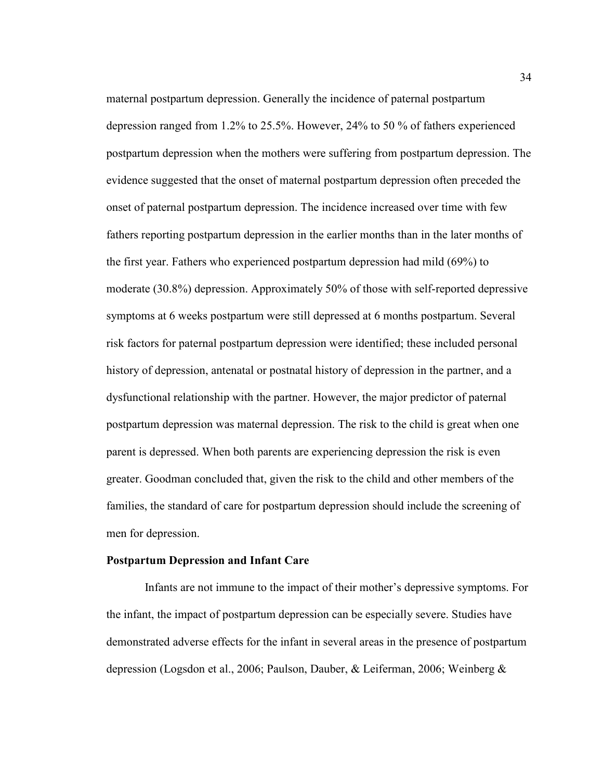maternal postpartum depression. Generally the incidence of paternal postpartum depression ranged from 1.2% to 25.5%. However, 24% to 50 % of fathers experienced postpartum depression when the mothers were suffering from postpartum depression. The evidence suggested that the onset of maternal postpartum depression often preceded the onset of paternal postpartum depression. The incidence increased over time with few fathers reporting postpartum depression in the earlier months than in the later months of the first year. Fathers who experienced postpartum depression had mild (69%) to moderate (30.8%) depression. Approximately 50% of those with self-reported depressive symptoms at 6 weeks postpartum were still depressed at 6 months postpartum. Several risk factors for paternal postpartum depression were identified; these included personal history of depression, antenatal or postnatal history of depression in the partner, and a dysfunctional relationship with the partner. However, the major predictor of paternal postpartum depression was maternal depression. The risk to the child is great when one parent is depressed. When both parents are experiencing depression the risk is even greater. Goodman concluded that, given the risk to the child and other members of the families, the standard of care for postpartum depression should include the screening of men for depression.

### **Postpartum Depression and Infant Care**

 Infants are not immune to the impact of their mother's depressive symptoms. For the infant, the impact of postpartum depression can be especially severe. Studies have demonstrated adverse effects for the infant in several areas in the presence of postpartum depression (Logsdon et al., 2006; Paulson, Dauber, & Leiferman, 2006; Weinberg &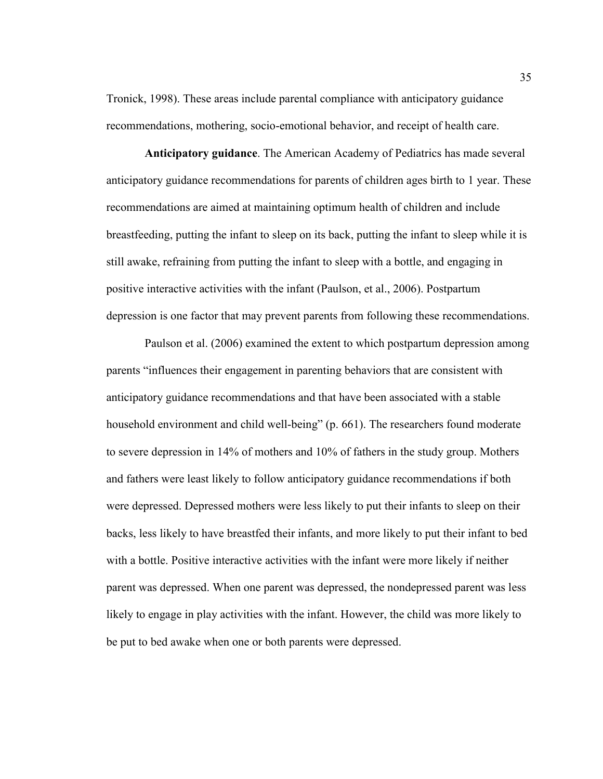Tronick, 1998). These areas include parental compliance with anticipatory guidance recommendations, mothering, socio-emotional behavior, and receipt of health care.

**Anticipatory guidance**. The American Academy of Pediatrics has made several anticipatory guidance recommendations for parents of children ages birth to 1 year. These recommendations are aimed at maintaining optimum health of children and include breastfeeding, putting the infant to sleep on its back, putting the infant to sleep while it is still awake, refraining from putting the infant to sleep with a bottle, and engaging in positive interactive activities with the infant (Paulson, et al., 2006). Postpartum depression is one factor that may prevent parents from following these recommendations.

 Paulson et al. (2006) examined the extent to which postpartum depression among parents "influences their engagement in parenting behaviors that are consistent with anticipatory guidance recommendations and that have been associated with a stable household environment and child well-being" (p. 661). The researchers found moderate to severe depression in 14% of mothers and 10% of fathers in the study group. Mothers and fathers were least likely to follow anticipatory guidance recommendations if both were depressed. Depressed mothers were less likely to put their infants to sleep on their backs, less likely to have breastfed their infants, and more likely to put their infant to bed with a bottle. Positive interactive activities with the infant were more likely if neither parent was depressed. When one parent was depressed, the nondepressed parent was less likely to engage in play activities with the infant. However, the child was more likely to be put to bed awake when one or both parents were depressed.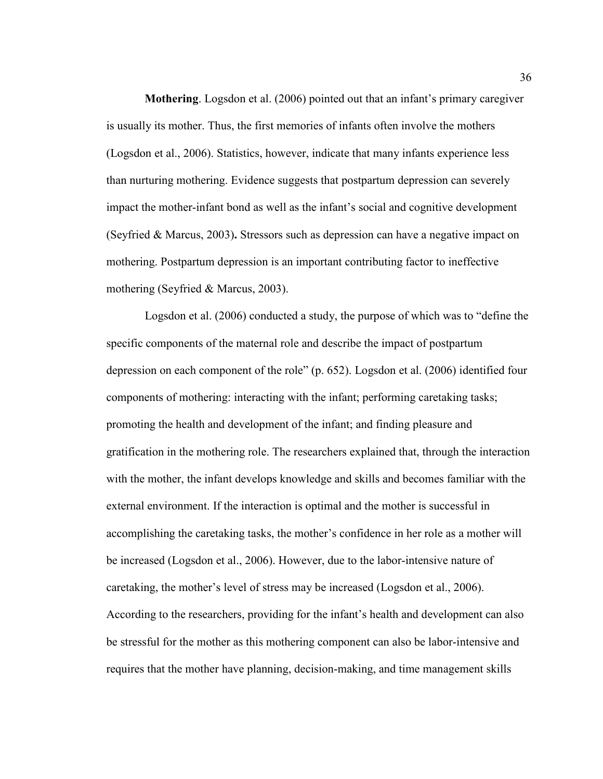**Mothering**. Logsdon et al. (2006) pointed out that an infant's primary caregiver is usually its mother. Thus, the first memories of infants often involve the mothers (Logsdon et al., 2006). Statistics, however, indicate that many infants experience less than nurturing mothering. Evidence suggests that postpartum depression can severely impact the mother-infant bond as well as the infant's social and cognitive development (Seyfried & Marcus, 2003)**.** Stressors such as depression can have a negative impact on mothering. Postpartum depression is an important contributing factor to ineffective mothering (Seyfried & Marcus, 2003).

 Logsdon et al. (2006) conducted a study, the purpose of which was to "define the specific components of the maternal role and describe the impact of postpartum depression on each component of the role" (p. 652). Logsdon et al. (2006) identified four components of mothering: interacting with the infant; performing caretaking tasks; promoting the health and development of the infant; and finding pleasure and gratification in the mothering role. The researchers explained that, through the interaction with the mother, the infant develops knowledge and skills and becomes familiar with the external environment. If the interaction is optimal and the mother is successful in accomplishing the caretaking tasks, the mother's confidence in her role as a mother will be increased (Logsdon et al., 2006). However, due to the labor-intensive nature of caretaking, the mother's level of stress may be increased (Logsdon et al., 2006). According to the researchers, providing for the infant's health and development can also be stressful for the mother as this mothering component can also be labor-intensive and requires that the mother have planning, decision-making, and time management skills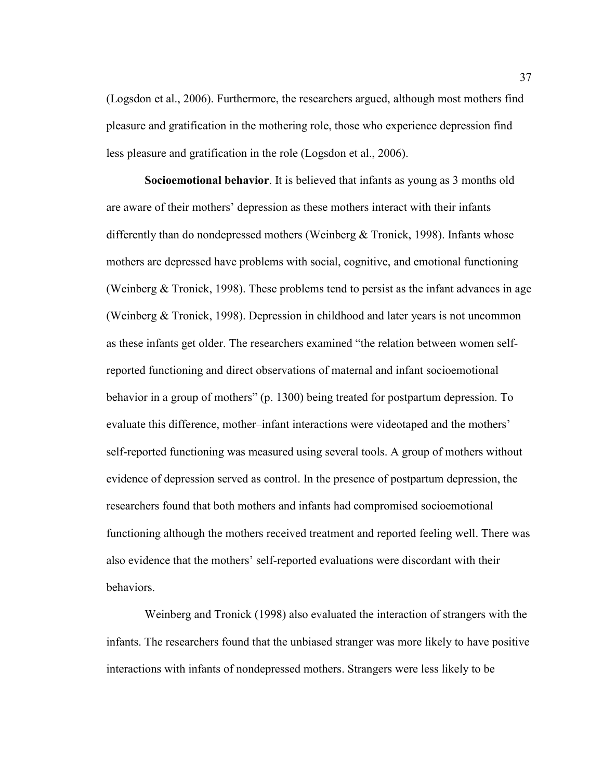(Logsdon et al., 2006). Furthermore, the researchers argued, although most mothers find pleasure and gratification in the mothering role, those who experience depression find less pleasure and gratification in the role (Logsdon et al., 2006).

**Socioemotional behavior**. It is believed that infants as young as 3 months old are aware of their mothers' depression as these mothers interact with their infants differently than do nondepressed mothers (Weinberg & Tronick, 1998). Infants whose mothers are depressed have problems with social, cognitive, and emotional functioning (Weinberg  $&$  Tronick, 1998). These problems tend to persist as the infant advances in age (Weinberg & Tronick, 1998). Depression in childhood and later years is not uncommon as these infants get older. The researchers examined "the relation between women selfreported functioning and direct observations of maternal and infant socioemotional behavior in a group of mothers" (p. 1300) being treated for postpartum depression. To evaluate this difference, mother–infant interactions were videotaped and the mothers' self-reported functioning was measured using several tools. A group of mothers without evidence of depression served as control. In the presence of postpartum depression, the researchers found that both mothers and infants had compromised socioemotional functioning although the mothers received treatment and reported feeling well. There was also evidence that the mothers' self-reported evaluations were discordant with their behaviors.

 Weinberg and Tronick (1998) also evaluated the interaction of strangers with the infants. The researchers found that the unbiased stranger was more likely to have positive interactions with infants of nondepressed mothers. Strangers were less likely to be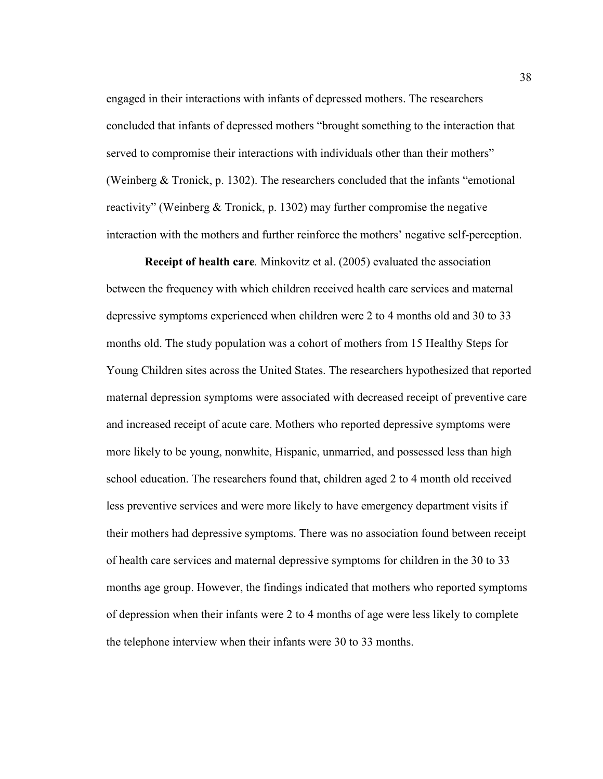engaged in their interactions with infants of depressed mothers. The researchers concluded that infants of depressed mothers "brought something to the interaction that served to compromise their interactions with individuals other than their mothers" (Weinberg & Tronick, p. 1302). The researchers concluded that the infants "emotional reactivity" (Weinberg & Tronick, p. 1302) may further compromise the negative interaction with the mothers and further reinforce the mothers' negative self-perception.

**Receipt of health care***.* Minkovitz et al. (2005) evaluated the association between the frequency with which children received health care services and maternal depressive symptoms experienced when children were 2 to 4 months old and 30 to 33 months old. The study population was a cohort of mothers from 15 Healthy Steps for Young Children sites across the United States. The researchers hypothesized that reported maternal depression symptoms were associated with decreased receipt of preventive care and increased receipt of acute care. Mothers who reported depressive symptoms were more likely to be young, nonwhite, Hispanic, unmarried, and possessed less than high school education. The researchers found that, children aged 2 to 4 month old received less preventive services and were more likely to have emergency department visits if their mothers had depressive symptoms. There was no association found between receipt of health care services and maternal depressive symptoms for children in the 30 to 33 months age group. However, the findings indicated that mothers who reported symptoms of depression when their infants were 2 to 4 months of age were less likely to complete the telephone interview when their infants were 30 to 33 months.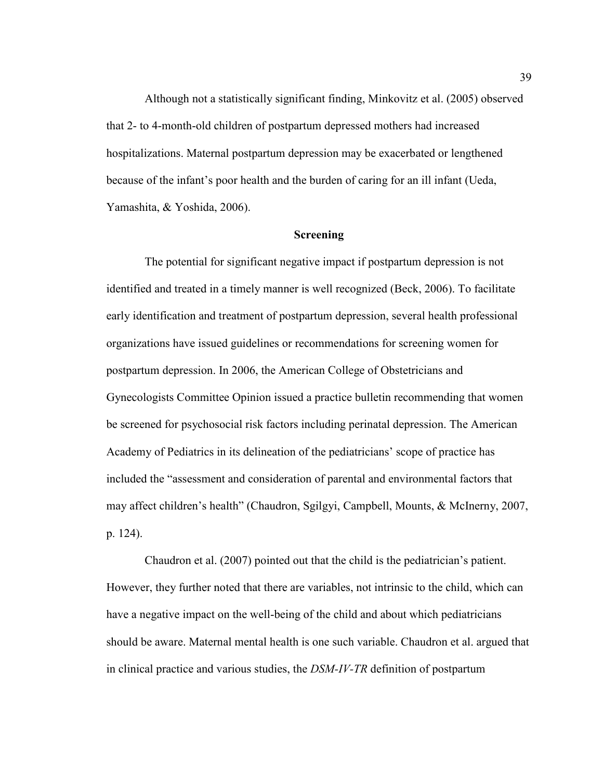Although not a statistically significant finding, Minkovitz et al. (2005) observed that 2- to 4-month-old children of postpartum depressed mothers had increased hospitalizations. Maternal postpartum depression may be exacerbated or lengthened because of the infant's poor health and the burden of caring for an ill infant (Ueda, Yamashita, & Yoshida, 2006).

### **Screening**

 The potential for significant negative impact if postpartum depression is not identified and treated in a timely manner is well recognized (Beck, 2006). To facilitate early identification and treatment of postpartum depression, several health professional organizations have issued guidelines or recommendations for screening women for postpartum depression. In 2006, the American College of Obstetricians and Gynecologists Committee Opinion issued a practice bulletin recommending that women be screened for psychosocial risk factors including perinatal depression. The American Academy of Pediatrics in its delineation of the pediatricians' scope of practice has included the "assessment and consideration of parental and environmental factors that may affect children's health" (Chaudron, Sgilgyi, Campbell, Mounts, & McInerny, 2007, p. 124).

 Chaudron et al. (2007) pointed out that the child is the pediatrician's patient. However, they further noted that there are variables, not intrinsic to the child, which can have a negative impact on the well-being of the child and about which pediatricians should be aware. Maternal mental health is one such variable. Chaudron et al. argued that in clinical practice and various studies, the *DSM-IV-TR* definition of postpartum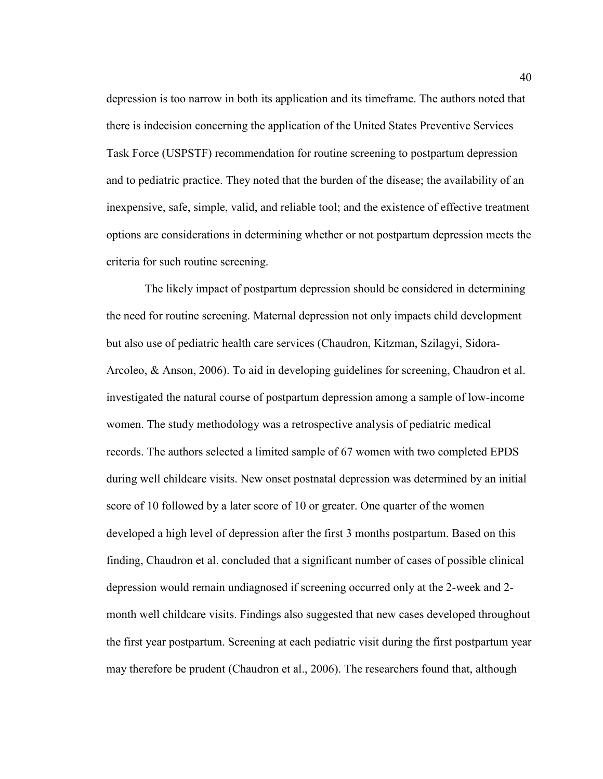depression is too narrow in both its application and its timeframe. The authors noted that there is indecision concerning the application of the United States Preventive Services Task Force (USPSTF) recommendation for routine screening to postpartum depression and to pediatric practice. They noted that the burden of the disease; the availability of an inexpensive, safe, simple, valid, and reliable tool; and the existence of effective treatment options are considerations in determining whether or not postpartum depression meets the criteria for such routine screening.

 The likely impact of postpartum depression should be considered in determining the need for routine screening. Maternal depression not only impacts child development but also use of pediatric health care services (Chaudron, Kitzman, Szilagyi, Sidora-Arcoleo, & Anson, 2006). To aid in developing guidelines for screening, Chaudron et al. investigated the natural course of postpartum depression among a sample of low-income women. The study methodology was a retrospective analysis of pediatric medical records. The authors selected a limited sample of 67 women with two completed EPDS during well childcare visits. New onset postnatal depression was determined by an initial score of 10 followed by a later score of 10 or greater. One quarter of the women developed a high level of depression after the first 3 months postpartum. Based on this finding, Chaudron et al. concluded that a significant number of cases of possible clinical depression would remain undiagnosed if screening occurred only at the 2-week and 2 month well childcare visits. Findings also suggested that new cases developed throughout the first year postpartum. Screening at each pediatric visit during the first postpartum year may therefore be prudent (Chaudron et al., 2006). The researchers found that, although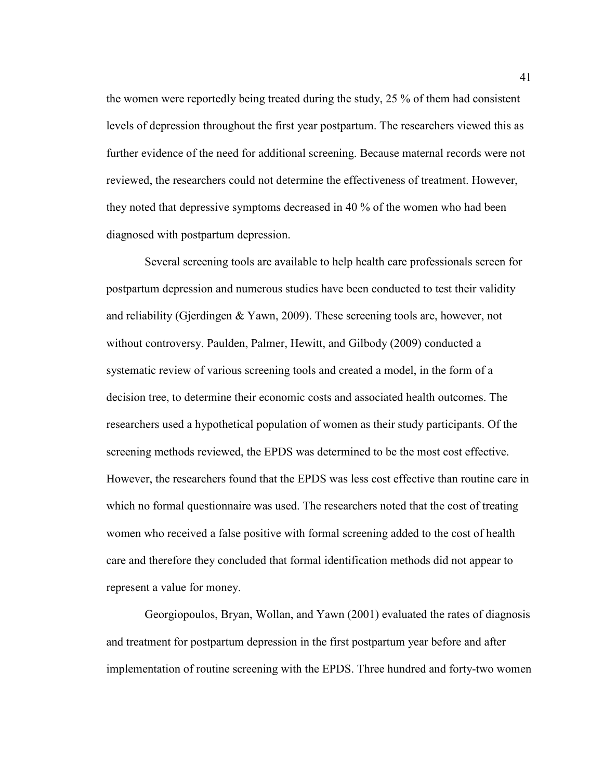the women were reportedly being treated during the study, 25 % of them had consistent levels of depression throughout the first year postpartum. The researchers viewed this as further evidence of the need for additional screening. Because maternal records were not reviewed, the researchers could not determine the effectiveness of treatment. However, they noted that depressive symptoms decreased in 40 % of the women who had been diagnosed with postpartum depression.

 Several screening tools are available to help health care professionals screen for postpartum depression and numerous studies have been conducted to test their validity and reliability (Gjerdingen & Yawn, 2009). These screening tools are, however, not without controversy. Paulden, Palmer, Hewitt, and Gilbody (2009) conducted a systematic review of various screening tools and created a model, in the form of a decision tree, to determine their economic costs and associated health outcomes. The researchers used a hypothetical population of women as their study participants. Of the screening methods reviewed, the EPDS was determined to be the most cost effective. However, the researchers found that the EPDS was less cost effective than routine care in which no formal questionnaire was used. The researchers noted that the cost of treating women who received a false positive with formal screening added to the cost of health care and therefore they concluded that formal identification methods did not appear to represent a value for money.

 Georgiopoulos, Bryan, Wollan, and Yawn (2001) evaluated the rates of diagnosis and treatment for postpartum depression in the first postpartum year before and after implementation of routine screening with the EPDS. Three hundred and forty-two women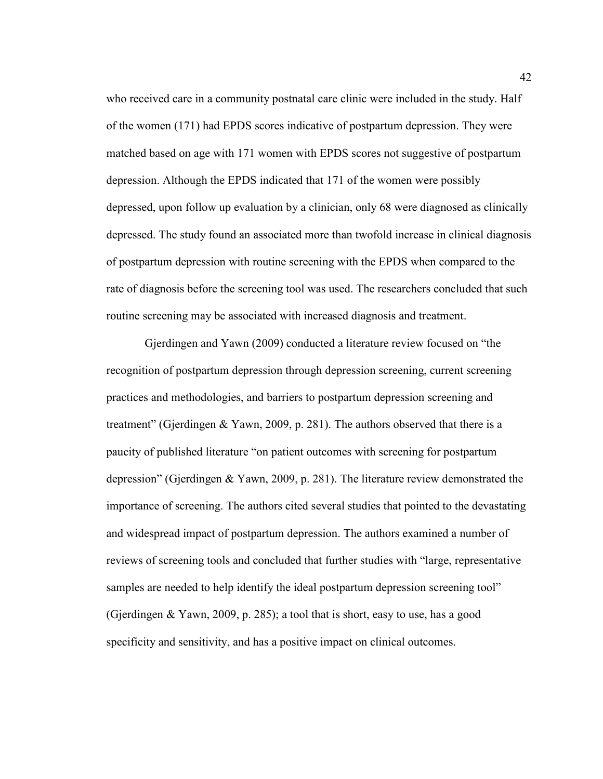who received care in a community postnatal care clinic were included in the study. Half of the women (171) had EPDS scores indicative of postpartum depression. They were matched based on age with 171 women with EPDS scores not suggestive of postpartum depression. Although the EPDS indicated that 171 of the women were possibly depressed, upon follow up evaluation by a clinician, only 68 were diagnosed as clinically depressed. The study found an associated more than twofold increase in clinical diagnosis of postpartum depression with routine screening with the EPDS when compared to the rate of diagnosis before the screening tool was used. The researchers concluded that such routine screening may be associated with increased diagnosis and treatment.

 Gjerdingen and Yawn (2009) conducted a literature review focused on "the recognition of postpartum depression through depression screening, current screening practices and methodologies, and barriers to postpartum depression screening and treatment" (Gjerdingen & Yawn, 2009, p. 281). The authors observed that there is a paucity of published literature "on patient outcomes with screening for postpartum depression" (Gjerdingen & Yawn, 2009, p. 281). The literature review demonstrated the importance of screening. The authors cited several studies that pointed to the devastating and widespread impact of postpartum depression. The authors examined a number of reviews of screening tools and concluded that further studies with "large, representative samples are needed to help identify the ideal postpartum depression screening tool" (Gjerdingen & Yawn, 2009, p. 285); a tool that is short, easy to use, has a good specificity and sensitivity, and has a positive impact on clinical outcomes.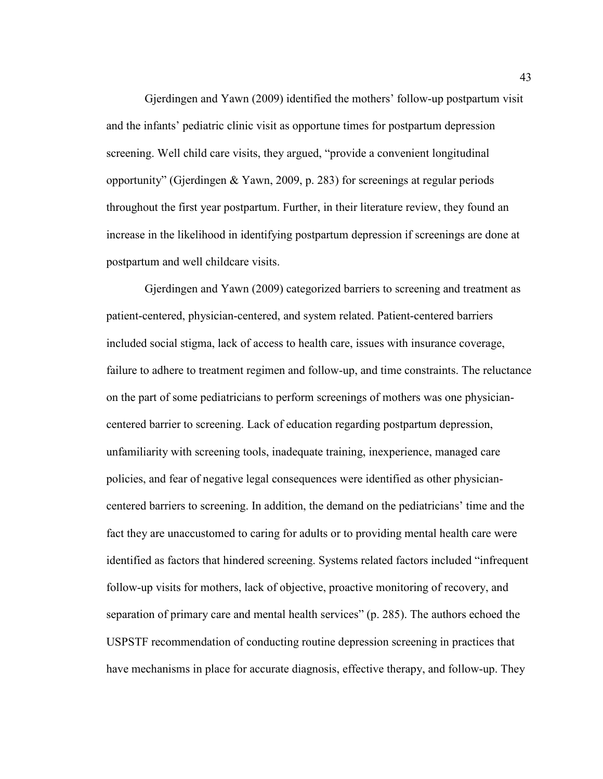Gjerdingen and Yawn (2009) identified the mothers' follow-up postpartum visit and the infants' pediatric clinic visit as opportune times for postpartum depression screening. Well child care visits, they argued, "provide a convenient longitudinal opportunity" (Gjerdingen & Yawn, 2009, p. 283) for screenings at regular periods throughout the first year postpartum. Further, in their literature review, they found an increase in the likelihood in identifying postpartum depression if screenings are done at postpartum and well childcare visits.

 Gjerdingen and Yawn (2009) categorized barriers to screening and treatment as patient-centered, physician-centered, and system related. Patient-centered barriers included social stigma, lack of access to health care, issues with insurance coverage, failure to adhere to treatment regimen and follow-up, and time constraints. The reluctance on the part of some pediatricians to perform screenings of mothers was one physiciancentered barrier to screening. Lack of education regarding postpartum depression, unfamiliarity with screening tools, inadequate training, inexperience, managed care policies, and fear of negative legal consequences were identified as other physiciancentered barriers to screening. In addition, the demand on the pediatricians' time and the fact they are unaccustomed to caring for adults or to providing mental health care were identified as factors that hindered screening. Systems related factors included "infrequent follow-up visits for mothers, lack of objective, proactive monitoring of recovery, and separation of primary care and mental health services" (p. 285). The authors echoed the USPSTF recommendation of conducting routine depression screening in practices that have mechanisms in place for accurate diagnosis, effective therapy, and follow-up. They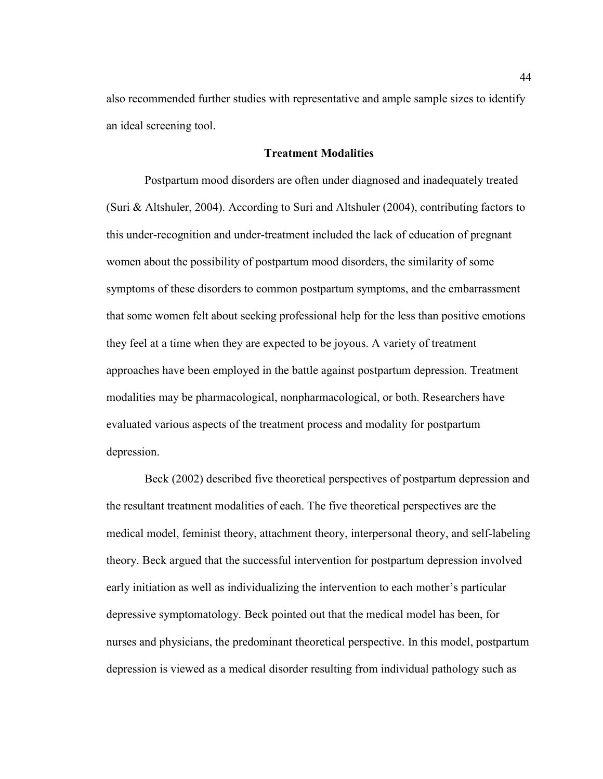also recommended further studies with representative and ample sample sizes to identify an ideal screening tool.

# **Treatment Modalities**

 Postpartum mood disorders are often under diagnosed and inadequately treated (Suri & Altshuler, 2004). According to Suri and Altshuler (2004), contributing factors to this under-recognition and under-treatment included the lack of education of pregnant women about the possibility of postpartum mood disorders, the similarity of some symptoms of these disorders to common postpartum symptoms, and the embarrassment that some women felt about seeking professional help for the less than positive emotions they feel at a time when they are expected to be joyous. A variety of treatment approaches have been employed in the battle against postpartum depression. Treatment modalities may be pharmacological, nonpharmacological, or both. Researchers have evaluated various aspects of the treatment process and modality for postpartum depression.

 Beck (2002) described five theoretical perspectives of postpartum depression and the resultant treatment modalities of each. The five theoretical perspectives are the medical model, feminist theory, attachment theory, interpersonal theory, and self-labeling theory. Beck argued that the successful intervention for postpartum depression involved early initiation as well as individualizing the intervention to each mother's particular depressive symptomatology. Beck pointed out that the medical model has been, for nurses and physicians, the predominant theoretical perspective. In this model, postpartum depression is viewed as a medical disorder resulting from individual pathology such as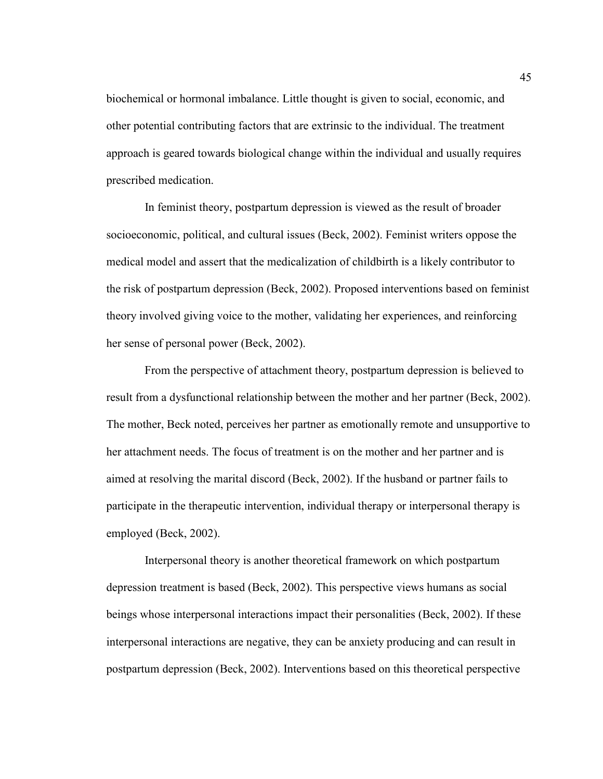biochemical or hormonal imbalance. Little thought is given to social, economic, and other potential contributing factors that are extrinsic to the individual. The treatment approach is geared towards biological change within the individual and usually requires prescribed medication.

 In feminist theory, postpartum depression is viewed as the result of broader socioeconomic, political, and cultural issues (Beck, 2002). Feminist writers oppose the medical model and assert that the medicalization of childbirth is a likely contributor to the risk of postpartum depression (Beck, 2002). Proposed interventions based on feminist theory involved giving voice to the mother, validating her experiences, and reinforcing her sense of personal power (Beck, 2002).

 From the perspective of attachment theory, postpartum depression is believed to result from a dysfunctional relationship between the mother and her partner (Beck, 2002). The mother, Beck noted, perceives her partner as emotionally remote and unsupportive to her attachment needs. The focus of treatment is on the mother and her partner and is aimed at resolving the marital discord (Beck, 2002). If the husband or partner fails to participate in the therapeutic intervention, individual therapy or interpersonal therapy is employed (Beck, 2002).

 Interpersonal theory is another theoretical framework on which postpartum depression treatment is based (Beck, 2002). This perspective views humans as social beings whose interpersonal interactions impact their personalities (Beck, 2002). If these interpersonal interactions are negative, they can be anxiety producing and can result in postpartum depression (Beck, 2002). Interventions based on this theoretical perspective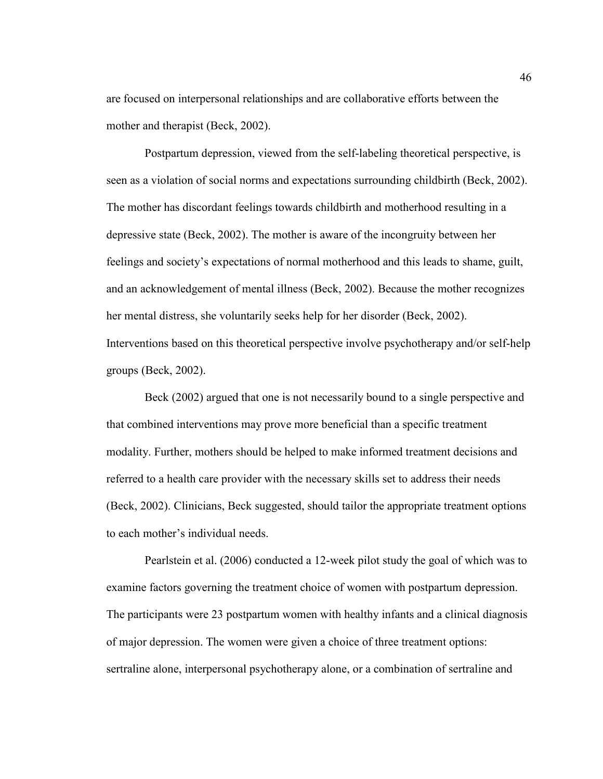are focused on interpersonal relationships and are collaborative efforts between the mother and therapist (Beck, 2002).

 Postpartum depression, viewed from the self-labeling theoretical perspective, is seen as a violation of social norms and expectations surrounding childbirth (Beck, 2002). The mother has discordant feelings towards childbirth and motherhood resulting in a depressive state (Beck, 2002). The mother is aware of the incongruity between her feelings and society's expectations of normal motherhood and this leads to shame, guilt, and an acknowledgement of mental illness (Beck, 2002). Because the mother recognizes her mental distress, she voluntarily seeks help for her disorder (Beck, 2002). Interventions based on this theoretical perspective involve psychotherapy and/or self-help groups (Beck, 2002).

 Beck (2002) argued that one is not necessarily bound to a single perspective and that combined interventions may prove more beneficial than a specific treatment modality. Further, mothers should be helped to make informed treatment decisions and referred to a health care provider with the necessary skills set to address their needs (Beck, 2002). Clinicians, Beck suggested, should tailor the appropriate treatment options to each mother's individual needs.

 Pearlstein et al. (2006) conducted a 12-week pilot study the goal of which was to examine factors governing the treatment choice of women with postpartum depression. The participants were 23 postpartum women with healthy infants and a clinical diagnosis of major depression. The women were given a choice of three treatment options: sertraline alone, interpersonal psychotherapy alone, or a combination of sertraline and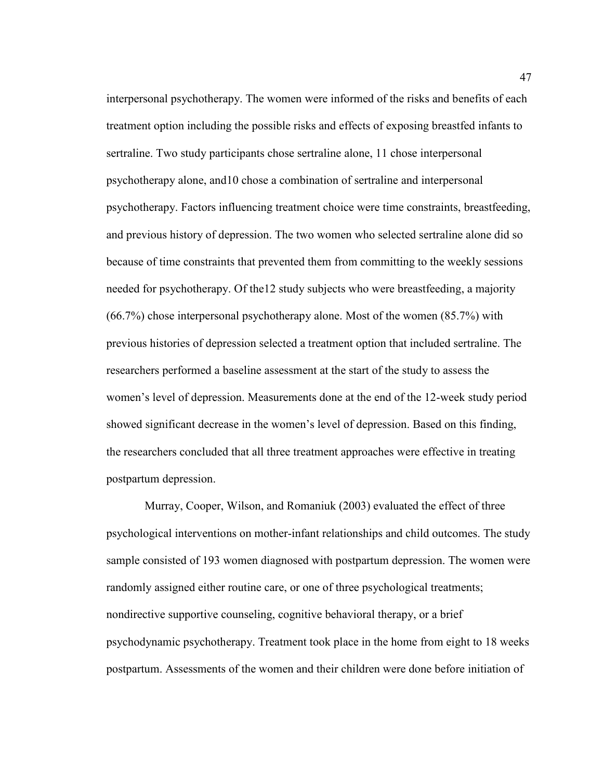interpersonal psychotherapy. The women were informed of the risks and benefits of each treatment option including the possible risks and effects of exposing breastfed infants to sertraline. Two study participants chose sertraline alone, 11 chose interpersonal psychotherapy alone, and10 chose a combination of sertraline and interpersonal psychotherapy. Factors influencing treatment choice were time constraints, breastfeeding, and previous history of depression. The two women who selected sertraline alone did so because of time constraints that prevented them from committing to the weekly sessions needed for psychotherapy. Of the12 study subjects who were breastfeeding, a majority (66.7%) chose interpersonal psychotherapy alone. Most of the women (85.7%) with previous histories of depression selected a treatment option that included sertraline. The researchers performed a baseline assessment at the start of the study to assess the women's level of depression. Measurements done at the end of the 12-week study period showed significant decrease in the women's level of depression. Based on this finding, the researchers concluded that all three treatment approaches were effective in treating postpartum depression.

 Murray, Cooper, Wilson, and Romaniuk (2003) evaluated the effect of three psychological interventions on mother-infant relationships and child outcomes. The study sample consisted of 193 women diagnosed with postpartum depression. The women were randomly assigned either routine care, or one of three psychological treatments; nondirective supportive counseling, cognitive behavioral therapy, or a brief psychodynamic psychotherapy. Treatment took place in the home from eight to 18 weeks postpartum. Assessments of the women and their children were done before initiation of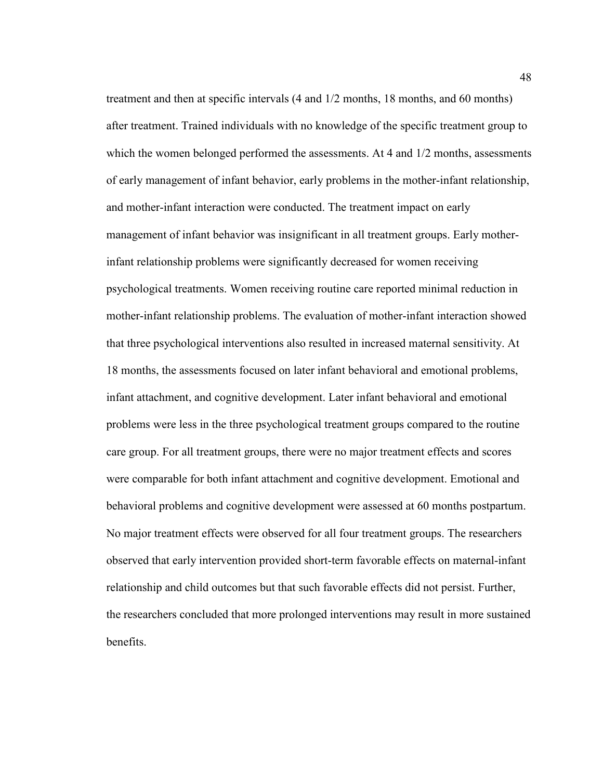treatment and then at specific intervals (4 and 1/2 months, 18 months, and 60 months) after treatment. Trained individuals with no knowledge of the specific treatment group to which the women belonged performed the assessments. At 4 and  $1/2$  months, assessments of early management of infant behavior, early problems in the mother-infant relationship, and mother-infant interaction were conducted. The treatment impact on early management of infant behavior was insignificant in all treatment groups. Early motherinfant relationship problems were significantly decreased for women receiving psychological treatments. Women receiving routine care reported minimal reduction in mother-infant relationship problems. The evaluation of mother-infant interaction showed that three psychological interventions also resulted in increased maternal sensitivity. At 18 months, the assessments focused on later infant behavioral and emotional problems, infant attachment, and cognitive development. Later infant behavioral and emotional problems were less in the three psychological treatment groups compared to the routine care group. For all treatment groups, there were no major treatment effects and scores were comparable for both infant attachment and cognitive development. Emotional and behavioral problems and cognitive development were assessed at 60 months postpartum. No major treatment effects were observed for all four treatment groups. The researchers observed that early intervention provided short-term favorable effects on maternal-infant relationship and child outcomes but that such favorable effects did not persist. Further, the researchers concluded that more prolonged interventions may result in more sustained benefits.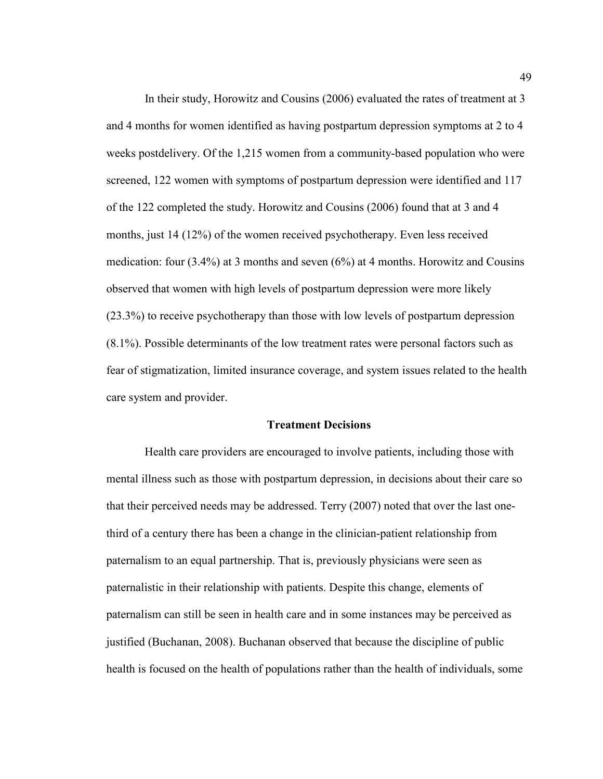In their study, Horowitz and Cousins (2006) evaluated the rates of treatment at 3 and 4 months for women identified as having postpartum depression symptoms at 2 to 4 weeks postdelivery. Of the 1,215 women from a community-based population who were screened, 122 women with symptoms of postpartum depression were identified and 117 of the 122 completed the study. Horowitz and Cousins (2006) found that at 3 and 4 months, just 14 (12%) of the women received psychotherapy. Even less received medication: four (3.4%) at 3 months and seven (6%) at 4 months. Horowitz and Cousins observed that women with high levels of postpartum depression were more likely (23.3%) to receive psychotherapy than those with low levels of postpartum depression (8.1%). Possible determinants of the low treatment rates were personal factors such as fear of stigmatization, limited insurance coverage, and system issues related to the health care system and provider.

### **Treatment Decisions**

 Health care providers are encouraged to involve patients, including those with mental illness such as those with postpartum depression, in decisions about their care so that their perceived needs may be addressed. Terry (2007) noted that over the last onethird of a century there has been a change in the clinician-patient relationship from paternalism to an equal partnership. That is, previously physicians were seen as paternalistic in their relationship with patients. Despite this change, elements of paternalism can still be seen in health care and in some instances may be perceived as justified (Buchanan, 2008). Buchanan observed that because the discipline of public health is focused on the health of populations rather than the health of individuals, some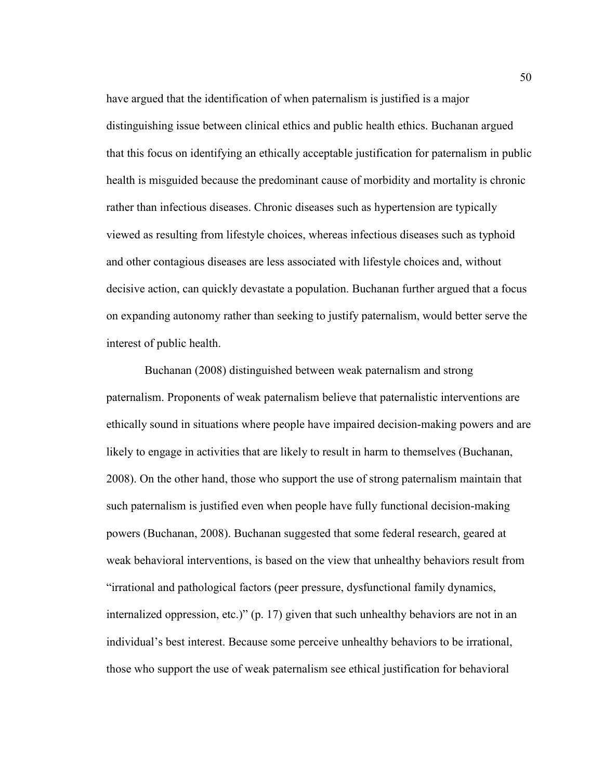have argued that the identification of when paternalism is justified is a major distinguishing issue between clinical ethics and public health ethics. Buchanan argued that this focus on identifying an ethically acceptable justification for paternalism in public health is misguided because the predominant cause of morbidity and mortality is chronic rather than infectious diseases. Chronic diseases such as hypertension are typically viewed as resulting from lifestyle choices, whereas infectious diseases such as typhoid and other contagious diseases are less associated with lifestyle choices and, without decisive action, can quickly devastate a population. Buchanan further argued that a focus on expanding autonomy rather than seeking to justify paternalism, would better serve the interest of public health.

 Buchanan (2008) distinguished between weak paternalism and strong paternalism. Proponents of weak paternalism believe that paternalistic interventions are ethically sound in situations where people have impaired decision-making powers and are likely to engage in activities that are likely to result in harm to themselves (Buchanan, 2008). On the other hand, those who support the use of strong paternalism maintain that such paternalism is justified even when people have fully functional decision-making powers (Buchanan, 2008). Buchanan suggested that some federal research, geared at weak behavioral interventions, is based on the view that unhealthy behaviors result from "irrational and pathological factors (peer pressure, dysfunctional family dynamics, internalized oppression, etc.)" (p. 17) given that such unhealthy behaviors are not in an individual's best interest. Because some perceive unhealthy behaviors to be irrational, those who support the use of weak paternalism see ethical justification for behavioral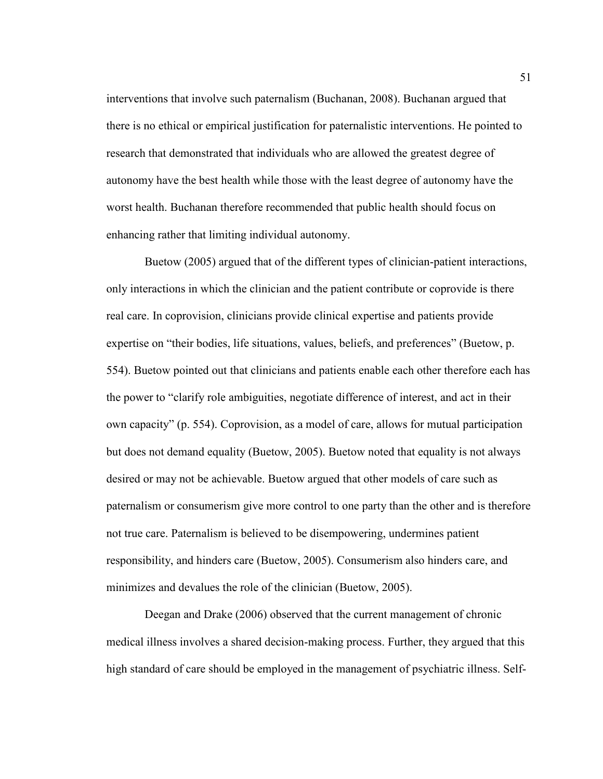interventions that involve such paternalism (Buchanan, 2008). Buchanan argued that there is no ethical or empirical justification for paternalistic interventions. He pointed to research that demonstrated that individuals who are allowed the greatest degree of autonomy have the best health while those with the least degree of autonomy have the worst health. Buchanan therefore recommended that public health should focus on enhancing rather that limiting individual autonomy.

 Buetow (2005) argued that of the different types of clinician-patient interactions, only interactions in which the clinician and the patient contribute or coprovide is there real care. In coprovision, clinicians provide clinical expertise and patients provide expertise on "their bodies, life situations, values, beliefs, and preferences" (Buetow, p. 554). Buetow pointed out that clinicians and patients enable each other therefore each has the power to "clarify role ambiguities, negotiate difference of interest, and act in their own capacity" (p. 554). Coprovision, as a model of care, allows for mutual participation but does not demand equality (Buetow, 2005). Buetow noted that equality is not always desired or may not be achievable. Buetow argued that other models of care such as paternalism or consumerism give more control to one party than the other and is therefore not true care. Paternalism is believed to be disempowering, undermines patient responsibility, and hinders care (Buetow, 2005). Consumerism also hinders care, and minimizes and devalues the role of the clinician (Buetow, 2005).

 Deegan and Drake (2006) observed that the current management of chronic medical illness involves a shared decision-making process. Further, they argued that this high standard of care should be employed in the management of psychiatric illness. Self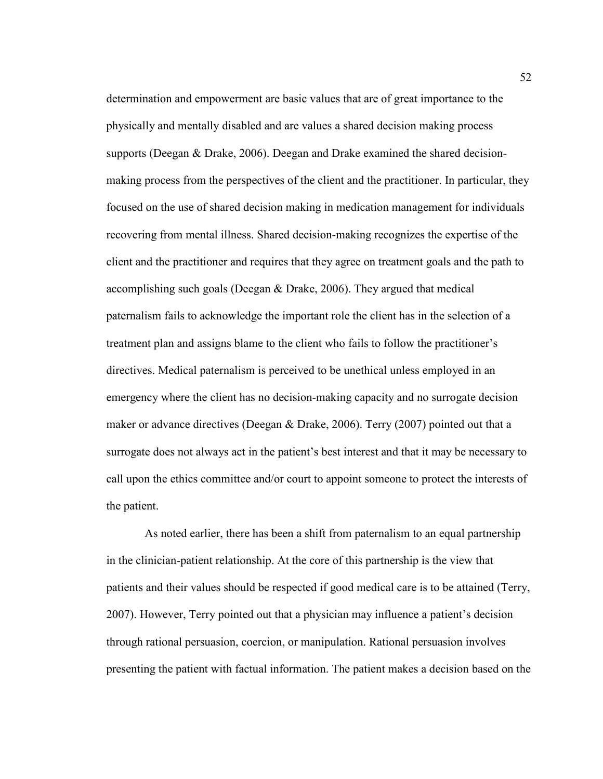determination and empowerment are basic values that are of great importance to the physically and mentally disabled and are values a shared decision making process supports (Deegan & Drake, 2006). Deegan and Drake examined the shared decisionmaking process from the perspectives of the client and the practitioner. In particular, they focused on the use of shared decision making in medication management for individuals recovering from mental illness. Shared decision-making recognizes the expertise of the client and the practitioner and requires that they agree on treatment goals and the path to accomplishing such goals (Deegan  $&$  Drake, 2006). They argued that medical paternalism fails to acknowledge the important role the client has in the selection of a treatment plan and assigns blame to the client who fails to follow the practitioner's directives. Medical paternalism is perceived to be unethical unless employed in an emergency where the client has no decision-making capacity and no surrogate decision maker or advance directives (Deegan & Drake, 2006). Terry (2007) pointed out that a surrogate does not always act in the patient's best interest and that it may be necessary to call upon the ethics committee and/or court to appoint someone to protect the interests of the patient.

 As noted earlier, there has been a shift from paternalism to an equal partnership in the clinician-patient relationship. At the core of this partnership is the view that patients and their values should be respected if good medical care is to be attained (Terry, 2007). However, Terry pointed out that a physician may influence a patient's decision through rational persuasion, coercion, or manipulation. Rational persuasion involves presenting the patient with factual information. The patient makes a decision based on the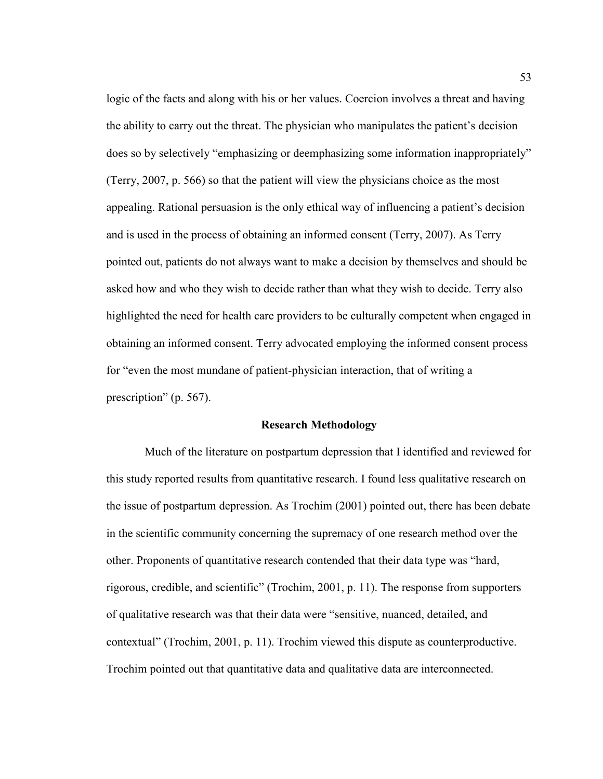logic of the facts and along with his or her values. Coercion involves a threat and having the ability to carry out the threat. The physician who manipulates the patient's decision does so by selectively "emphasizing or deemphasizing some information inappropriately" (Terry, 2007, p. 566) so that the patient will view the physicians choice as the most appealing. Rational persuasion is the only ethical way of influencing a patient's decision and is used in the process of obtaining an informed consent (Terry, 2007). As Terry pointed out, patients do not always want to make a decision by themselves and should be asked how and who they wish to decide rather than what they wish to decide. Terry also highlighted the need for health care providers to be culturally competent when engaged in obtaining an informed consent. Terry advocated employing the informed consent process for "even the most mundane of patient-physician interaction, that of writing a prescription" (p. 567).

## **Research Methodology**

 Much of the literature on postpartum depression that I identified and reviewed for this study reported results from quantitative research. I found less qualitative research on the issue of postpartum depression. As Trochim (2001) pointed out, there has been debate in the scientific community concerning the supremacy of one research method over the other. Proponents of quantitative research contended that their data type was "hard, rigorous, credible, and scientific" (Trochim, 2001, p. 11). The response from supporters of qualitative research was that their data were "sensitive, nuanced, detailed, and contextual" (Trochim, 2001, p. 11). Trochim viewed this dispute as counterproductive. Trochim pointed out that quantitative data and qualitative data are interconnected.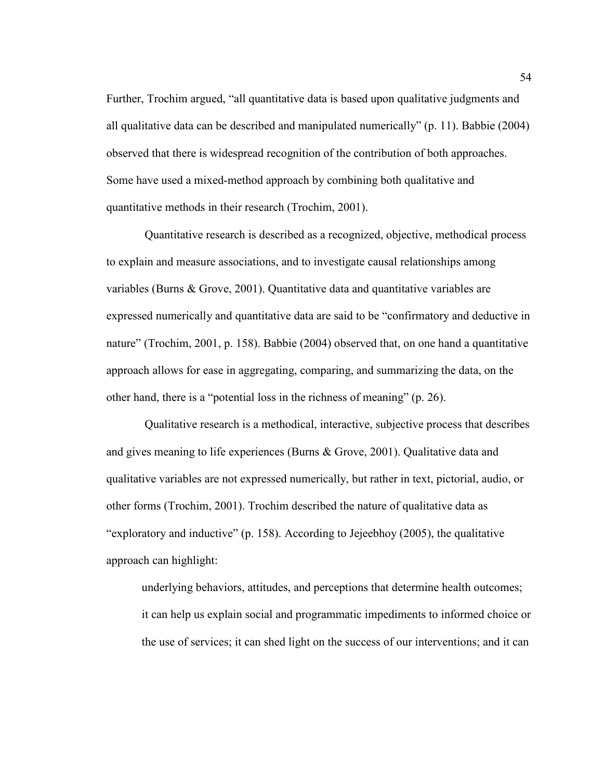Further, Trochim argued, "all quantitative data is based upon qualitative judgments and all qualitative data can be described and manipulated numerically" (p. 11). Babbie (2004) observed that there is widespread recognition of the contribution of both approaches. Some have used a mixed-method approach by combining both qualitative and quantitative methods in their research (Trochim, 2001).

 Quantitative research is described as a recognized, objective, methodical process to explain and measure associations, and to investigate causal relationships among variables (Burns & Grove, 2001). Quantitative data and quantitative variables are expressed numerically and quantitative data are said to be "confirmatory and deductive in nature" (Trochim, 2001, p. 158). Babbie (2004) observed that, on one hand a quantitative approach allows for ease in aggregating, comparing, and summarizing the data, on the other hand, there is a "potential loss in the richness of meaning" (p. 26).

 Qualitative research is a methodical, interactive, subjective process that describes and gives meaning to life experiences (Burns & Grove, 2001). Qualitative data and qualitative variables are not expressed numerically, but rather in text, pictorial, audio, or other forms (Trochim, 2001). Trochim described the nature of qualitative data as "exploratory and inductive" (p. 158). According to Jejeebhoy (2005), the qualitative approach can highlight:

underlying behaviors, attitudes, and perceptions that determine health outcomes; it can help us explain social and programmatic impediments to informed choice or the use of services; it can shed light on the success of our interventions; and it can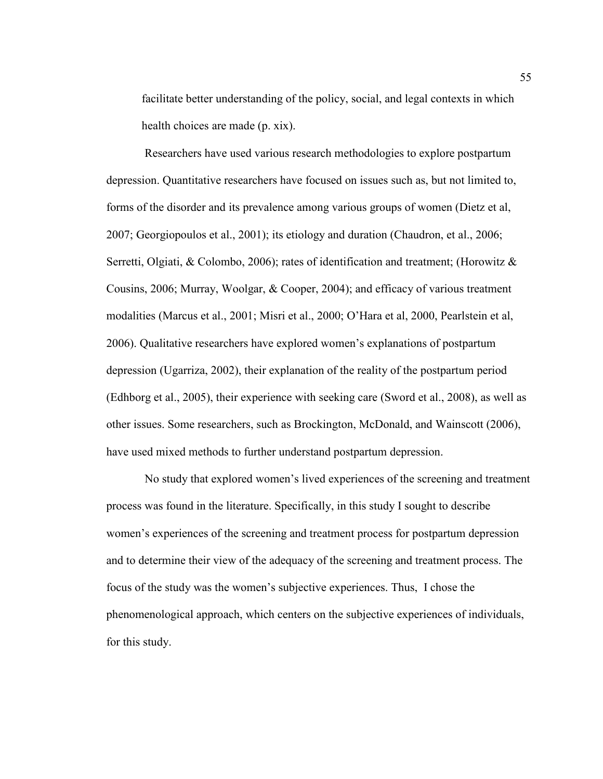facilitate better understanding of the policy, social, and legal contexts in which health choices are made (p. xix).

 Researchers have used various research methodologies to explore postpartum depression. Quantitative researchers have focused on issues such as, but not limited to, forms of the disorder and its prevalence among various groups of women (Dietz et al, 2007; Georgiopoulos et al., 2001); its etiology and duration (Chaudron, et al., 2006; Serretti, Olgiati, & Colombo, 2006); rates of identification and treatment; (Horowitz & Cousins, 2006; Murray, Woolgar, & Cooper, 2004); and efficacy of various treatment modalities (Marcus et al., 2001; Misri et al., 2000; O'Hara et al, 2000, Pearlstein et al, 2006). Qualitative researchers have explored women's explanations of postpartum depression (Ugarriza, 2002), their explanation of the reality of the postpartum period (Edhborg et al., 2005), their experience with seeking care (Sword et al., 2008), as well as other issues. Some researchers, such as Brockington, McDonald, and Wainscott (2006), have used mixed methods to further understand postpartum depression.

 No study that explored women's lived experiences of the screening and treatment process was found in the literature. Specifically, in this study I sought to describe women's experiences of the screening and treatment process for postpartum depression and to determine their view of the adequacy of the screening and treatment process. The focus of the study was the women's subjective experiences. Thus, I chose the phenomenological approach, which centers on the subjective experiences of individuals, for this study.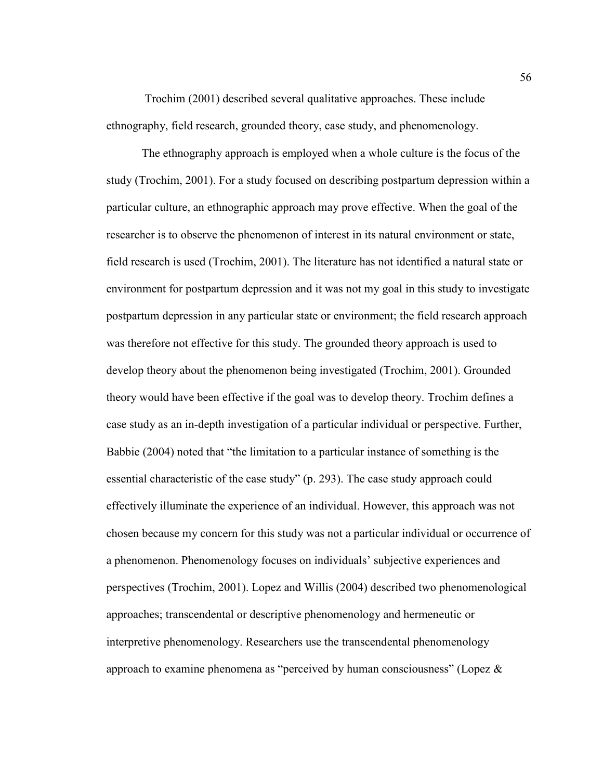Trochim (2001) described several qualitative approaches. These include ethnography, field research, grounded theory, case study, and phenomenology.

The ethnography approach is employed when a whole culture is the focus of the study (Trochim, 2001). For a study focused on describing postpartum depression within a particular culture, an ethnographic approach may prove effective. When the goal of the researcher is to observe the phenomenon of interest in its natural environment or state, field research is used (Trochim, 2001). The literature has not identified a natural state or environment for postpartum depression and it was not my goal in this study to investigate postpartum depression in any particular state or environment; the field research approach was therefore not effective for this study. The grounded theory approach is used to develop theory about the phenomenon being investigated (Trochim, 2001). Grounded theory would have been effective if the goal was to develop theory. Trochim defines a case study as an in-depth investigation of a particular individual or perspective. Further, Babbie (2004) noted that "the limitation to a particular instance of something is the essential characteristic of the case study" (p. 293). The case study approach could effectively illuminate the experience of an individual. However, this approach was not chosen because my concern for this study was not a particular individual or occurrence of a phenomenon. Phenomenology focuses on individuals' subjective experiences and perspectives (Trochim, 2001). Lopez and Willis (2004) described two phenomenological approaches; transcendental or descriptive phenomenology and hermeneutic or interpretive phenomenology. Researchers use the transcendental phenomenology approach to examine phenomena as "perceived by human consciousness" (Lopez &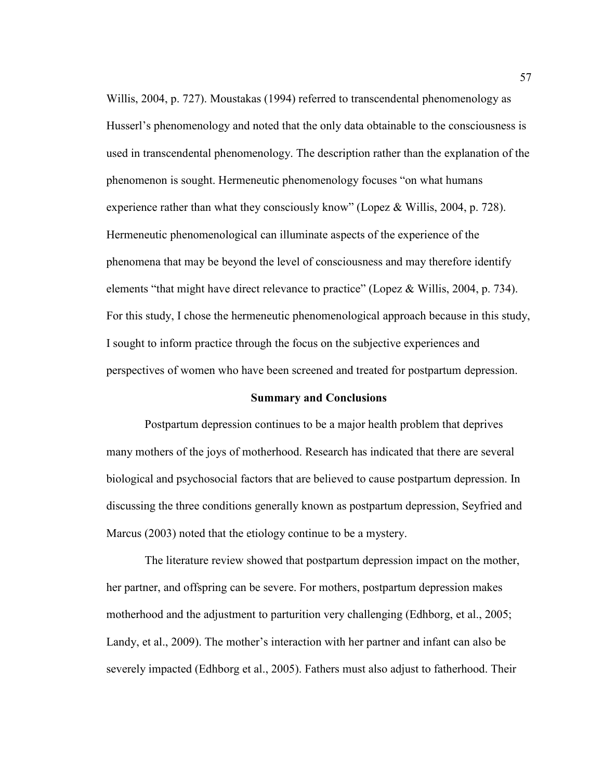Willis, 2004, p. 727). Moustakas (1994) referred to transcendental phenomenology as Husserl's phenomenology and noted that the only data obtainable to the consciousness is used in transcendental phenomenology. The description rather than the explanation of the phenomenon is sought. Hermeneutic phenomenology focuses "on what humans experience rather than what they consciously know" (Lopez & Willis, 2004, p. 728). Hermeneutic phenomenological can illuminate aspects of the experience of the phenomena that may be beyond the level of consciousness and may therefore identify elements "that might have direct relevance to practice" (Lopez & Willis, 2004, p. 734). For this study, I chose the hermeneutic phenomenological approach because in this study, I sought to inform practice through the focus on the subjective experiences and perspectives of women who have been screened and treated for postpartum depression.

## **Summary and Conclusions**

 Postpartum depression continues to be a major health problem that deprives many mothers of the joys of motherhood. Research has indicated that there are several biological and psychosocial factors that are believed to cause postpartum depression. In discussing the three conditions generally known as postpartum depression, Seyfried and Marcus (2003) noted that the etiology continue to be a mystery.

 The literature review showed that postpartum depression impact on the mother, her partner, and offspring can be severe. For mothers, postpartum depression makes motherhood and the adjustment to parturition very challenging (Edhborg, et al., 2005; Landy, et al., 2009). The mother's interaction with her partner and infant can also be severely impacted (Edhborg et al., 2005). Fathers must also adjust to fatherhood. Their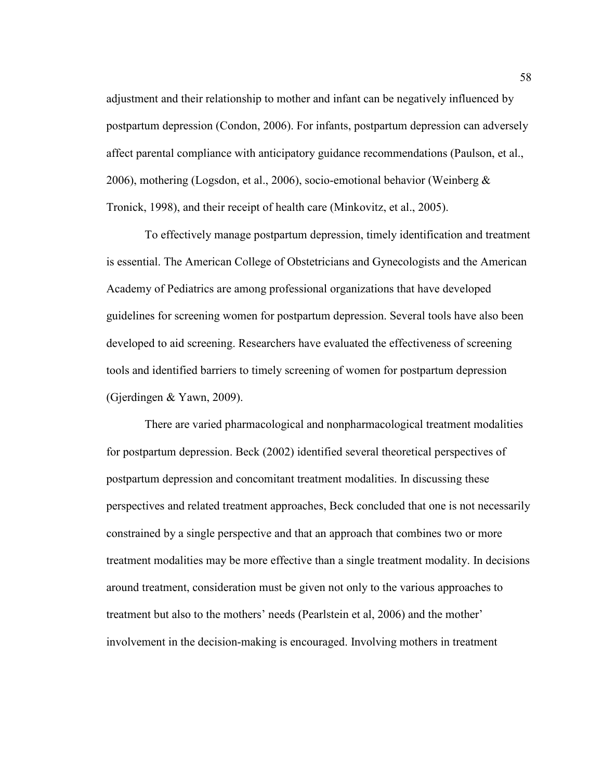adjustment and their relationship to mother and infant can be negatively influenced by postpartum depression (Condon, 2006). For infants, postpartum depression can adversely affect parental compliance with anticipatory guidance recommendations (Paulson, et al., 2006), mothering (Logsdon, et al., 2006), socio-emotional behavior (Weinberg & Tronick, 1998), and their receipt of health care (Minkovitz, et al., 2005).

 To effectively manage postpartum depression, timely identification and treatment is essential. The American College of Obstetricians and Gynecologists and the American Academy of Pediatrics are among professional organizations that have developed guidelines for screening women for postpartum depression. Several tools have also been developed to aid screening. Researchers have evaluated the effectiveness of screening tools and identified barriers to timely screening of women for postpartum depression (Gjerdingen & Yawn, 2009).

 There are varied pharmacological and nonpharmacological treatment modalities for postpartum depression. Beck (2002) identified several theoretical perspectives of postpartum depression and concomitant treatment modalities. In discussing these perspectives and related treatment approaches, Beck concluded that one is not necessarily constrained by a single perspective and that an approach that combines two or more treatment modalities may be more effective than a single treatment modality. In decisions around treatment, consideration must be given not only to the various approaches to treatment but also to the mothers' needs (Pearlstein et al, 2006) and the mother' involvement in the decision-making is encouraged. Involving mothers in treatment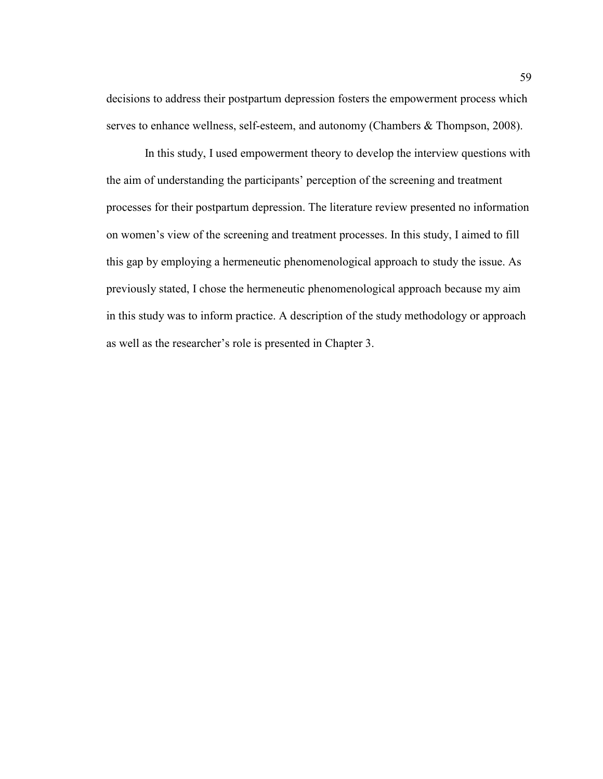decisions to address their postpartum depression fosters the empowerment process which serves to enhance wellness, self-esteem, and autonomy (Chambers & Thompson, 2008).

 In this study, I used empowerment theory to develop the interview questions with the aim of understanding the participants' perception of the screening and treatment processes for their postpartum depression. The literature review presented no information on women's view of the screening and treatment processes. In this study, I aimed to fill this gap by employing a hermeneutic phenomenological approach to study the issue. As previously stated, I chose the hermeneutic phenomenological approach because my aim in this study was to inform practice. A description of the study methodology or approach as well as the researcher's role is presented in Chapter 3.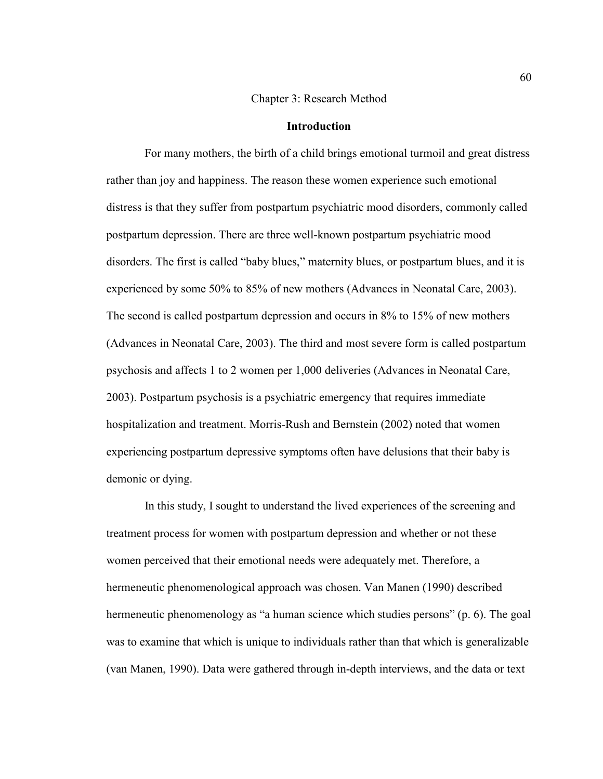### Chapter 3: Research Method

## **Introduction**

 For many mothers, the birth of a child brings emotional turmoil and great distress rather than joy and happiness. The reason these women experience such emotional distress is that they suffer from postpartum psychiatric mood disorders, commonly called postpartum depression. There are three well-known postpartum psychiatric mood disorders. The first is called "baby blues," maternity blues, or postpartum blues, and it is experienced by some 50% to 85% of new mothers (Advances in Neonatal Care, 2003). The second is called postpartum depression and occurs in 8% to 15% of new mothers (Advances in Neonatal Care, 2003). The third and most severe form is called postpartum psychosis and affects 1 to 2 women per 1,000 deliveries (Advances in Neonatal Care, 2003). Postpartum psychosis is a psychiatric emergency that requires immediate hospitalization and treatment. Morris-Rush and Bernstein (2002) noted that women experiencing postpartum depressive symptoms often have delusions that their baby is demonic or dying.

 In this study, I sought to understand the lived experiences of the screening and treatment process for women with postpartum depression and whether or not these women perceived that their emotional needs were adequately met. Therefore, a hermeneutic phenomenological approach was chosen. Van Manen (1990) described hermeneutic phenomenology as "a human science which studies persons" (p. 6). The goal was to examine that which is unique to individuals rather than that which is generalizable (van Manen, 1990). Data were gathered through in-depth interviews, and the data or text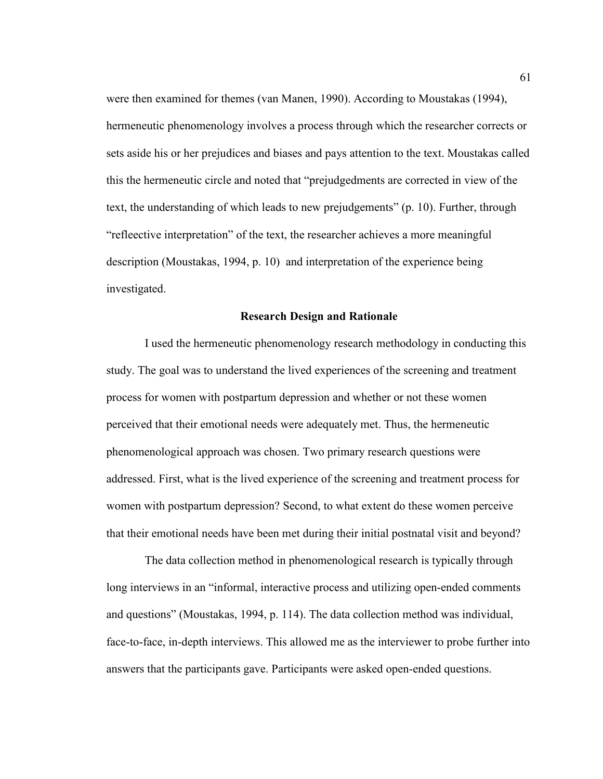were then examined for themes (van Manen, 1990). According to Moustakas (1994), hermeneutic phenomenology involves a process through which the researcher corrects or sets aside his or her prejudices and biases and pays attention to the text. Moustakas called this the hermeneutic circle and noted that "prejudgedments are corrected in view of the text, the understanding of which leads to new prejudgements" (p. 10). Further, through "refleective interpretation" of the text, the researcher achieves a more meaningful description (Moustakas, 1994, p. 10) and interpretation of the experience being investigated.

## **Research Design and Rationale**

 I used the hermeneutic phenomenology research methodology in conducting this study. The goal was to understand the lived experiences of the screening and treatment process for women with postpartum depression and whether or not these women perceived that their emotional needs were adequately met. Thus, the hermeneutic phenomenological approach was chosen. Two primary research questions were addressed. First, what is the lived experience of the screening and treatment process for women with postpartum depression? Second, to what extent do these women perceive that their emotional needs have been met during their initial postnatal visit and beyond?

 The data collection method in phenomenological research is typically through long interviews in an "informal, interactive process and utilizing open-ended comments and questions" (Moustakas, 1994, p. 114). The data collection method was individual, face-to-face, in-depth interviews. This allowed me as the interviewer to probe further into answers that the participants gave. Participants were asked open-ended questions.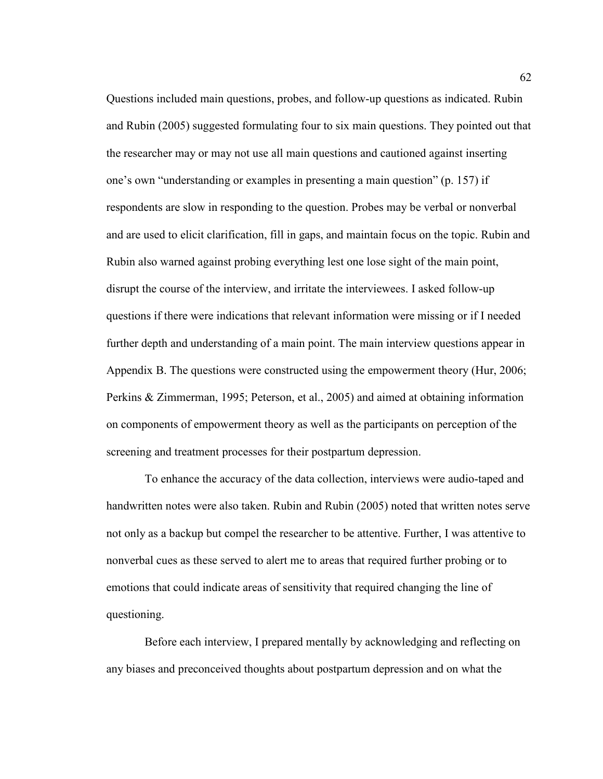Questions included main questions, probes, and follow-up questions as indicated. Rubin and Rubin (2005) suggested formulating four to six main questions. They pointed out that the researcher may or may not use all main questions and cautioned against inserting one's own "understanding or examples in presenting a main question" (p. 157) if respondents are slow in responding to the question. Probes may be verbal or nonverbal and are used to elicit clarification, fill in gaps, and maintain focus on the topic. Rubin and Rubin also warned against probing everything lest one lose sight of the main point, disrupt the course of the interview, and irritate the interviewees. I asked follow-up questions if there were indications that relevant information were missing or if I needed further depth and understanding of a main point. The main interview questions appear in Appendix B. The questions were constructed using the empowerment theory (Hur, 2006; Perkins & Zimmerman, 1995; Peterson, et al., 2005) and aimed at obtaining information on components of empowerment theory as well as the participants on perception of the screening and treatment processes for their postpartum depression.

 To enhance the accuracy of the data collection, interviews were audio-taped and handwritten notes were also taken. Rubin and Rubin (2005) noted that written notes serve not only as a backup but compel the researcher to be attentive. Further, I was attentive to nonverbal cues as these served to alert me to areas that required further probing or to emotions that could indicate areas of sensitivity that required changing the line of questioning.

 Before each interview, I prepared mentally by acknowledging and reflecting on any biases and preconceived thoughts about postpartum depression and on what the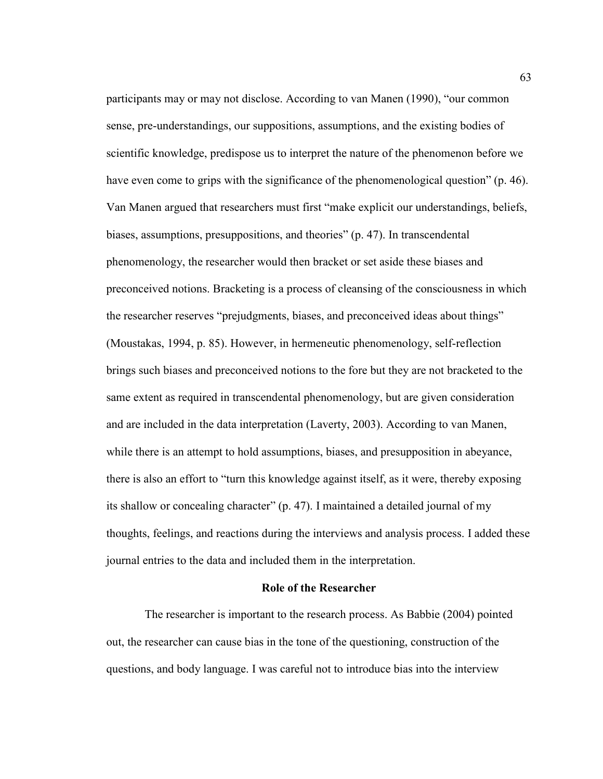participants may or may not disclose. According to van Manen (1990), "our common sense, pre-understandings, our suppositions, assumptions, and the existing bodies of scientific knowledge, predispose us to interpret the nature of the phenomenon before we have even come to grips with the significance of the phenomenological question" (p. 46). Van Manen argued that researchers must first "make explicit our understandings, beliefs, biases, assumptions, presuppositions, and theories" (p. 47). In transcendental phenomenology, the researcher would then bracket or set aside these biases and preconceived notions. Bracketing is a process of cleansing of the consciousness in which the researcher reserves "prejudgments, biases, and preconceived ideas about things" (Moustakas, 1994, p. 85). However, in hermeneutic phenomenology, self-reflection brings such biases and preconceived notions to the fore but they are not bracketed to the same extent as required in transcendental phenomenology, but are given consideration and are included in the data interpretation (Laverty, 2003). According to van Manen, while there is an attempt to hold assumptions, biases, and presupposition in abeyance, there is also an effort to "turn this knowledge against itself, as it were, thereby exposing its shallow or concealing character" (p. 47). I maintained a detailed journal of my thoughts, feelings, and reactions during the interviews and analysis process. I added these journal entries to the data and included them in the interpretation.

#### **Role of the Researcher**

 The researcher is important to the research process. As Babbie (2004) pointed out, the researcher can cause bias in the tone of the questioning, construction of the questions, and body language. I was careful not to introduce bias into the interview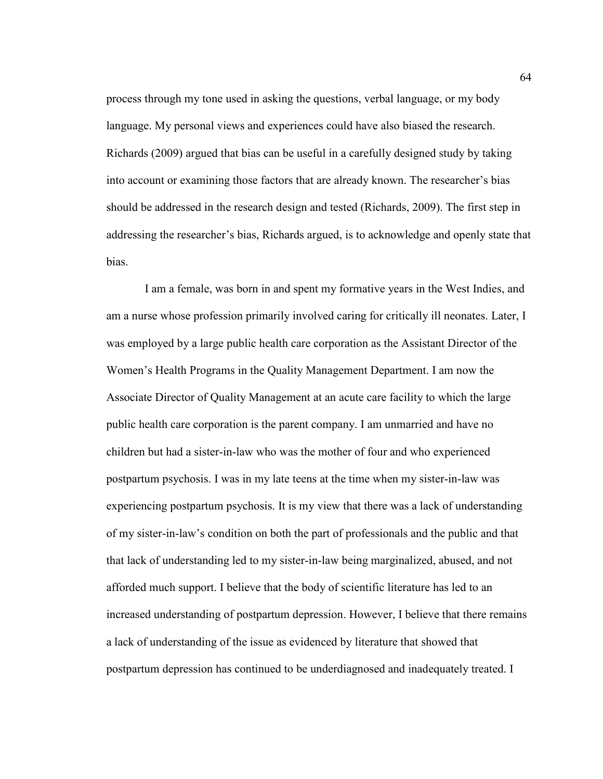process through my tone used in asking the questions, verbal language, or my body language. My personal views and experiences could have also biased the research. Richards (2009) argued that bias can be useful in a carefully designed study by taking into account or examining those factors that are already known. The researcher's bias should be addressed in the research design and tested (Richards, 2009). The first step in addressing the researcher's bias, Richards argued, is to acknowledge and openly state that bias.

 I am a female, was born in and spent my formative years in the West Indies, and am a nurse whose profession primarily involved caring for critically ill neonates. Later, I was employed by a large public health care corporation as the Assistant Director of the Women's Health Programs in the Quality Management Department. I am now the Associate Director of Quality Management at an acute care facility to which the large public health care corporation is the parent company. I am unmarried and have no children but had a sister-in-law who was the mother of four and who experienced postpartum psychosis. I was in my late teens at the time when my sister-in-law was experiencing postpartum psychosis. It is my view that there was a lack of understanding of my sister-in-law's condition on both the part of professionals and the public and that that lack of understanding led to my sister-in-law being marginalized, abused, and not afforded much support. I believe that the body of scientific literature has led to an increased understanding of postpartum depression. However, I believe that there remains a lack of understanding of the issue as evidenced by literature that showed that postpartum depression has continued to be underdiagnosed and inadequately treated. I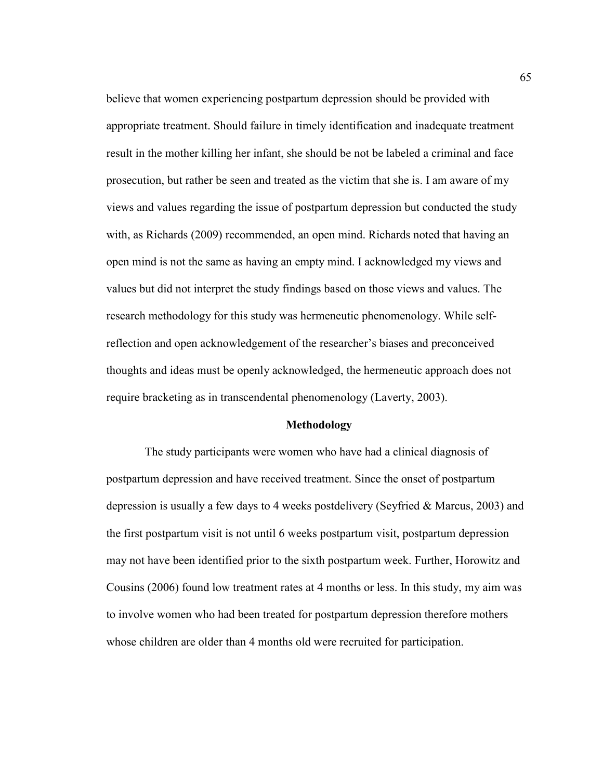believe that women experiencing postpartum depression should be provided with appropriate treatment. Should failure in timely identification and inadequate treatment result in the mother killing her infant, she should be not be labeled a criminal and face prosecution, but rather be seen and treated as the victim that she is. I am aware of my views and values regarding the issue of postpartum depression but conducted the study with, as Richards (2009) recommended, an open mind. Richards noted that having an open mind is not the same as having an empty mind. I acknowledged my views and values but did not interpret the study findings based on those views and values. The research methodology for this study was hermeneutic phenomenology. While selfreflection and open acknowledgement of the researcher's biases and preconceived thoughts and ideas must be openly acknowledged, the hermeneutic approach does not require bracketing as in transcendental phenomenology (Laverty, 2003).

### **Methodology**

 The study participants were women who have had a clinical diagnosis of postpartum depression and have received treatment. Since the onset of postpartum depression is usually a few days to 4 weeks postdelivery (Seyfried & Marcus, 2003) and the first postpartum visit is not until 6 weeks postpartum visit, postpartum depression may not have been identified prior to the sixth postpartum week. Further, Horowitz and Cousins (2006) found low treatment rates at 4 months or less. In this study, my aim was to involve women who had been treated for postpartum depression therefore mothers whose children are older than 4 months old were recruited for participation.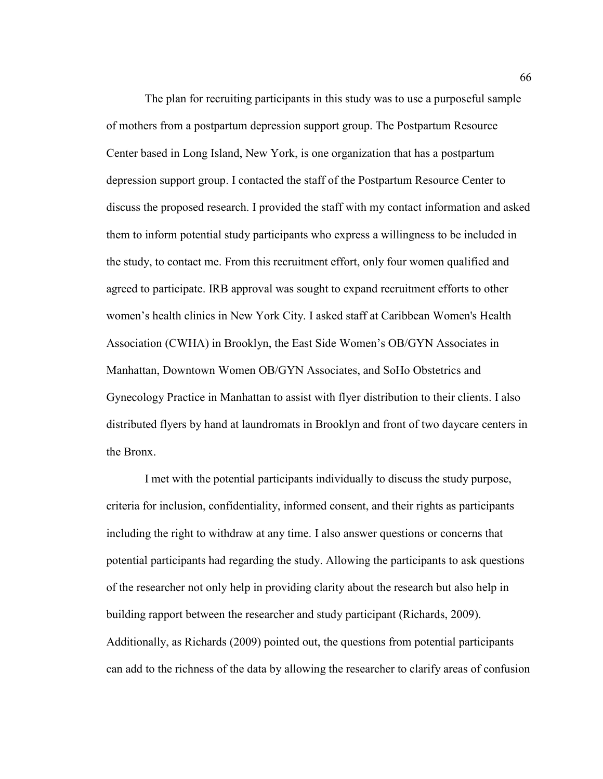The plan for recruiting participants in this study was to use a purposeful sample of mothers from a postpartum depression support group. The Postpartum Resource Center based in Long Island, New York, is one organization that has a postpartum depression support group. I contacted the staff of the Postpartum Resource Center to discuss the proposed research. I provided the staff with my contact information and asked them to inform potential study participants who express a willingness to be included in the study, to contact me. From this recruitment effort, only four women qualified and agreed to participate. IRB approval was sought to expand recruitment efforts to other women's health clinics in New York City. I asked staff at Caribbean Women's Health Association (CWHA) in Brooklyn, the East Side Women's OB/GYN Associates in Manhattan, Downtown Women OB/GYN Associates, and SoHo Obstetrics and Gynecology Practice in Manhattan to assist with flyer distribution to their clients. I also distributed flyers by hand at laundromats in Brooklyn and front of two daycare centers in the Bronx.

 I met with the potential participants individually to discuss the study purpose, criteria for inclusion, confidentiality, informed consent, and their rights as participants including the right to withdraw at any time. I also answer questions or concerns that potential participants had regarding the study. Allowing the participants to ask questions of the researcher not only help in providing clarity about the research but also help in building rapport between the researcher and study participant (Richards, 2009). Additionally, as Richards (2009) pointed out, the questions from potential participants can add to the richness of the data by allowing the researcher to clarify areas of confusion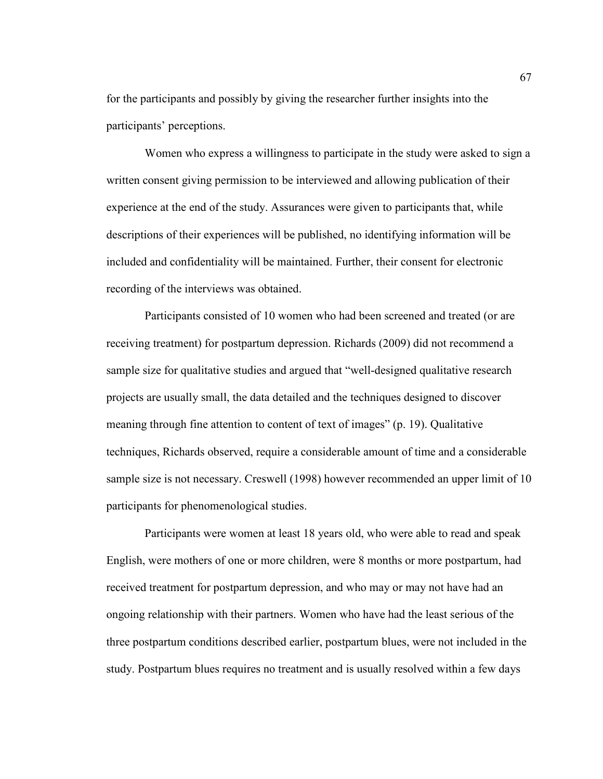for the participants and possibly by giving the researcher further insights into the participants' perceptions.

 Women who express a willingness to participate in the study were asked to sign a written consent giving permission to be interviewed and allowing publication of their experience at the end of the study. Assurances were given to participants that, while descriptions of their experiences will be published, no identifying information will be included and confidentiality will be maintained. Further, their consent for electronic recording of the interviews was obtained.

 Participants consisted of 10 women who had been screened and treated (or are receiving treatment) for postpartum depression. Richards (2009) did not recommend a sample size for qualitative studies and argued that "well-designed qualitative research projects are usually small, the data detailed and the techniques designed to discover meaning through fine attention to content of text of images" (p. 19). Qualitative techniques, Richards observed, require a considerable amount of time and a considerable sample size is not necessary. Creswell (1998) however recommended an upper limit of 10 participants for phenomenological studies.

 Participants were women at least 18 years old, who were able to read and speak English, were mothers of one or more children, were 8 months or more postpartum, had received treatment for postpartum depression, and who may or may not have had an ongoing relationship with their partners. Women who have had the least serious of the three postpartum conditions described earlier, postpartum blues, were not included in the study. Postpartum blues requires no treatment and is usually resolved within a few days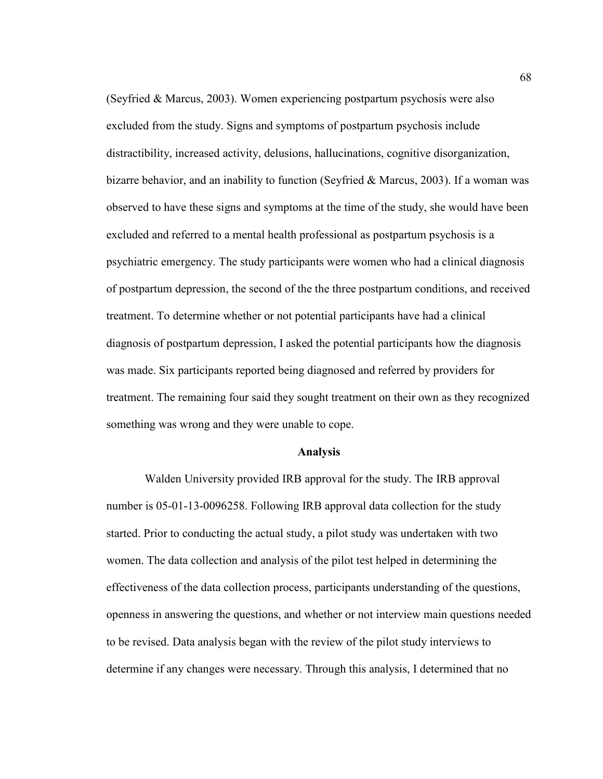(Seyfried & Marcus, 2003). Women experiencing postpartum psychosis were also excluded from the study. Signs and symptoms of postpartum psychosis include distractibility, increased activity, delusions, hallucinations, cognitive disorganization, bizarre behavior, and an inability to function (Seyfried & Marcus, 2003). If a woman was observed to have these signs and symptoms at the time of the study, she would have been excluded and referred to a mental health professional as postpartum psychosis is a psychiatric emergency. The study participants were women who had a clinical diagnosis of postpartum depression, the second of the the three postpartum conditions, and received treatment. To determine whether or not potential participants have had a clinical diagnosis of postpartum depression, I asked the potential participants how the diagnosis was made. Six participants reported being diagnosed and referred by providers for treatment. The remaining four said they sought treatment on their own as they recognized something was wrong and they were unable to cope.

#### **Analysis**

 Walden University provided IRB approval for the study. The IRB approval number is 05-01-13-0096258. Following IRB approval data collection for the study started. Prior to conducting the actual study, a pilot study was undertaken with two women. The data collection and analysis of the pilot test helped in determining the effectiveness of the data collection process, participants understanding of the questions, openness in answering the questions, and whether or not interview main questions needed to be revised. Data analysis began with the review of the pilot study interviews to determine if any changes were necessary. Through this analysis, I determined that no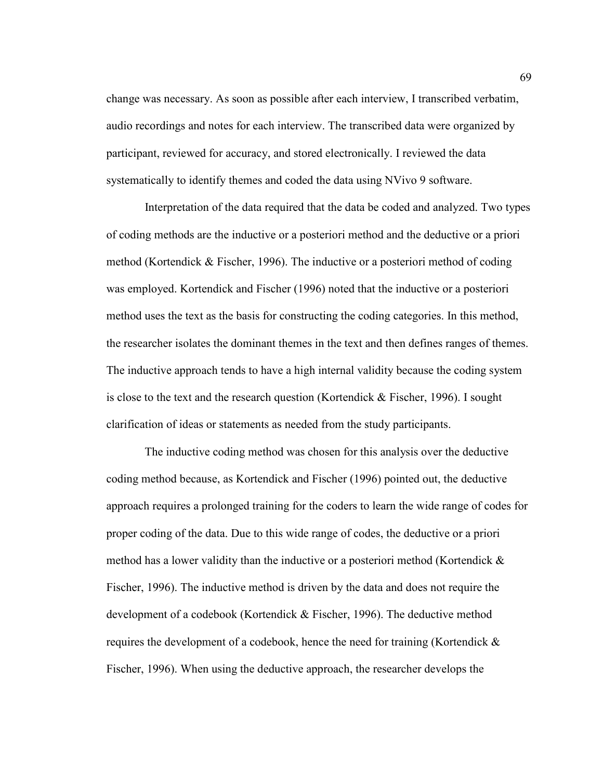change was necessary. As soon as possible after each interview, I transcribed verbatim, audio recordings and notes for each interview. The transcribed data were organized by participant, reviewed for accuracy, and stored electronically. I reviewed the data systematically to identify themes and coded the data using NVivo 9 software.

 Interpretation of the data required that the data be coded and analyzed. Two types of coding methods are the inductive or a posteriori method and the deductive or a priori method (Kortendick & Fischer, 1996). The inductive or a posteriori method of coding was employed. Kortendick and Fischer (1996) noted that the inductive or a posteriori method uses the text as the basis for constructing the coding categories. In this method, the researcher isolates the dominant themes in the text and then defines ranges of themes. The inductive approach tends to have a high internal validity because the coding system is close to the text and the research question (Kortendick & Fischer, 1996). I sought clarification of ideas or statements as needed from the study participants.

 The inductive coding method was chosen for this analysis over the deductive coding method because, as Kortendick and Fischer (1996) pointed out, the deductive approach requires a prolonged training for the coders to learn the wide range of codes for proper coding of the data. Due to this wide range of codes, the deductive or a priori method has a lower validity than the inductive or a posteriori method (Kortendick & Fischer, 1996). The inductive method is driven by the data and does not require the development of a codebook (Kortendick & Fischer, 1996). The deductive method requires the development of a codebook, hence the need for training (Kortendick & Fischer, 1996). When using the deductive approach, the researcher develops the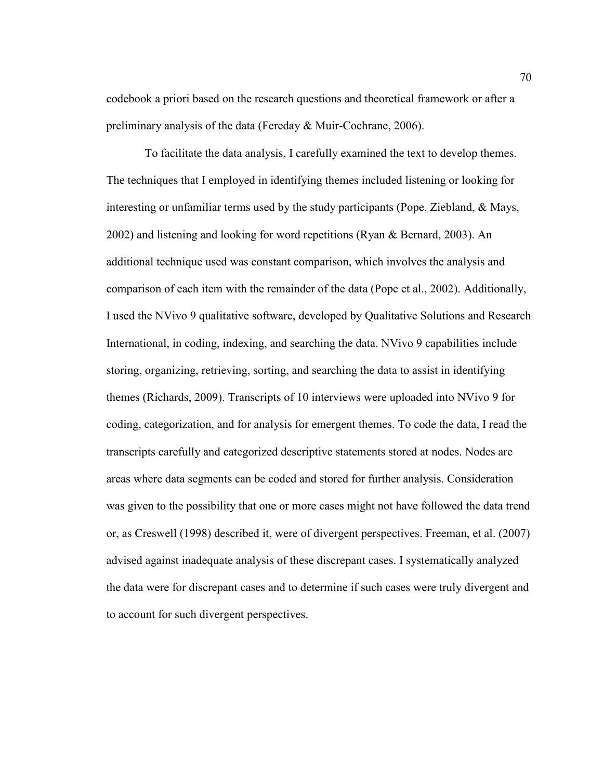codebook a priori based on the research questions and theoretical framework or after a preliminary analysis of the data (Fereday & Muir-Cochrane, 2006).

 To facilitate the data analysis, I carefully examined the text to develop themes. The techniques that I employed in identifying themes included listening or looking for interesting or unfamiliar terms used by the study participants (Pope, Ziebland, & Mays, 2002) and listening and looking for word repetitions (Ryan & Bernard, 2003). An additional technique used was constant comparison, which involves the analysis and comparison of each item with the remainder of the data (Pope et al., 2002). Additionally, I used the NVivo 9 qualitative software, developed by Qualitative Solutions and Research International, in coding, indexing, and searching the data. NVivo 9 capabilities include storing, organizing, retrieving, sorting, and searching the data to assist in identifying themes (Richards, 2009). Transcripts of 10 interviews were uploaded into NVivo 9 for coding, categorization, and for analysis for emergent themes. To code the data, I read the transcripts carefully and categorized descriptive statements stored at nodes. Nodes are areas where data segments can be coded and stored for further analysis. Consideration was given to the possibility that one or more cases might not have followed the data trend or, as Creswell (1998) described it, were of divergent perspectives. Freeman, et al. (2007) advised against inadequate analysis of these discrepant cases. I systematically analyzed the data were for discrepant cases and to determine if such cases were truly divergent and to account for such divergent perspectives.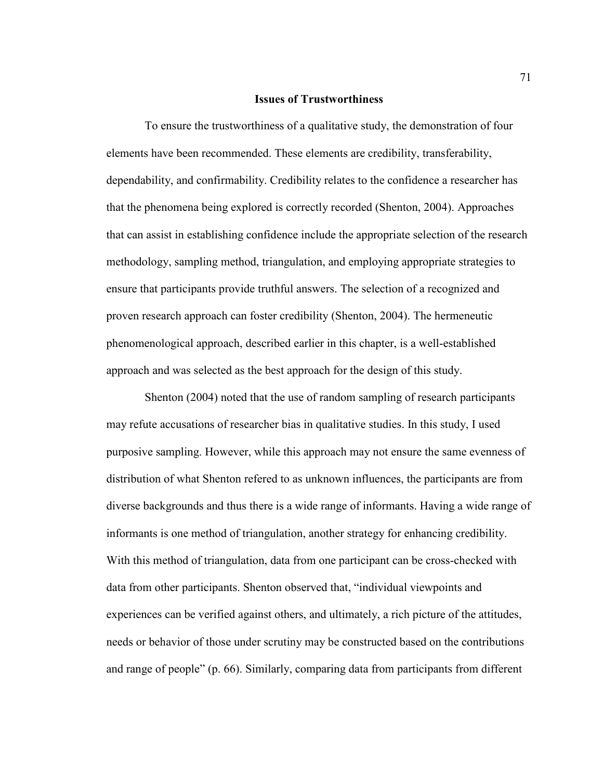#### **Issues of Trustworthiness**

 To ensure the trustworthiness of a qualitative study, the demonstration of four elements have been recommended. These elements are credibility, transferability, dependability, and confirmability. Credibility relates to the confidence a researcher has that the phenomena being explored is correctly recorded (Shenton, 2004). Approaches that can assist in establishing confidence include the appropriate selection of the research methodology, sampling method, triangulation, and employing appropriate strategies to ensure that participants provide truthful answers. The selection of a recognized and proven research approach can foster credibility (Shenton, 2004). The hermeneutic phenomenological approach, described earlier in this chapter, is a well-established approach and was selected as the best approach for the design of this study.

 Shenton (2004) noted that the use of random sampling of research participants may refute accusations of researcher bias in qualitative studies. In this study, I used purposive sampling. However, while this approach may not ensure the same evenness of distribution of what Shenton refered to as unknown influences, the participants are from diverse backgrounds and thus there is a wide range of informants. Having a wide range of informants is one method of triangulation, another strategy for enhancing credibility. With this method of triangulation, data from one participant can be cross-checked with data from other participants. Shenton observed that, "individual viewpoints and experiences can be verified against others, and ultimately, a rich picture of the attitudes, needs or behavior of those under scrutiny may be constructed based on the contributions and range of people" (p. 66). Similarly, comparing data from participants from different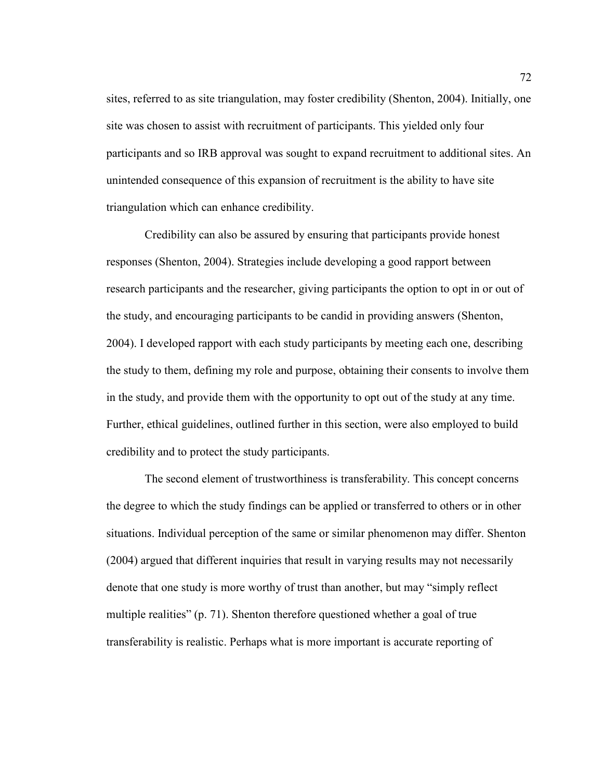sites, referred to as site triangulation, may foster credibility (Shenton, 2004). Initially, one site was chosen to assist with recruitment of participants. This yielded only four participants and so IRB approval was sought to expand recruitment to additional sites. An unintended consequence of this expansion of recruitment is the ability to have site triangulation which can enhance credibility.

 Credibility can also be assured by ensuring that participants provide honest responses (Shenton, 2004). Strategies include developing a good rapport between research participants and the researcher, giving participants the option to opt in or out of the study, and encouraging participants to be candid in providing answers (Shenton, 2004). I developed rapport with each study participants by meeting each one, describing the study to them, defining my role and purpose, obtaining their consents to involve them in the study, and provide them with the opportunity to opt out of the study at any time. Further, ethical guidelines, outlined further in this section, were also employed to build credibility and to protect the study participants.

 The second element of trustworthiness is transferability. This concept concerns the degree to which the study findings can be applied or transferred to others or in other situations. Individual perception of the same or similar phenomenon may differ. Shenton (2004) argued that different inquiries that result in varying results may not necessarily denote that one study is more worthy of trust than another, but may "simply reflect multiple realities" (p. 71). Shenton therefore questioned whether a goal of true transferability is realistic. Perhaps what is more important is accurate reporting of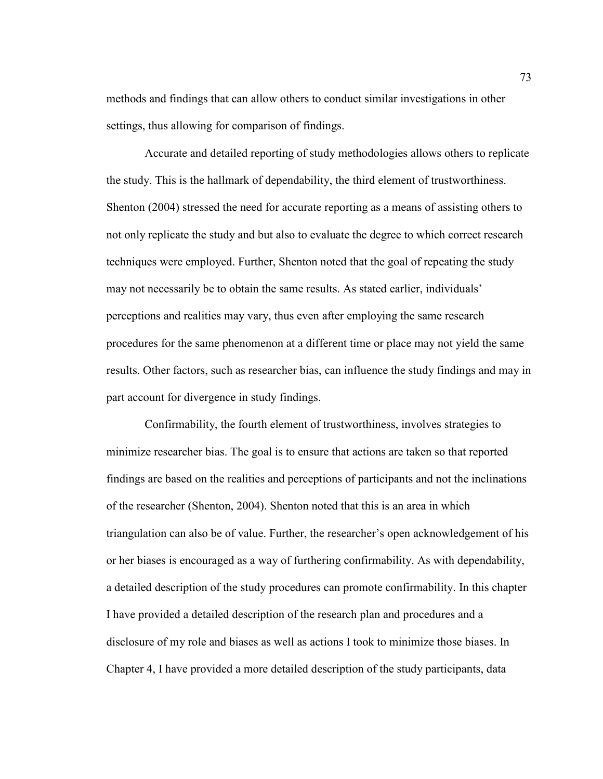methods and findings that can allow others to conduct similar investigations in other settings, thus allowing for comparison of findings.

 Accurate and detailed reporting of study methodologies allows others to replicate the study. This is the hallmark of dependability, the third element of trustworthiness. Shenton (2004) stressed the need for accurate reporting as a means of assisting others to not only replicate the study and but also to evaluate the degree to which correct research techniques were employed. Further, Shenton noted that the goal of repeating the study may not necessarily be to obtain the same results. As stated earlier, individuals' perceptions and realities may vary, thus even after employing the same research procedures for the same phenomenon at a different time or place may not yield the same results. Other factors, such as researcher bias, can influence the study findings and may in part account for divergence in study findings.

 Confirmability, the fourth element of trustworthiness, involves strategies to minimize researcher bias. The goal is to ensure that actions are taken so that reported findings are based on the realities and perceptions of participants and not the inclinations of the researcher (Shenton, 2004). Shenton noted that this is an area in which triangulation can also be of value. Further, the researcher's open acknowledgement of his or her biases is encouraged as a way of furthering confirmability. As with dependability, a detailed description of the study procedures can promote confirmability. In this chapter I have provided a detailed description of the research plan and procedures and a disclosure of my role and biases as well as actions I took to minimize those biases. In Chapter 4, I have provided a more detailed description of the study participants, data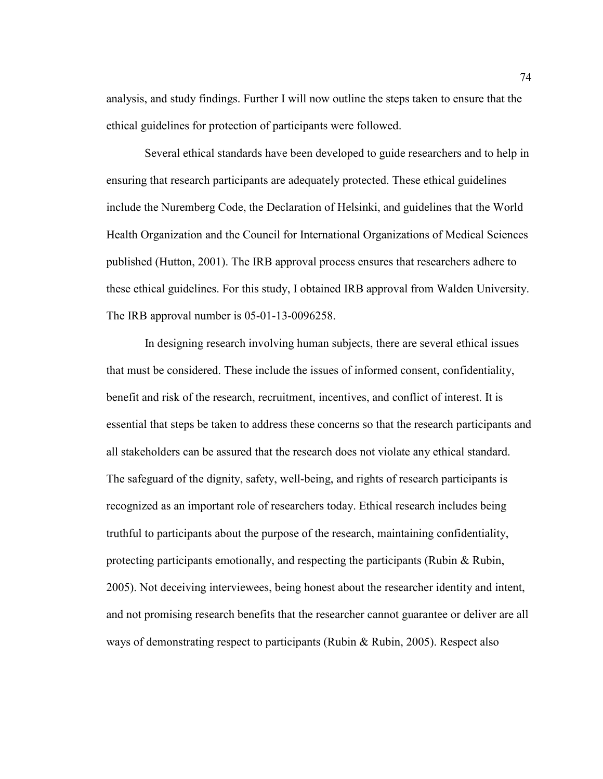analysis, and study findings. Further I will now outline the steps taken to ensure that the ethical guidelines for protection of participants were followed.

 Several ethical standards have been developed to guide researchers and to help in ensuring that research participants are adequately protected. These ethical guidelines include the Nuremberg Code, the Declaration of Helsinki, and guidelines that the World Health Organization and the Council for International Organizations of Medical Sciences published (Hutton, 2001). The IRB approval process ensures that researchers adhere to these ethical guidelines. For this study, I obtained IRB approval from Walden University. The IRB approval number is 05-01-13-0096258.

 In designing research involving human subjects, there are several ethical issues that must be considered. These include the issues of informed consent, confidentiality, benefit and risk of the research, recruitment, incentives, and conflict of interest. It is essential that steps be taken to address these concerns so that the research participants and all stakeholders can be assured that the research does not violate any ethical standard. The safeguard of the dignity, safety, well-being, and rights of research participants is recognized as an important role of researchers today. Ethical research includes being truthful to participants about the purpose of the research, maintaining confidentiality, protecting participants emotionally, and respecting the participants (Rubin  $\&$  Rubin, 2005). Not deceiving interviewees, being honest about the researcher identity and intent, and not promising research benefits that the researcher cannot guarantee or deliver are all ways of demonstrating respect to participants (Rubin & Rubin, 2005). Respect also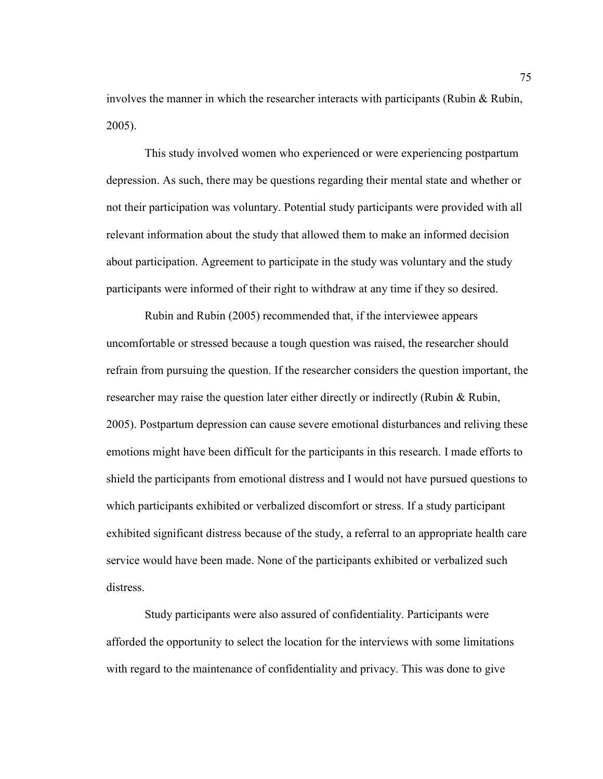involves the manner in which the researcher interacts with participants (Rubin & Rubin, 2005).

 This study involved women who experienced or were experiencing postpartum depression. As such, there may be questions regarding their mental state and whether or not their participation was voluntary. Potential study participants were provided with all relevant information about the study that allowed them to make an informed decision about participation. Agreement to participate in the study was voluntary and the study participants were informed of their right to withdraw at any time if they so desired.

 Rubin and Rubin (2005) recommended that, if the interviewee appears uncomfortable or stressed because a tough question was raised, the researcher should refrain from pursuing the question. If the researcher considers the question important, the researcher may raise the question later either directly or indirectly (Rubin & Rubin, 2005). Postpartum depression can cause severe emotional disturbances and reliving these emotions might have been difficult for the participants in this research. I made efforts to shield the participants from emotional distress and I would not have pursued questions to which participants exhibited or verbalized discomfort or stress. If a study participant exhibited significant distress because of the study, a referral to an appropriate health care service would have been made. None of the participants exhibited or verbalized such distress.

 Study participants were also assured of confidentiality. Participants were afforded the opportunity to select the location for the interviews with some limitations with regard to the maintenance of confidentiality and privacy. This was done to give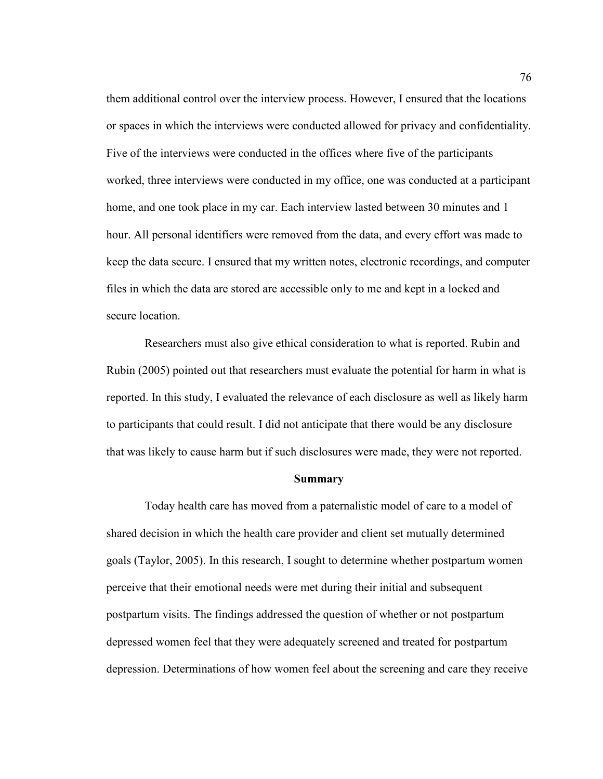them additional control over the interview process. However, I ensured that the locations or spaces in which the interviews were conducted allowed for privacy and confidentiality. Five of the interviews were conducted in the offices where five of the participants worked, three interviews were conducted in my office, one was conducted at a participant home, and one took place in my car. Each interview lasted between 30 minutes and 1 hour. All personal identifiers were removed from the data, and every effort was made to keep the data secure. I ensured that my written notes, electronic recordings, and computer files in which the data are stored are accessible only to me and kept in a locked and secure location.

 Researchers must also give ethical consideration to what is reported. Rubin and Rubin (2005) pointed out that researchers must evaluate the potential for harm in what is reported. In this study, I evaluated the relevance of each disclosure as well as likely harm to participants that could result. I did not anticipate that there would be any disclosure that was likely to cause harm but if such disclosures were made, they were not reported.

#### **Summary**

 Today health care has moved from a paternalistic model of care to a model of shared decision in which the health care provider and client set mutually determined goals (Taylor, 2005). In this research, I sought to determine whether postpartum women perceive that their emotional needs were met during their initial and subsequent postpartum visits. The findings addressed the question of whether or not postpartum depressed women feel that they were adequately screened and treated for postpartum depression. Determinations of how women feel about the screening and care they receive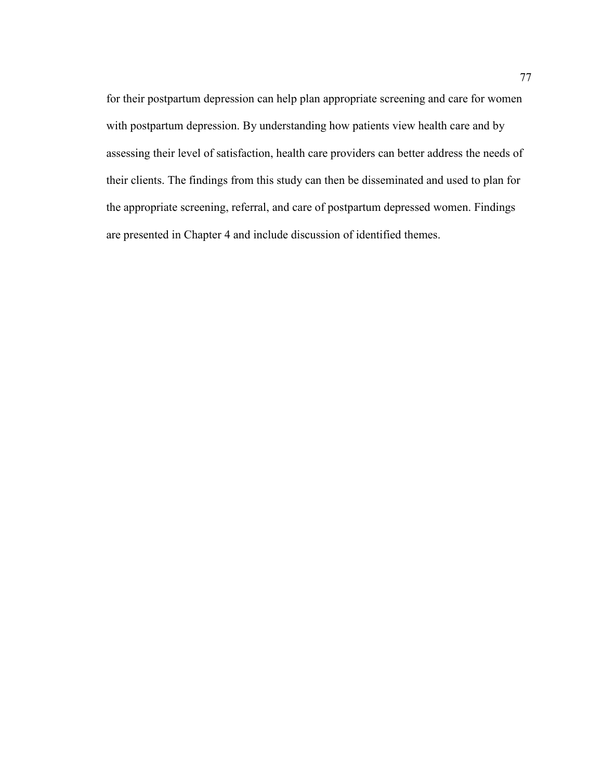for their postpartum depression can help plan appropriate screening and care for women with postpartum depression. By understanding how patients view health care and by assessing their level of satisfaction, health care providers can better address the needs of their clients. The findings from this study can then be disseminated and used to plan for the appropriate screening, referral, and care of postpartum depressed women. Findings are presented in Chapter 4 and include discussion of identified themes.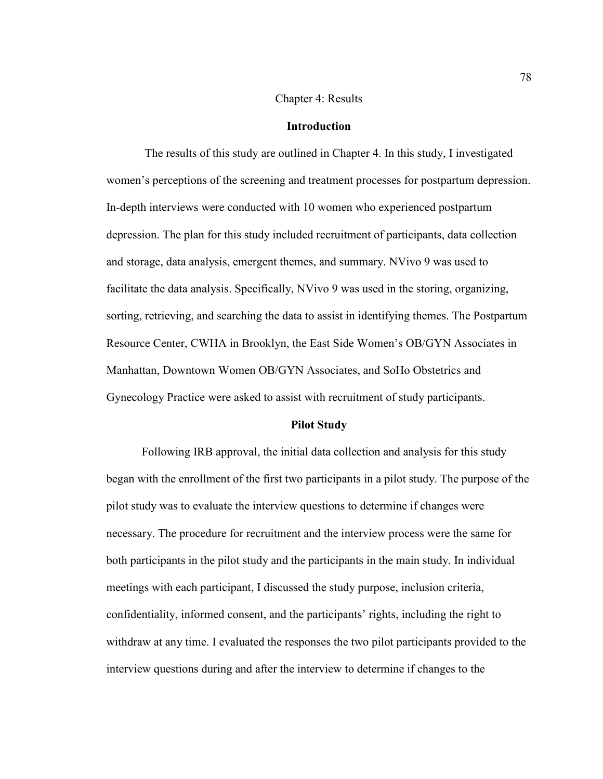## Chapter 4: Results

## **Introduction**

 The results of this study are outlined in Chapter 4. In this study, I investigated women's perceptions of the screening and treatment processes for postpartum depression. In-depth interviews were conducted with 10 women who experienced postpartum depression. The plan for this study included recruitment of participants, data collection and storage, data analysis, emergent themes, and summary. NVivo 9 was used to facilitate the data analysis. Specifically, NVivo 9 was used in the storing, organizing, sorting, retrieving, and searching the data to assist in identifying themes. The Postpartum Resource Center, CWHA in Brooklyn, the East Side Women's OB/GYN Associates in Manhattan, Downtown Women OB/GYN Associates, and SoHo Obstetrics and Gynecology Practice were asked to assist with recruitment of study participants.

### **Pilot Study**

Following IRB approval, the initial data collection and analysis for this study began with the enrollment of the first two participants in a pilot study. The purpose of the pilot study was to evaluate the interview questions to determine if changes were necessary. The procedure for recruitment and the interview process were the same for both participants in the pilot study and the participants in the main study. In individual meetings with each participant, I discussed the study purpose, inclusion criteria, confidentiality, informed consent, and the participants' rights, including the right to withdraw at any time. I evaluated the responses the two pilot participants provided to the interview questions during and after the interview to determine if changes to the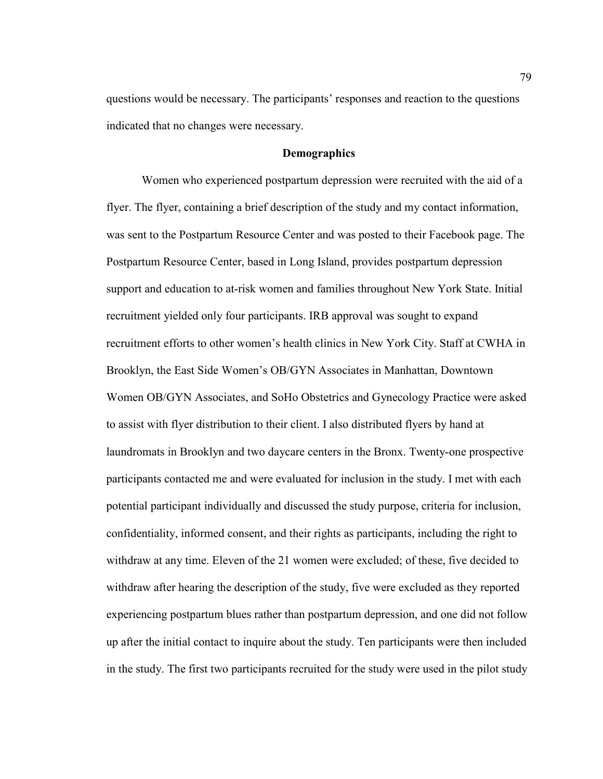questions would be necessary. The participants' responses and reaction to the questions indicated that no changes were necessary.

# **Demographics**

Women who experienced postpartum depression were recruited with the aid of a flyer. The flyer, containing a brief description of the study and my contact information, was sent to the Postpartum Resource Center and was posted to their Facebook page. The Postpartum Resource Center, based in Long Island, provides postpartum depression support and education to at-risk women and families throughout New York State. Initial recruitment yielded only four participants. IRB approval was sought to expand recruitment efforts to other women's health clinics in New York City. Staff at CWHA in Brooklyn, the East Side Women's OB/GYN Associates in Manhattan, Downtown Women OB/GYN Associates, and SoHo Obstetrics and Gynecology Practice were asked to assist with flyer distribution to their client. I also distributed flyers by hand at laundromats in Brooklyn and two daycare centers in the Bronx. Twenty-one prospective participants contacted me and were evaluated for inclusion in the study. I met with each potential participant individually and discussed the study purpose, criteria for inclusion, confidentiality, informed consent, and their rights as participants, including the right to withdraw at any time. Eleven of the 21 women were excluded; of these, five decided to withdraw after hearing the description of the study, five were excluded as they reported experiencing postpartum blues rather than postpartum depression, and one did not follow up after the initial contact to inquire about the study. Ten participants were then included in the study. The first two participants recruited for the study were used in the pilot study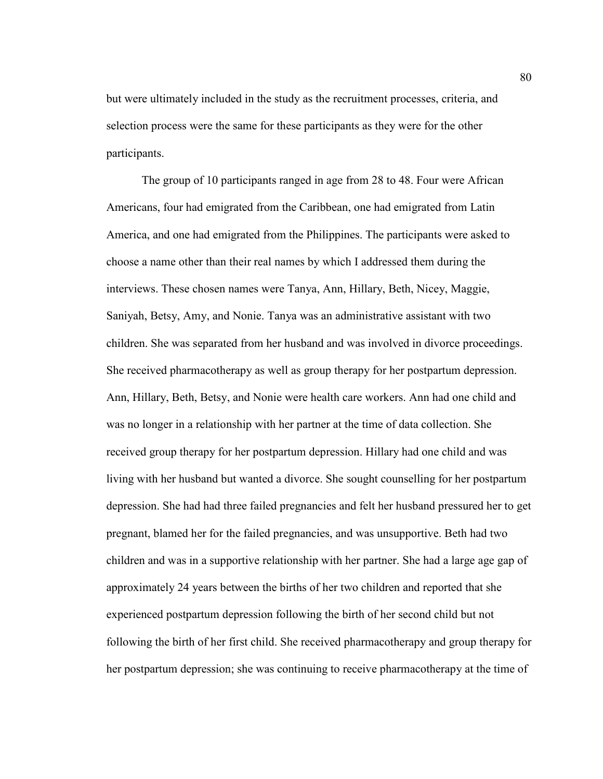but were ultimately included in the study as the recruitment processes, criteria, and selection process were the same for these participants as they were for the other participants.

The group of 10 participants ranged in age from 28 to 48. Four were African Americans, four had emigrated from the Caribbean, one had emigrated from Latin America, and one had emigrated from the Philippines. The participants were asked to choose a name other than their real names by which I addressed them during the interviews. These chosen names were Tanya, Ann, Hillary, Beth, Nicey, Maggie, Saniyah, Betsy, Amy, and Nonie. Tanya was an administrative assistant with two children. She was separated from her husband and was involved in divorce proceedings. She received pharmacotherapy as well as group therapy for her postpartum depression. Ann, Hillary, Beth, Betsy, and Nonie were health care workers. Ann had one child and was no longer in a relationship with her partner at the time of data collection. She received group therapy for her postpartum depression. Hillary had one child and was living with her husband but wanted a divorce. She sought counselling for her postpartum depression. She had had three failed pregnancies and felt her husband pressured her to get pregnant, blamed her for the failed pregnancies, and was unsupportive. Beth had two children and was in a supportive relationship with her partner. She had a large age gap of approximately 24 years between the births of her two children and reported that she experienced postpartum depression following the birth of her second child but not following the birth of her first child. She received pharmacotherapy and group therapy for her postpartum depression; she was continuing to receive pharmacotherapy at the time of

80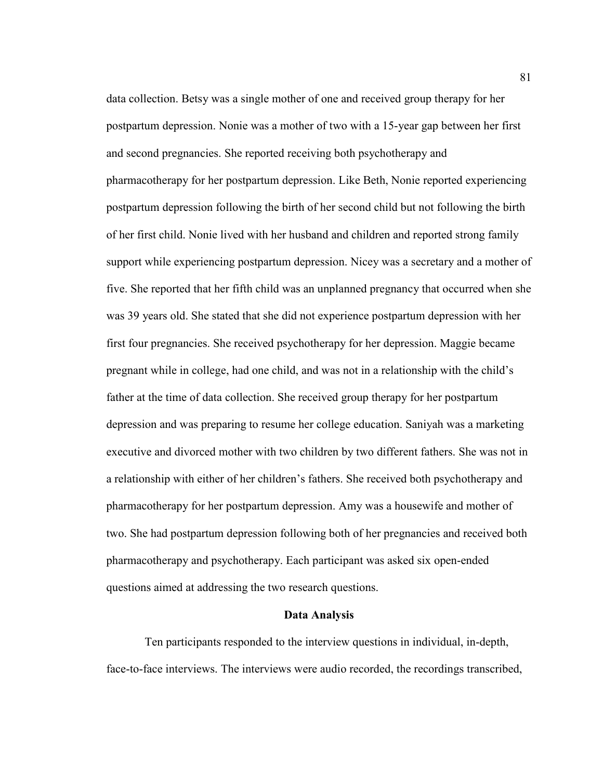data collection. Betsy was a single mother of one and received group therapy for her postpartum depression. Nonie was a mother of two with a 15-year gap between her first and second pregnancies. She reported receiving both psychotherapy and pharmacotherapy for her postpartum depression. Like Beth, Nonie reported experiencing postpartum depression following the birth of her second child but not following the birth of her first child. Nonie lived with her husband and children and reported strong family support while experiencing postpartum depression. Nicey was a secretary and a mother of five. She reported that her fifth child was an unplanned pregnancy that occurred when she was 39 years old. She stated that she did not experience postpartum depression with her first four pregnancies. She received psychotherapy for her depression. Maggie became pregnant while in college, had one child, and was not in a relationship with the child's father at the time of data collection. She received group therapy for her postpartum depression and was preparing to resume her college education. Saniyah was a marketing executive and divorced mother with two children by two different fathers. She was not in a relationship with either of her children's fathers. She received both psychotherapy and pharmacotherapy for her postpartum depression. Amy was a housewife and mother of two. She had postpartum depression following both of her pregnancies and received both pharmacotherapy and psychotherapy. Each participant was asked six open-ended questions aimed at addressing the two research questions.

#### **Data Analysis**

 Ten participants responded to the interview questions in individual, in-depth, face-to-face interviews. The interviews were audio recorded, the recordings transcribed,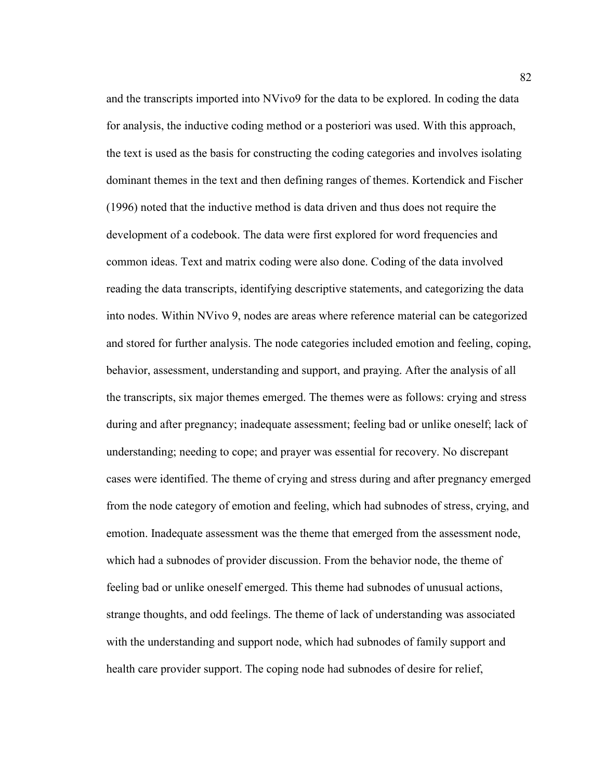and the transcripts imported into NVivo9 for the data to be explored. In coding the data for analysis, the inductive coding method or a posteriori was used. With this approach, the text is used as the basis for constructing the coding categories and involves isolating dominant themes in the text and then defining ranges of themes. Kortendick and Fischer (1996) noted that the inductive method is data driven and thus does not require the development of a codebook. The data were first explored for word frequencies and common ideas. Text and matrix coding were also done. Coding of the data involved reading the data transcripts, identifying descriptive statements, and categorizing the data into nodes. Within NVivo 9, nodes are areas where reference material can be categorized and stored for further analysis. The node categories included emotion and feeling, coping, behavior, assessment, understanding and support, and praying. After the analysis of all the transcripts, six major themes emerged. The themes were as follows: crying and stress during and after pregnancy; inadequate assessment; feeling bad or unlike oneself; lack of understanding; needing to cope; and prayer was essential for recovery. No discrepant cases were identified. The theme of crying and stress during and after pregnancy emerged from the node category of emotion and feeling, which had subnodes of stress, crying, and emotion. Inadequate assessment was the theme that emerged from the assessment node, which had a subnodes of provider discussion. From the behavior node, the theme of feeling bad or unlike oneself emerged. This theme had subnodes of unusual actions, strange thoughts, and odd feelings. The theme of lack of understanding was associated with the understanding and support node, which had subnodes of family support and health care provider support. The coping node had subnodes of desire for relief,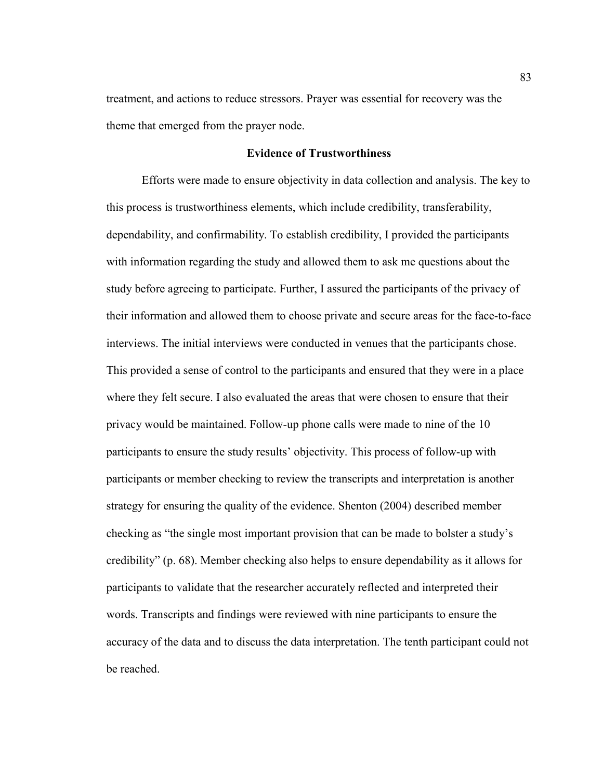treatment, and actions to reduce stressors. Prayer was essential for recovery was the theme that emerged from the prayer node.

# **Evidence of Trustworthiness**

Efforts were made to ensure objectivity in data collection and analysis. The key to this process is trustworthiness elements, which include credibility, transferability, dependability, and confirmability. To establish credibility, I provided the participants with information regarding the study and allowed them to ask me questions about the study before agreeing to participate. Further, I assured the participants of the privacy of their information and allowed them to choose private and secure areas for the face-to-face interviews. The initial interviews were conducted in venues that the participants chose. This provided a sense of control to the participants and ensured that they were in a place where they felt secure. I also evaluated the areas that were chosen to ensure that their privacy would be maintained. Follow-up phone calls were made to nine of the 10 participants to ensure the study results' objectivity. This process of follow-up with participants or member checking to review the transcripts and interpretation is another strategy for ensuring the quality of the evidence. Shenton (2004) described member checking as "the single most important provision that can be made to bolster a study's credibility" (p. 68). Member checking also helps to ensure dependability as it allows for participants to validate that the researcher accurately reflected and interpreted their words. Transcripts and findings were reviewed with nine participants to ensure the accuracy of the data and to discuss the data interpretation. The tenth participant could not be reached.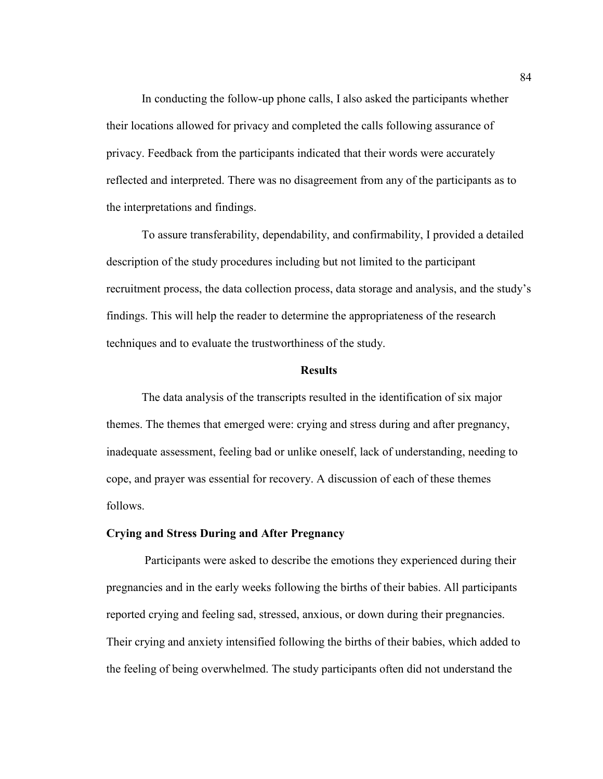In conducting the follow-up phone calls, I also asked the participants whether their locations allowed for privacy and completed the calls following assurance of privacy. Feedback from the participants indicated that their words were accurately reflected and interpreted. There was no disagreement from any of the participants as to the interpretations and findings.

To assure transferability, dependability, and confirmability, I provided a detailed description of the study procedures including but not limited to the participant recruitment process, the data collection process, data storage and analysis, and the study's findings. This will help the reader to determine the appropriateness of the research techniques and to evaluate the trustworthiness of the study.

#### **Results**

The data analysis of the transcripts resulted in the identification of six major themes. The themes that emerged were: crying and stress during and after pregnancy, inadequate assessment, feeling bad or unlike oneself, lack of understanding, needing to cope, and prayer was essential for recovery. A discussion of each of these themes follows.

### **Crying and Stress During and After Pregnancy**

 Participants were asked to describe the emotions they experienced during their pregnancies and in the early weeks following the births of their babies. All participants reported crying and feeling sad, stressed, anxious, or down during their pregnancies. Their crying and anxiety intensified following the births of their babies, which added to the feeling of being overwhelmed. The study participants often did not understand the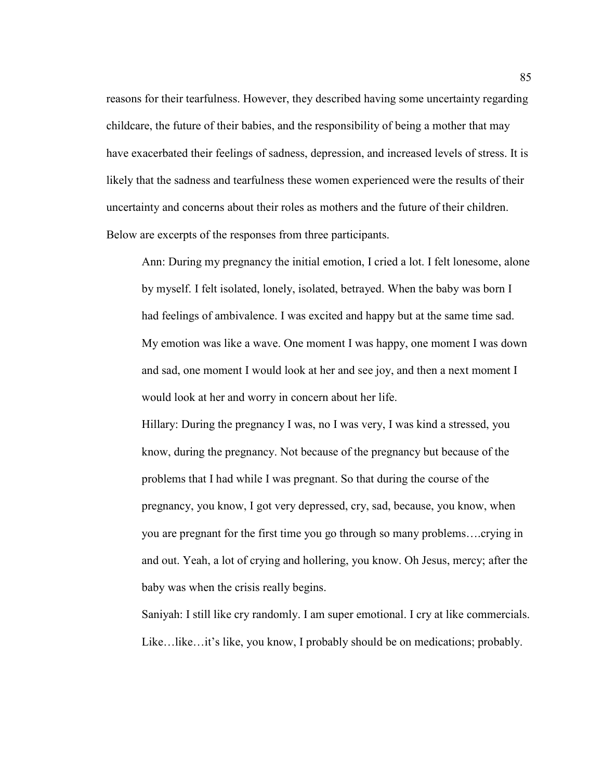reasons for their tearfulness. However, they described having some uncertainty regarding childcare, the future of their babies, and the responsibility of being a mother that may have exacerbated their feelings of sadness, depression, and increased levels of stress. It is likely that the sadness and tearfulness these women experienced were the results of their uncertainty and concerns about their roles as mothers and the future of their children. Below are excerpts of the responses from three participants.

Ann: During my pregnancy the initial emotion, I cried a lot. I felt lonesome, alone by myself. I felt isolated, lonely, isolated, betrayed. When the baby was born I had feelings of ambivalence. I was excited and happy but at the same time sad. My emotion was like a wave. One moment I was happy, one moment I was down and sad, one moment I would look at her and see joy, and then a next moment I would look at her and worry in concern about her life.

Hillary: During the pregnancy I was, no I was very, I was kind a stressed, you know, during the pregnancy. Not because of the pregnancy but because of the problems that I had while I was pregnant. So that during the course of the pregnancy, you know, I got very depressed, cry, sad, because, you know, when you are pregnant for the first time you go through so many problems….crying in and out. Yeah, a lot of crying and hollering, you know. Oh Jesus, mercy; after the baby was when the crisis really begins.

Saniyah: I still like cry randomly. I am super emotional. I cry at like commercials. Like…like…it's like, you know, I probably should be on medications; probably.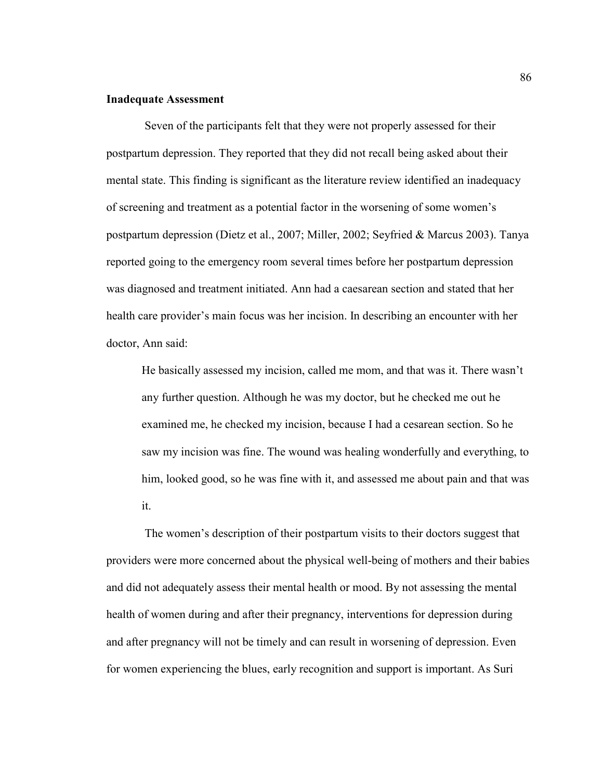### **Inadequate Assessment**

 Seven of the participants felt that they were not properly assessed for their postpartum depression. They reported that they did not recall being asked about their mental state. This finding is significant as the literature review identified an inadequacy of screening and treatment as a potential factor in the worsening of some women's postpartum depression (Dietz et al., 2007; Miller, 2002; Seyfried & Marcus 2003). Tanya reported going to the emergency room several times before her postpartum depression was diagnosed and treatment initiated. Ann had a caesarean section and stated that her health care provider's main focus was her incision. In describing an encounter with her doctor, Ann said:

He basically assessed my incision, called me mom, and that was it. There wasn't any further question. Although he was my doctor, but he checked me out he examined me, he checked my incision, because I had a cesarean section. So he saw my incision was fine. The wound was healing wonderfully and everything, to him, looked good, so he was fine with it, and assessed me about pain and that was it.

 The women's description of their postpartum visits to their doctors suggest that providers were more concerned about the physical well-being of mothers and their babies and did not adequately assess their mental health or mood. By not assessing the mental health of women during and after their pregnancy, interventions for depression during and after pregnancy will not be timely and can result in worsening of depression. Even for women experiencing the blues, early recognition and support is important. As Suri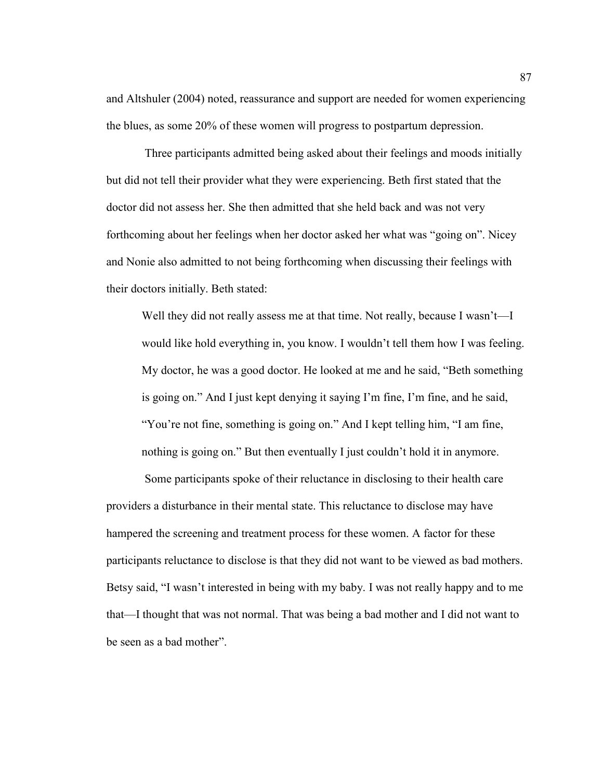and Altshuler (2004) noted, reassurance and support are needed for women experiencing the blues, as some 20% of these women will progress to postpartum depression.

 Three participants admitted being asked about their feelings and moods initially but did not tell their provider what they were experiencing. Beth first stated that the doctor did not assess her. She then admitted that she held back and was not very forthcoming about her feelings when her doctor asked her what was "going on". Nicey and Nonie also admitted to not being forthcoming when discussing their feelings with their doctors initially. Beth stated:

Well they did not really assess me at that time. Not really, because I wasn't—I would like hold everything in, you know. I wouldn't tell them how I was feeling. My doctor, he was a good doctor. He looked at me and he said, "Beth something is going on." And I just kept denying it saying I'm fine, I'm fine, and he said, "You're not fine, something is going on." And I kept telling him, "I am fine, nothing is going on." But then eventually I just couldn't hold it in anymore.

 Some participants spoke of their reluctance in disclosing to their health care providers a disturbance in their mental state. This reluctance to disclose may have hampered the screening and treatment process for these women. A factor for these participants reluctance to disclose is that they did not want to be viewed as bad mothers. Betsy said, "I wasn't interested in being with my baby. I was not really happy and to me that—I thought that was not normal. That was being a bad mother and I did not want to be seen as a bad mother".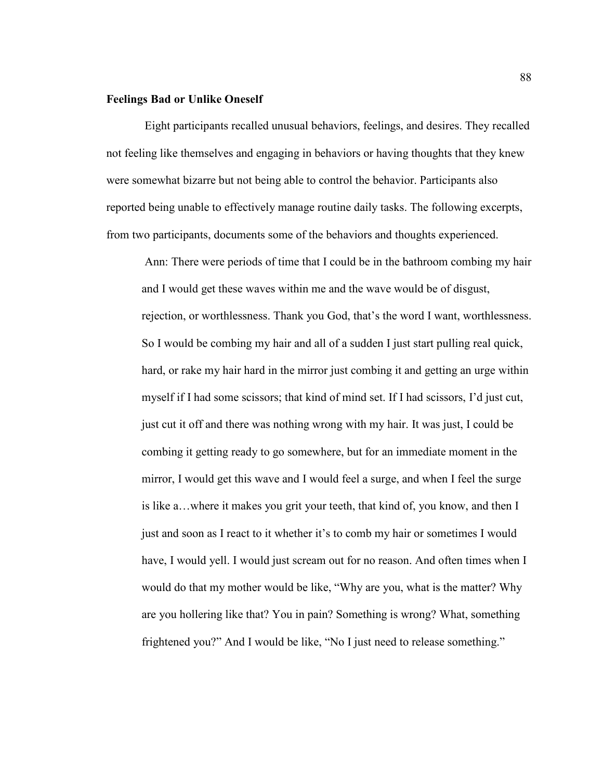### **Feelings Bad or Unlike Oneself**

 Eight participants recalled unusual behaviors, feelings, and desires. They recalled not feeling like themselves and engaging in behaviors or having thoughts that they knew were somewhat bizarre but not being able to control the behavior. Participants also reported being unable to effectively manage routine daily tasks. The following excerpts, from two participants, documents some of the behaviors and thoughts experienced.

 Ann: There were periods of time that I could be in the bathroom combing my hair and I would get these waves within me and the wave would be of disgust, rejection, or worthlessness. Thank you God, that's the word I want, worthlessness. So I would be combing my hair and all of a sudden I just start pulling real quick, hard, or rake my hair hard in the mirror just combing it and getting an urge within myself if I had some scissors; that kind of mind set. If I had scissors, I'd just cut, just cut it off and there was nothing wrong with my hair. It was just, I could be combing it getting ready to go somewhere, but for an immediate moment in the mirror, I would get this wave and I would feel a surge, and when I feel the surge is like a…where it makes you grit your teeth, that kind of, you know, and then I just and soon as I react to it whether it's to comb my hair or sometimes I would have, I would yell. I would just scream out for no reason. And often times when I would do that my mother would be like, "Why are you, what is the matter? Why are you hollering like that? You in pain? Something is wrong? What, something frightened you?" And I would be like, "No I just need to release something."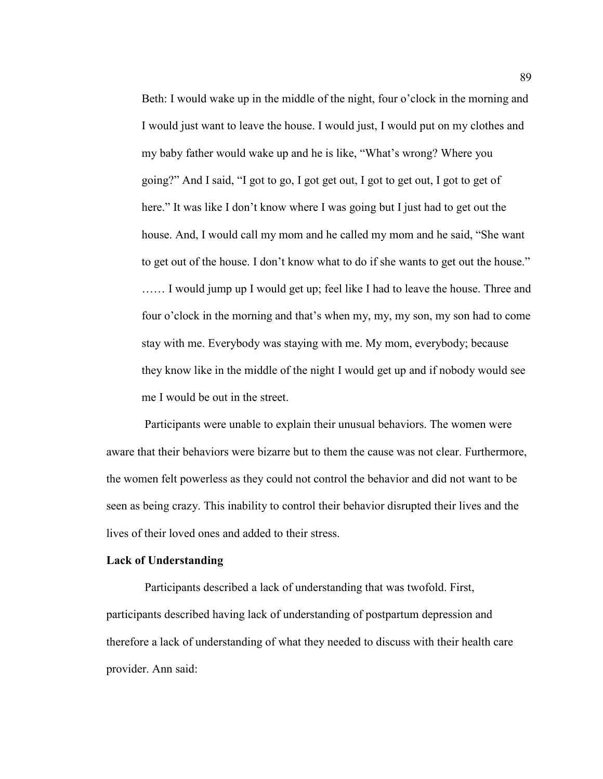Beth: I would wake up in the middle of the night, four o'clock in the morning and I would just want to leave the house. I would just, I would put on my clothes and my baby father would wake up and he is like, "What's wrong? Where you going?" And I said, "I got to go, I got get out, I got to get out, I got to get of here." It was like I don't know where I was going but I just had to get out the house. And, I would call my mom and he called my mom and he said, "She want to get out of the house. I don't know what to do if she wants to get out the house."

…… I would jump up I would get up; feel like I had to leave the house. Three and four o'clock in the morning and that's when my, my, my son, my son had to come stay with me. Everybody was staying with me. My mom, everybody; because they know like in the middle of the night I would get up and if nobody would see me I would be out in the street.

 Participants were unable to explain their unusual behaviors. The women were aware that their behaviors were bizarre but to them the cause was not clear. Furthermore, the women felt powerless as they could not control the behavior and did not want to be seen as being crazy. This inability to control their behavior disrupted their lives and the lives of their loved ones and added to their stress.

## **Lack of Understanding**

 Participants described a lack of understanding that was twofold. First, participants described having lack of understanding of postpartum depression and therefore a lack of understanding of what they needed to discuss with their health care provider. Ann said: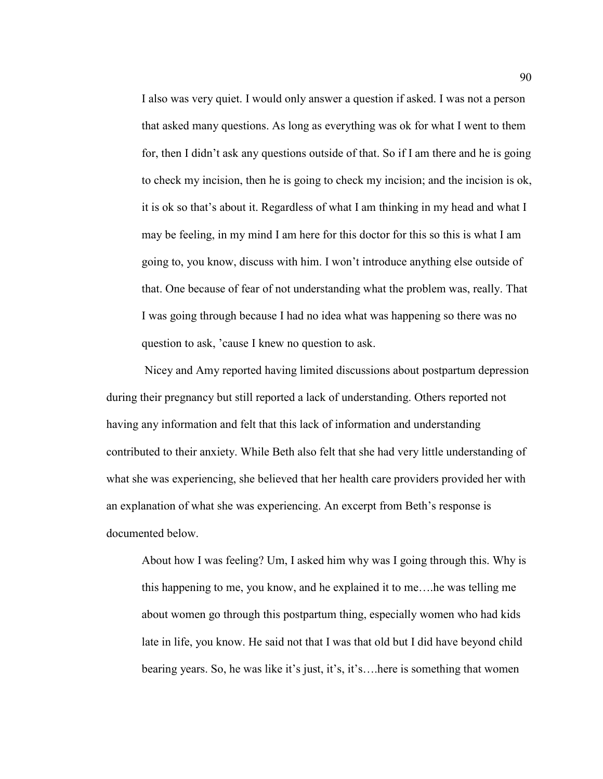I also was very quiet. I would only answer a question if asked. I was not a person that asked many questions. As long as everything was ok for what I went to them for, then I didn't ask any questions outside of that. So if I am there and he is going to check my incision, then he is going to check my incision; and the incision is ok, it is ok so that's about it. Regardless of what I am thinking in my head and what I may be feeling, in my mind I am here for this doctor for this so this is what I am going to, you know, discuss with him. I won't introduce anything else outside of that. One because of fear of not understanding what the problem was, really. That I was going through because I had no idea what was happening so there was no question to ask, 'cause I knew no question to ask.

 Nicey and Amy reported having limited discussions about postpartum depression during their pregnancy but still reported a lack of understanding. Others reported not having any information and felt that this lack of information and understanding contributed to their anxiety. While Beth also felt that she had very little understanding of what she was experiencing, she believed that her health care providers provided her with an explanation of what she was experiencing. An excerpt from Beth's response is documented below.

About how I was feeling? Um, I asked him why was I going through this. Why is this happening to me, you know, and he explained it to me….he was telling me about women go through this postpartum thing, especially women who had kids late in life, you know. He said not that I was that old but I did have beyond child bearing years. So, he was like it's just, it's, it's….here is something that women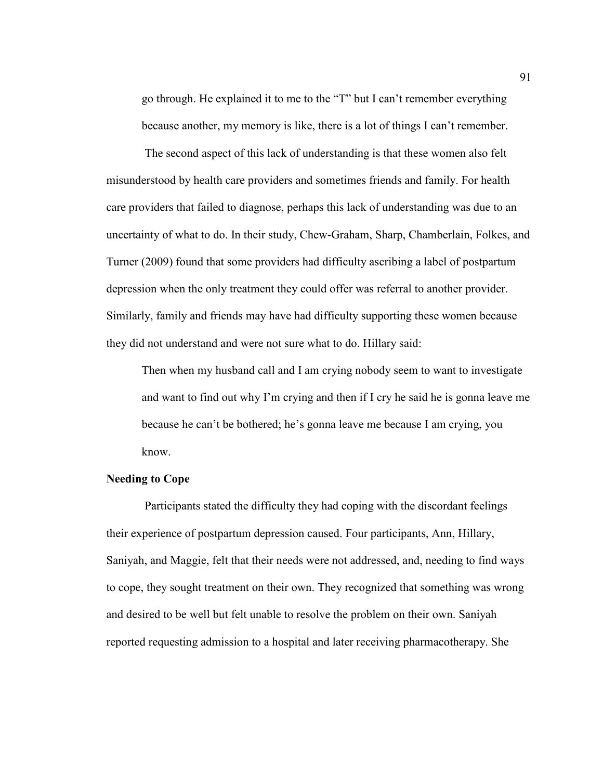go through. He explained it to me to the "T" but I can't remember everything because another, my memory is like, there is a lot of things I can't remember.

The second aspect of this lack of understanding is that these women also felt misunderstood by health care providers and sometimes friends and family. For health care providers that failed to diagnose, perhaps this lack of understanding was due to an uncertainty of what to do. In their study, Chew-Graham, Sharp, Chamberlain, Folkes, and Turner (2009) found that some providers had difficulty ascribing a label of postpartum depression when the only treatment they could offer was referral to another provider. Similarly, family and friends may have had difficulty supporting these women because they did not understand and were not sure what to do. Hillary said:

Then when my husband call and I am crying nobody seem to want to investigate and want to find out why I'm crying and then if I cry he said he is gonna leave me because he can't be bothered; he's gonna leave me because I am crying, you know.

# **Needing to Cope**

 Participants stated the difficulty they had coping with the discordant feelings their experience of postpartum depression caused. Four participants, Ann, Hillary, Saniyah, and Maggie, felt that their needs were not addressed, and, needing to find ways to cope, they sought treatment on their own. They recognized that something was wrong and desired to be well but felt unable to resolve the problem on their own. Saniyah reported requesting admission to a hospital and later receiving pharmacotherapy. She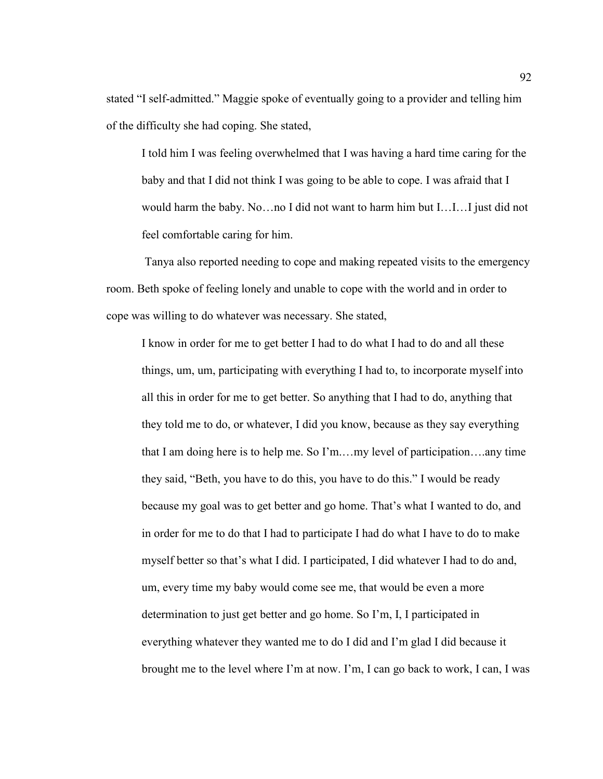stated "I self-admitted." Maggie spoke of eventually going to a provider and telling him of the difficulty she had coping. She stated,

I told him I was feeling overwhelmed that I was having a hard time caring for the baby and that I did not think I was going to be able to cope. I was afraid that I would harm the baby. No…no I did not want to harm him but I…I…I just did not feel comfortable caring for him.

 Tanya also reported needing to cope and making repeated visits to the emergency room. Beth spoke of feeling lonely and unable to cope with the world and in order to cope was willing to do whatever was necessary. She stated,

I know in order for me to get better I had to do what I had to do and all these things, um, um, participating with everything I had to, to incorporate myself into all this in order for me to get better. So anything that I had to do, anything that they told me to do, or whatever, I did you know, because as they say everything that I am doing here is to help me. So I'm.…my level of participation….any time they said, "Beth, you have to do this, you have to do this." I would be ready because my goal was to get better and go home. That's what I wanted to do, and in order for me to do that I had to participate I had do what I have to do to make myself better so that's what I did. I participated, I did whatever I had to do and, um, every time my baby would come see me, that would be even a more determination to just get better and go home. So I'm, I, I participated in everything whatever they wanted me to do I did and I'm glad I did because it brought me to the level where I'm at now. I'm, I can go back to work, I can, I was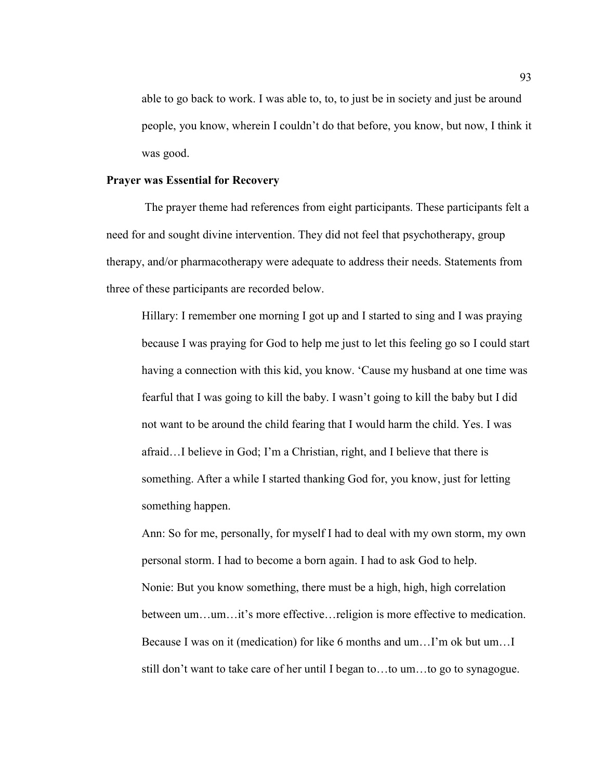able to go back to work. I was able to, to, to just be in society and just be around people, you know, wherein I couldn't do that before, you know, but now, I think it was good.

## **Prayer was Essential for Recovery**

 The prayer theme had references from eight participants. These participants felt a need for and sought divine intervention. They did not feel that psychotherapy, group therapy, and/or pharmacotherapy were adequate to address their needs. Statements from three of these participants are recorded below.

Hillary: I remember one morning I got up and I started to sing and I was praying because I was praying for God to help me just to let this feeling go so I could start having a connection with this kid, you know. 'Cause my husband at one time was fearful that I was going to kill the baby. I wasn't going to kill the baby but I did not want to be around the child fearing that I would harm the child. Yes. I was afraid…I believe in God; I'm a Christian, right, and I believe that there is something. After a while I started thanking God for, you know, just for letting something happen.

Ann: So for me, personally, for myself I had to deal with my own storm, my own personal storm. I had to become a born again. I had to ask God to help. Nonie: But you know something, there must be a high, high, high correlation between um…um…it's more effective…religion is more effective to medication. Because I was on it (medication) for like 6 months and um…I'm ok but um…I still don't want to take care of her until I began to…to um…to go to synagogue.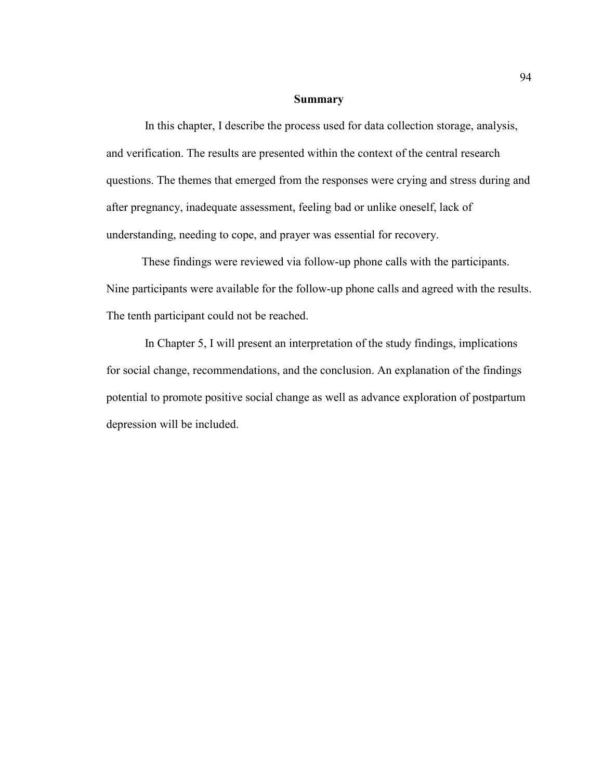#### **Summary**

 In this chapter, I describe the process used for data collection storage, analysis, and verification. The results are presented within the context of the central research questions. The themes that emerged from the responses were crying and stress during and after pregnancy, inadequate assessment, feeling bad or unlike oneself, lack of understanding, needing to cope, and prayer was essential for recovery.

These findings were reviewed via follow-up phone calls with the participants. Nine participants were available for the follow-up phone calls and agreed with the results. The tenth participant could not be reached.

 In Chapter 5, I will present an interpretation of the study findings, implications for social change, recommendations, and the conclusion. An explanation of the findings potential to promote positive social change as well as advance exploration of postpartum depression will be included.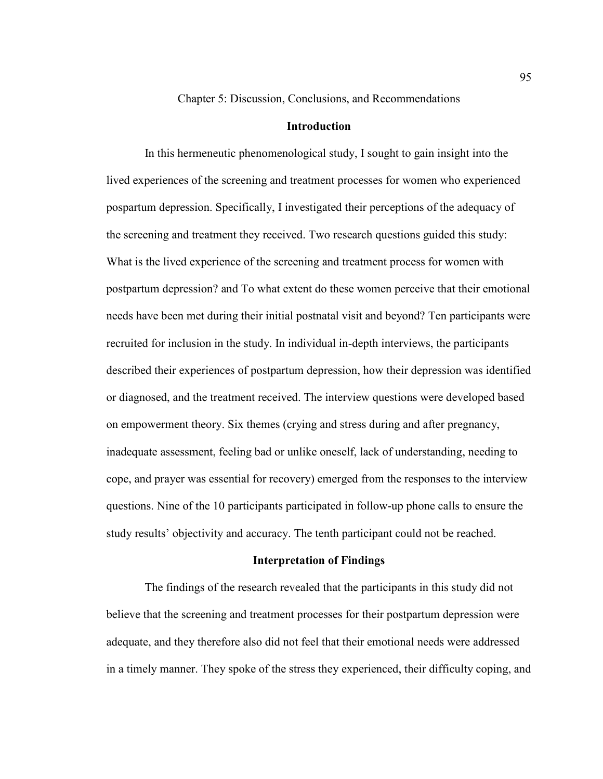Chapter 5: Discussion, Conclusions, and Recommendations

## **Introduction**

 In this hermeneutic phenomenological study, I sought to gain insight into the lived experiences of the screening and treatment processes for women who experienced pospartum depression. Specifically, I investigated their perceptions of the adequacy of the screening and treatment they received. Two research questions guided this study: What is the lived experience of the screening and treatment process for women with postpartum depression? and To what extent do these women perceive that their emotional needs have been met during their initial postnatal visit and beyond? Ten participants were recruited for inclusion in the study. In individual in-depth interviews, the participants described their experiences of postpartum depression, how their depression was identified or diagnosed, and the treatment received. The interview questions were developed based on empowerment theory. Six themes (crying and stress during and after pregnancy, inadequate assessment, feeling bad or unlike oneself, lack of understanding, needing to cope, and prayer was essential for recovery) emerged from the responses to the interview questions. Nine of the 10 participants participated in follow-up phone calls to ensure the study results' objectivity and accuracy. The tenth participant could not be reached.

## **Interpretation of Findings**

 The findings of the research revealed that the participants in this study did not believe that the screening and treatment processes for their postpartum depression were adequate, and they therefore also did not feel that their emotional needs were addressed in a timely manner. They spoke of the stress they experienced, their difficulty coping, and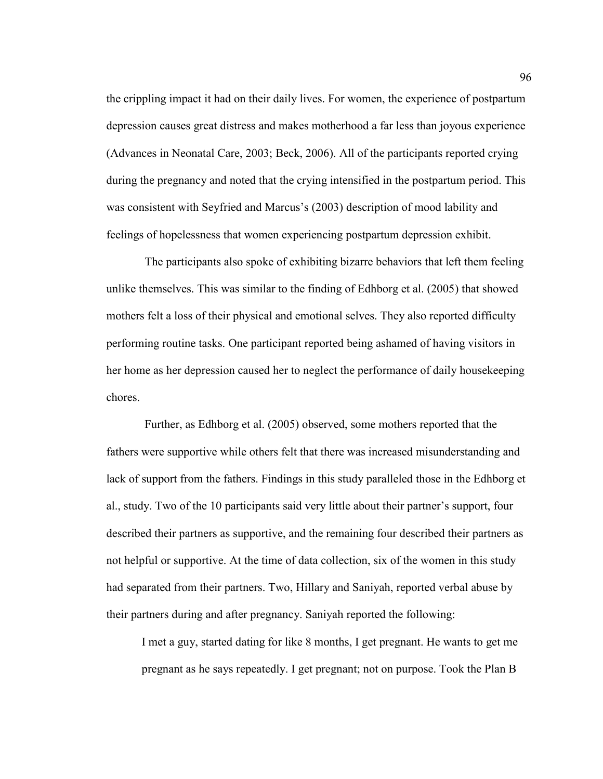the crippling impact it had on their daily lives. For women, the experience of postpartum depression causes great distress and makes motherhood a far less than joyous experience (Advances in Neonatal Care, 2003; Beck, 2006). All of the participants reported crying during the pregnancy and noted that the crying intensified in the postpartum period. This was consistent with Seyfried and Marcus's (2003) description of mood lability and feelings of hopelessness that women experiencing postpartum depression exhibit.

 The participants also spoke of exhibiting bizarre behaviors that left them feeling unlike themselves. This was similar to the finding of Edhborg et al. (2005) that showed mothers felt a loss of their physical and emotional selves. They also reported difficulty performing routine tasks. One participant reported being ashamed of having visitors in her home as her depression caused her to neglect the performance of daily housekeeping chores.

 Further, as Edhborg et al. (2005) observed, some mothers reported that the fathers were supportive while others felt that there was increased misunderstanding and lack of support from the fathers. Findings in this study paralleled those in the Edhborg et al., study. Two of the 10 participants said very little about their partner's support, four described their partners as supportive, and the remaining four described their partners as not helpful or supportive. At the time of data collection, six of the women in this study had separated from their partners. Two, Hillary and Saniyah, reported verbal abuse by their partners during and after pregnancy. Saniyah reported the following:

I met a guy, started dating for like 8 months, I get pregnant. He wants to get me pregnant as he says repeatedly. I get pregnant; not on purpose. Took the Plan B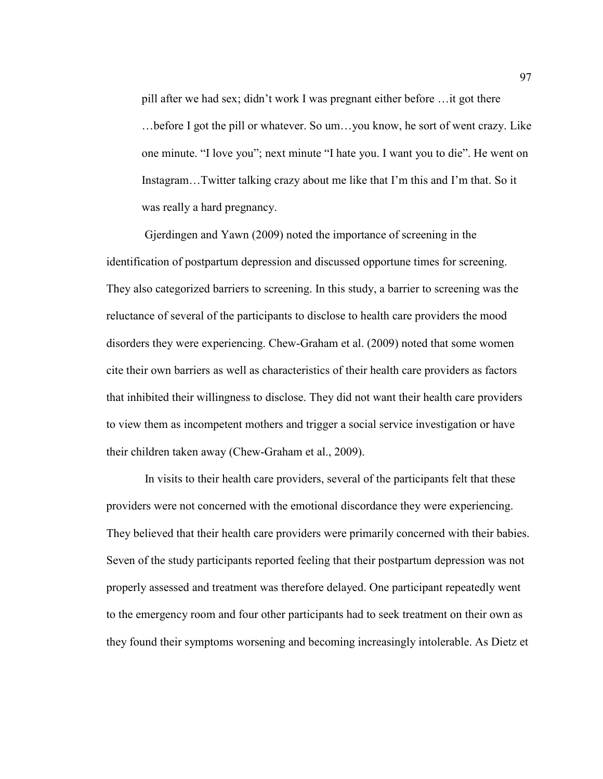pill after we had sex; didn't work I was pregnant either before …it got there …before I got the pill or whatever. So um…you know, he sort of went crazy. Like one minute. "I love you"; next minute "I hate you. I want you to die". He went on Instagram…Twitter talking crazy about me like that I'm this and I'm that. So it was really a hard pregnancy.

 Gjerdingen and Yawn (2009) noted the importance of screening in the identification of postpartum depression and discussed opportune times for screening. They also categorized barriers to screening. In this study, a barrier to screening was the reluctance of several of the participants to disclose to health care providers the mood disorders they were experiencing. Chew-Graham et al. (2009) noted that some women cite their own barriers as well as characteristics of their health care providers as factors that inhibited their willingness to disclose. They did not want their health care providers to view them as incompetent mothers and trigger a social service investigation or have their children taken away (Chew-Graham et al., 2009).

 In visits to their health care providers, several of the participants felt that these providers were not concerned with the emotional discordance they were experiencing. They believed that their health care providers were primarily concerned with their babies. Seven of the study participants reported feeling that their postpartum depression was not properly assessed and treatment was therefore delayed. One participant repeatedly went to the emergency room and four other participants had to seek treatment on their own as they found their symptoms worsening and becoming increasingly intolerable. As Dietz et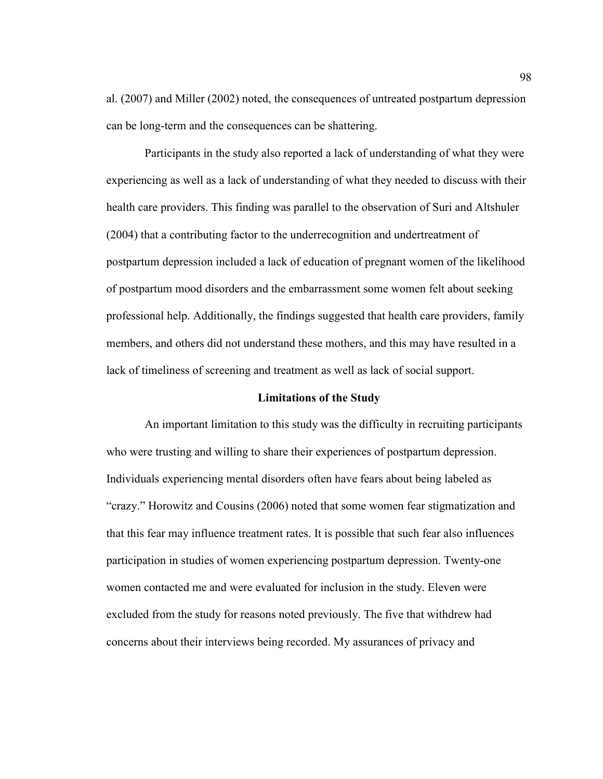al. (2007) and Miller (2002) noted, the consequences of untreated postpartum depression can be long-term and the consequences can be shattering.

 Participants in the study also reported a lack of understanding of what they were experiencing as well as a lack of understanding of what they needed to discuss with their health care providers. This finding was parallel to the observation of Suri and Altshuler (2004) that a contributing factor to the underrecognition and undertreatment of postpartum depression included a lack of education of pregnant women of the likelihood of postpartum mood disorders and the embarrassment some women felt about seeking professional help. Additionally, the findings suggested that health care providers, family members, and others did not understand these mothers, and this may have resulted in a lack of timeliness of screening and treatment as well as lack of social support.

### **Limitations of the Study**

 An important limitation to this study was the difficulty in recruiting participants who were trusting and willing to share their experiences of postpartum depression. Individuals experiencing mental disorders often have fears about being labeled as "crazy." Horowitz and Cousins (2006) noted that some women fear stigmatization and that this fear may influence treatment rates. It is possible that such fear also influences participation in studies of women experiencing postpartum depression. Twenty-one women contacted me and were evaluated for inclusion in the study. Eleven were excluded from the study for reasons noted previously. The five that withdrew had concerns about their interviews being recorded. My assurances of privacy and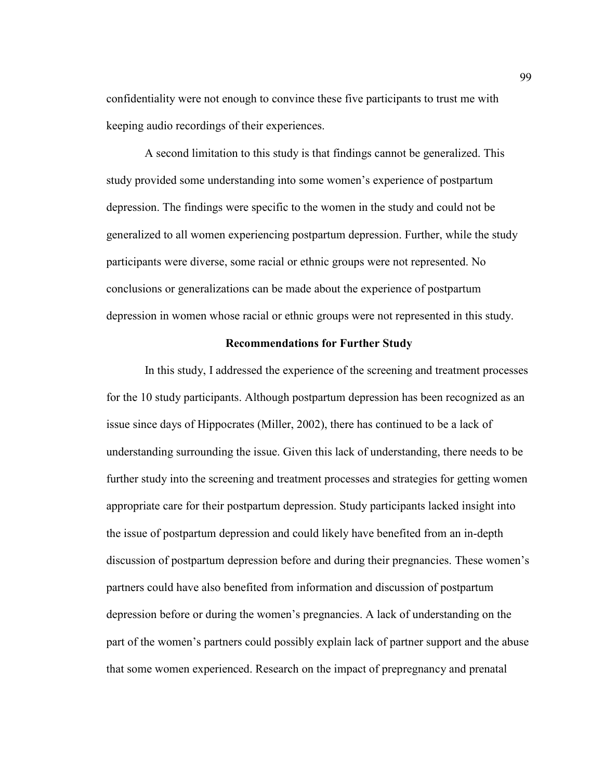confidentiality were not enough to convince these five participants to trust me with keeping audio recordings of their experiences.

 A second limitation to this study is that findings cannot be generalized. This study provided some understanding into some women's experience of postpartum depression. The findings were specific to the women in the study and could not be generalized to all women experiencing postpartum depression. Further, while the study participants were diverse, some racial or ethnic groups were not represented. No conclusions or generalizations can be made about the experience of postpartum depression in women whose racial or ethnic groups were not represented in this study.

### **Recommendations for Further Study**

 In this study, I addressed the experience of the screening and treatment processes for the 10 study participants. Although postpartum depression has been recognized as an issue since days of Hippocrates (Miller, 2002), there has continued to be a lack of understanding surrounding the issue. Given this lack of understanding, there needs to be further study into the screening and treatment processes and strategies for getting women appropriate care for their postpartum depression. Study participants lacked insight into the issue of postpartum depression and could likely have benefited from an in-depth discussion of postpartum depression before and during their pregnancies. These women's partners could have also benefited from information and discussion of postpartum depression before or during the women's pregnancies. A lack of understanding on the part of the women's partners could possibly explain lack of partner support and the abuse that some women experienced. Research on the impact of prepregnancy and prenatal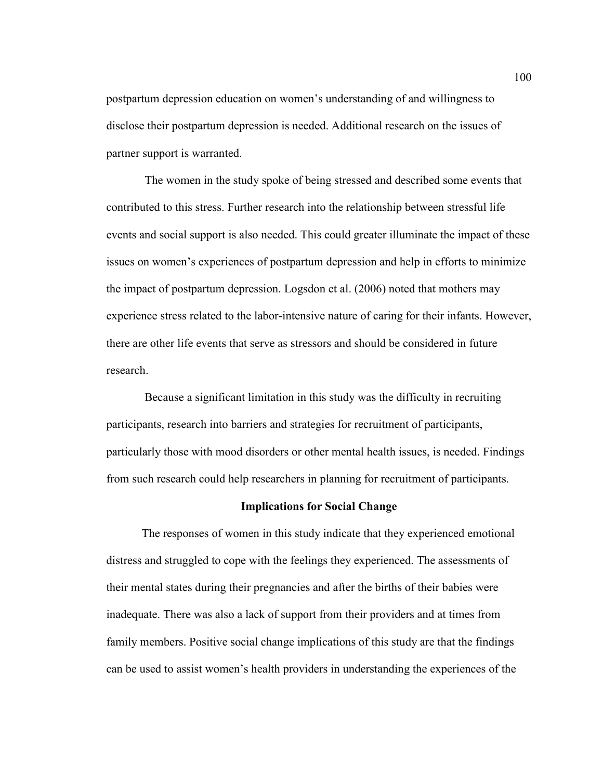postpartum depression education on women's understanding of and willingness to disclose their postpartum depression is needed. Additional research on the issues of partner support is warranted.

 The women in the study spoke of being stressed and described some events that contributed to this stress. Further research into the relationship between stressful life events and social support is also needed. This could greater illuminate the impact of these issues on women's experiences of postpartum depression and help in efforts to minimize the impact of postpartum depression. Logsdon et al. (2006) noted that mothers may experience stress related to the labor-intensive nature of caring for their infants. However, there are other life events that serve as stressors and should be considered in future research.

 Because a significant limitation in this study was the difficulty in recruiting participants, research into barriers and strategies for recruitment of participants, particularly those with mood disorders or other mental health issues, is needed. Findings from such research could help researchers in planning for recruitment of participants.

### **Implications for Social Change**

The responses of women in this study indicate that they experienced emotional distress and struggled to cope with the feelings they experienced. The assessments of their mental states during their pregnancies and after the births of their babies were inadequate. There was also a lack of support from their providers and at times from family members. Positive social change implications of this study are that the findings can be used to assist women's health providers in understanding the experiences of the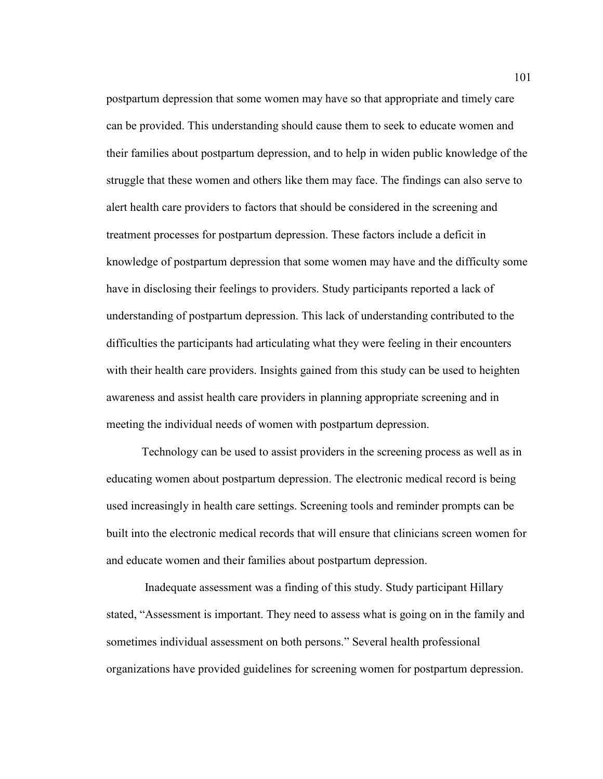postpartum depression that some women may have so that appropriate and timely care can be provided. This understanding should cause them to seek to educate women and their families about postpartum depression, and to help in widen public knowledge of the struggle that these women and others like them may face. The findings can also serve to alert health care providers to factors that should be considered in the screening and treatment processes for postpartum depression. These factors include a deficit in knowledge of postpartum depression that some women may have and the difficulty some have in disclosing their feelings to providers. Study participants reported a lack of understanding of postpartum depression. This lack of understanding contributed to the difficulties the participants had articulating what they were feeling in their encounters with their health care providers. Insights gained from this study can be used to heighten awareness and assist health care providers in planning appropriate screening and in meeting the individual needs of women with postpartum depression.

Technology can be used to assist providers in the screening process as well as in educating women about postpartum depression. The electronic medical record is being used increasingly in health care settings. Screening tools and reminder prompts can be built into the electronic medical records that will ensure that clinicians screen women for and educate women and their families about postpartum depression.

 Inadequate assessment was a finding of this study. Study participant Hillary stated, "Assessment is important. They need to assess what is going on in the family and sometimes individual assessment on both persons." Several health professional organizations have provided guidelines for screening women for postpartum depression.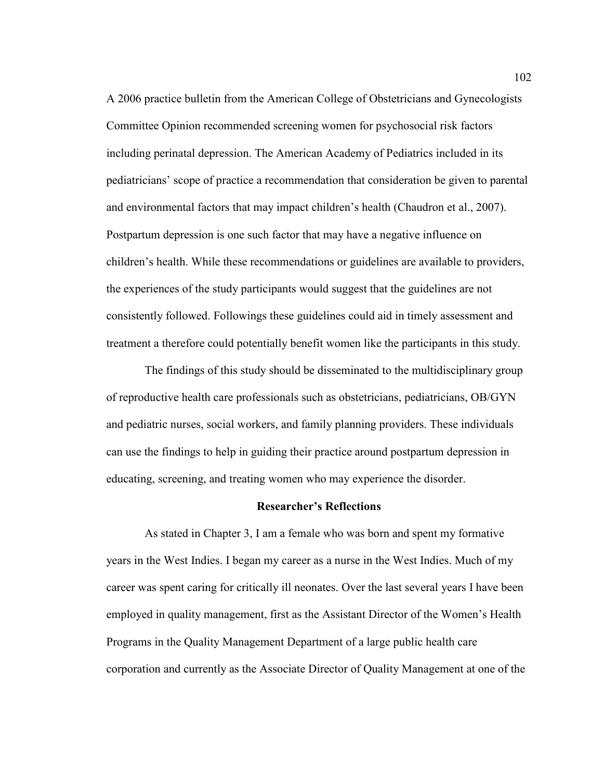A 2006 practice bulletin from the American College of Obstetricians and Gynecologists Committee Opinion recommended screening women for psychosocial risk factors including perinatal depression. The American Academy of Pediatrics included in its pediatricians' scope of practice a recommendation that consideration be given to parental and environmental factors that may impact children's health (Chaudron et al., 2007). Postpartum depression is one such factor that may have a negative influence on children's health. While these recommendations or guidelines are available to providers, the experiences of the study participants would suggest that the guidelines are not consistently followed. Followings these guidelines could aid in timely assessment and treatment a therefore could potentially benefit women like the participants in this study.

 The findings of this study should be disseminated to the multidisciplinary group of reproductive health care professionals such as obstetricians, pediatricians, OB/GYN and pediatric nurses, social workers, and family planning providers. These individuals can use the findings to help in guiding their practice around postpartum depression in educating, screening, and treating women who may experience the disorder.

#### **Researcher's Reflections**

 As stated in Chapter 3, I am a female who was born and spent my formative years in the West Indies. I began my career as a nurse in the West Indies. Much of my career was spent caring for critically ill neonates. Over the last several years I have been employed in quality management, first as the Assistant Director of the Women's Health Programs in the Quality Management Department of a large public health care corporation and currently as the Associate Director of Quality Management at one of the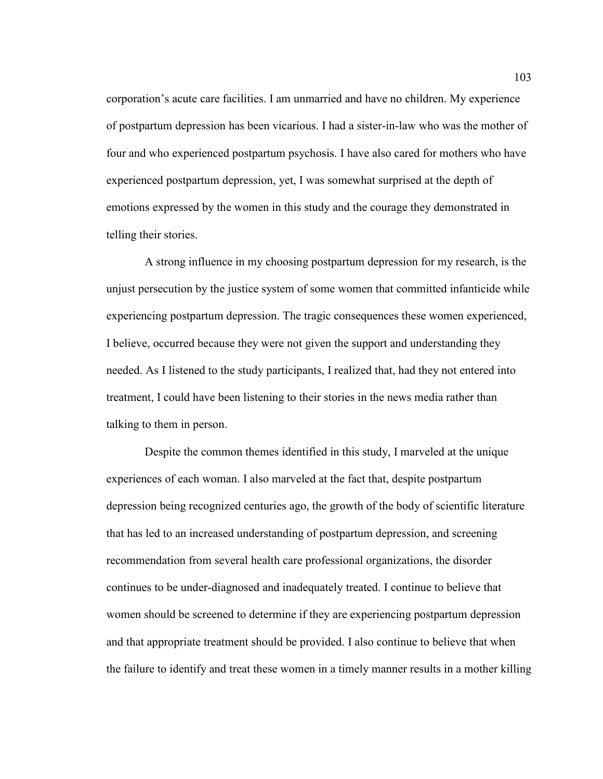corporation's acute care facilities. I am unmarried and have no children. My experience of postpartum depression has been vicarious. I had a sister-in-law who was the mother of four and who experienced postpartum psychosis. I have also cared for mothers who have experienced postpartum depression, yet, I was somewhat surprised at the depth of emotions expressed by the women in this study and the courage they demonstrated in telling their stories.

A strong influence in my choosing postpartum depression for my research, is the unjust persecution by the justice system of some women that committed infanticide while experiencing postpartum depression. The tragic consequences these women experienced, I believe, occurred because they were not given the support and understanding they needed. As I listened to the study participants, I realized that, had they not entered into treatment, I could have been listening to their stories in the news media rather than talking to them in person.

 Despite the common themes identified in this study, I marveled at the unique experiences of each woman. I also marveled at the fact that, despite postpartum depression being recognized centuries ago, the growth of the body of scientific literature that has led to an increased understanding of postpartum depression, and screening recommendation from several health care professional organizations, the disorder continues to be under-diagnosed and inadequately treated. I continue to believe that women should be screened to determine if they are experiencing postpartum depression and that appropriate treatment should be provided. I also continue to believe that when the failure to identify and treat these women in a timely manner results in a mother killing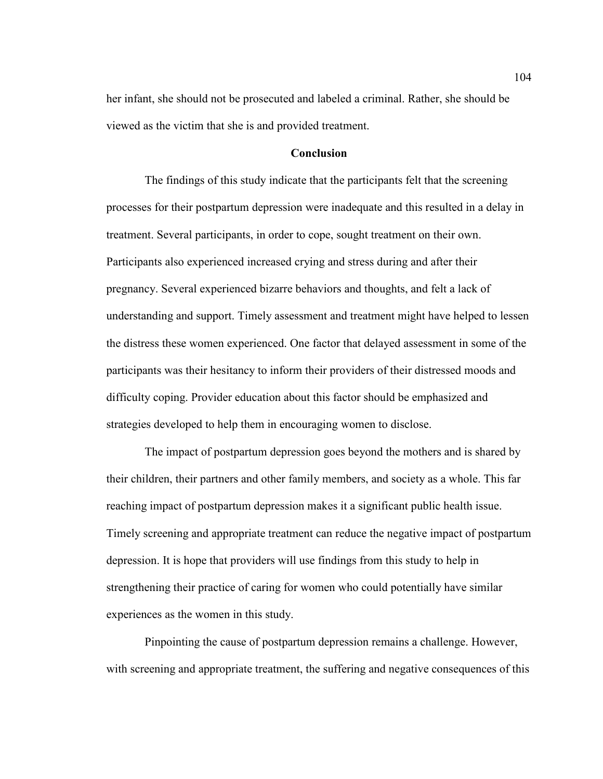her infant, she should not be prosecuted and labeled a criminal. Rather, she should be viewed as the victim that she is and provided treatment.

#### **Conclusion**

 The findings of this study indicate that the participants felt that the screening processes for their postpartum depression were inadequate and this resulted in a delay in treatment. Several participants, in order to cope, sought treatment on their own. Participants also experienced increased crying and stress during and after their pregnancy. Several experienced bizarre behaviors and thoughts, and felt a lack of understanding and support. Timely assessment and treatment might have helped to lessen the distress these women experienced. One factor that delayed assessment in some of the participants was their hesitancy to inform their providers of their distressed moods and difficulty coping. Provider education about this factor should be emphasized and strategies developed to help them in encouraging women to disclose.

 The impact of postpartum depression goes beyond the mothers and is shared by their children, their partners and other family members, and society as a whole. This far reaching impact of postpartum depression makes it a significant public health issue. Timely screening and appropriate treatment can reduce the negative impact of postpartum depression. It is hope that providers will use findings from this study to help in strengthening their practice of caring for women who could potentially have similar experiences as the women in this study.

 Pinpointing the cause of postpartum depression remains a challenge. However, with screening and appropriate treatment, the suffering and negative consequences of this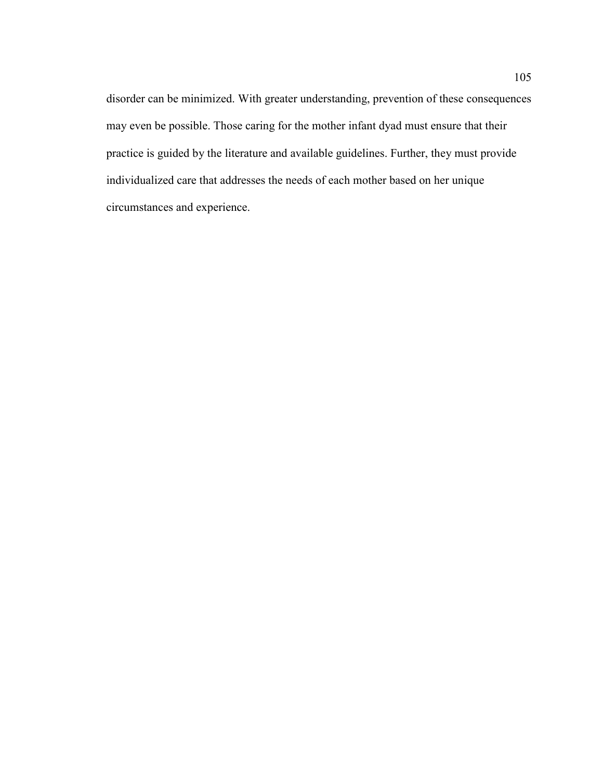disorder can be minimized. With greater understanding, prevention of these consequences may even be possible. Those caring for the mother infant dyad must ensure that their practice is guided by the literature and available guidelines. Further, they must provide individualized care that addresses the needs of each mother based on her unique circumstances and experience.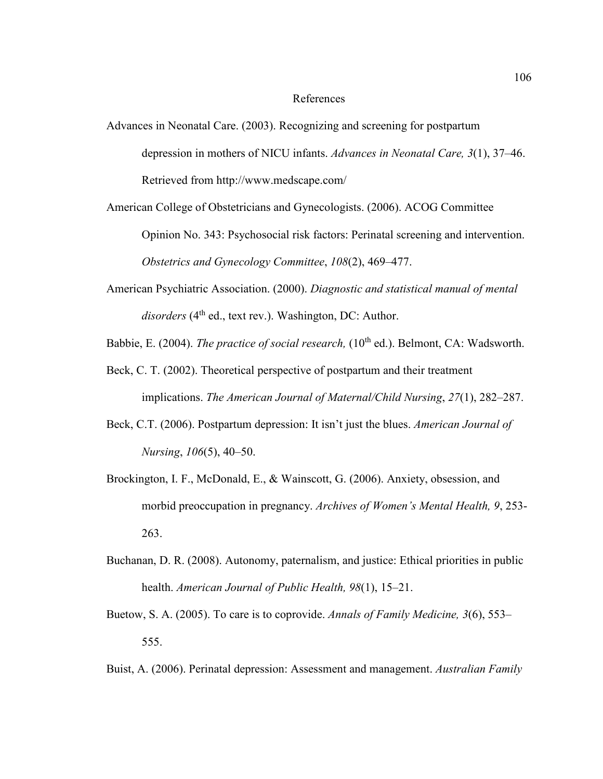#### References

Advances in Neonatal Care. (2003). Recognizing and screening for postpartum depression in mothers of NICU infants. *Advances in Neonatal Care, 3*(1), 37–46. Retrieved from http://www.medscape.com/

American College of Obstetricians and Gynecologists. (2006). ACOG Committee Opinion No. 343: Psychosocial risk factors: Perinatal screening and intervention. *Obstetrics and Gynecology Committee*, *108*(2), 469–477.

American Psychiatric Association. (2000). *Diagnostic and statistical manual of mental*  disorders (4<sup>th</sup> ed., text rev.). Washington, DC: Author.

Babbie, E. (2004). *The practice of social research*, (10<sup>th</sup> ed.). Belmont, CA: Wadsworth.

- Beck, C. T. (2002). Theoretical perspective of postpartum and their treatment implications. *The American Journal of Maternal/Child Nursing*, *27*(1), 282–287.
- Beck, C.T. (2006). Postpartum depression: It isn't just the blues. *American Journal of Nursing*, *106*(5), 40–50.
- Brockington, I. F., McDonald, E., & Wainscott, G. (2006). Anxiety, obsession, and morbid preoccupation in pregnancy. *Archives of Women's Mental Health, 9*, 253- 263.
- Buchanan, D. R. (2008). Autonomy, paternalism, and justice: Ethical priorities in public health. *American Journal of Public Health, 98*(1), 15–21.
- Buetow, S. A. (2005). To care is to coprovide. *Annals of Family Medicine, 3*(6), 553– 555.
- Buist, A. (2006). Perinatal depression: Assessment and management. *Australian Family*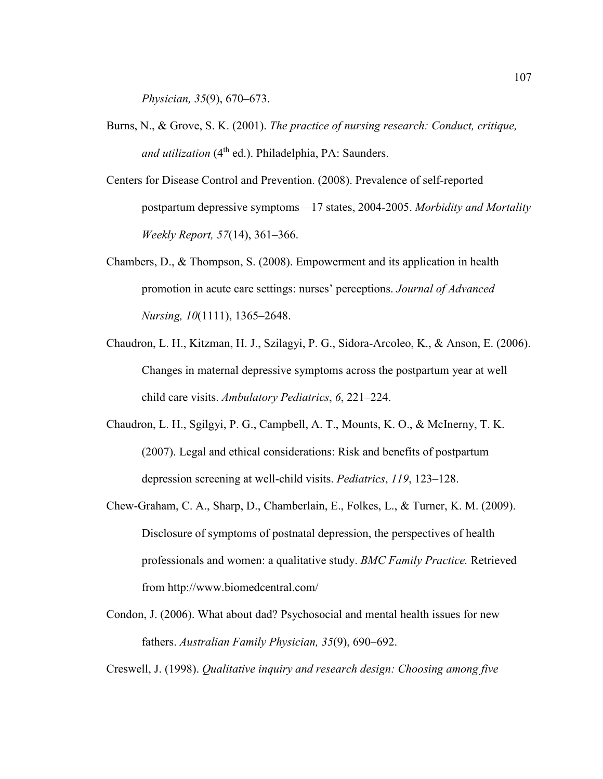*Physician, 35*(9), 670–673.

- Burns, N., & Grove, S. K. (2001). *The practice of nursing research: Conduct, critique, and utilization* (4<sup>th</sup> ed.). Philadelphia, PA: Saunders.
- Centers for Disease Control and Prevention. (2008). Prevalence of self-reported postpartum depressive symptoms—17 states, 2004-2005. *Morbidity and Mortality Weekly Report, 57*(14), 361–366.
- Chambers, D., & Thompson, S. (2008). Empowerment and its application in health promotion in acute care settings: nurses' perceptions. *Journal of Advanced Nursing, 10*(1111), 1365–2648.
- Chaudron, L. H., Kitzman, H. J., Szilagyi, P. G., Sidora-Arcoleo, K., & Anson, E. (2006). Changes in maternal depressive symptoms across the postpartum year at well child care visits. *Ambulatory Pediatrics*, *6*, 221–224.
- Chaudron, L. H., Sgilgyi, P. G., Campbell, A. T., Mounts, K. O., & McInerny, T. K. (2007). Legal and ethical considerations: Risk and benefits of postpartum depression screening at well-child visits. *Pediatrics*, *119*, 123–128.
- Chew-Graham, C. A., Sharp, D., Chamberlain, E., Folkes, L., & Turner, K. M. (2009). Disclosure of symptoms of postnatal depression, the perspectives of health professionals and women: a qualitative study. *BMC Family Practice.* Retrieved from http://www.biomedcentral.com/
- Condon, J. (2006). What about dad? Psychosocial and mental health issues for new fathers. *Australian Family Physician, 35*(9), 690–692.

Creswell, J. (1998). *Qualitative inquiry and research design: Choosing among five*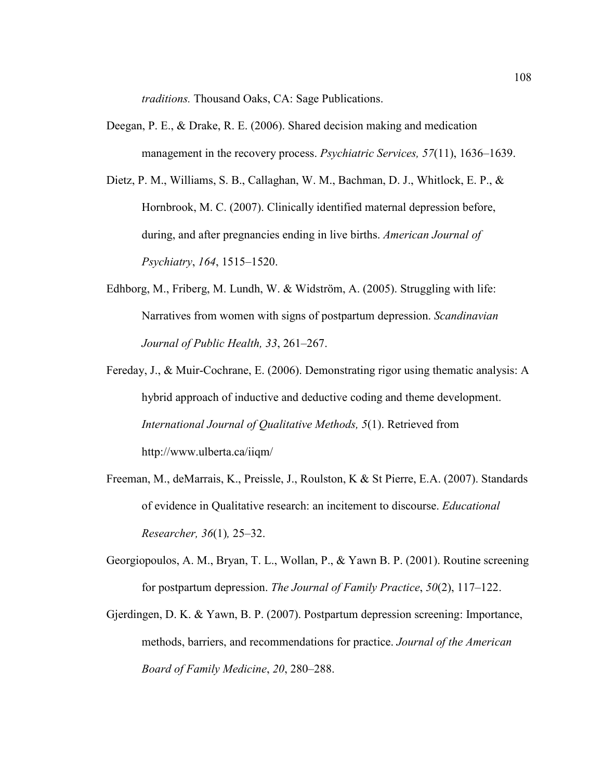*traditions.* Thousand Oaks, CA: Sage Publications.

- Deegan, P. E., & Drake, R. E. (2006). Shared decision making and medication management in the recovery process. *Psychiatric Services, 57*(11), 1636–1639.
- Dietz, P. M., Williams, S. B., Callaghan, W. M., Bachman, D. J., Whitlock, E. P., & Hornbrook, M. C. (2007). Clinically identified maternal depression before, during, and after pregnancies ending in live births. *American Journal of Psychiatry*, *164*, 1515–1520.
- Edhborg, M., Friberg, M. Lundh, W. & Widström, A. (2005). Struggling with life: Narratives from women with signs of postpartum depression. *Scandinavian Journal of Public Health, 33*, 261–267.
- Fereday, J., & Muir-Cochrane, E. (2006). Demonstrating rigor using thematic analysis: A hybrid approach of inductive and deductive coding and theme development. *International Journal of Qualitative Methods, 5*(1). Retrieved from http://www.ulberta.ca/iiqm/
- Freeman, M., deMarrais, K., Preissle, J., Roulston, K & St Pierre, E.A. (2007). Standards of evidence in Qualitative research: an incitement to discourse. *Educational Researcher, 36*(1)*,* 25–32.
- Georgiopoulos, A. M., Bryan, T. L., Wollan, P., & Yawn B. P. (2001). Routine screening for postpartum depression. *The Journal of Family Practice*, *50*(2), 117–122.
- Gjerdingen, D. K. & Yawn, B. P. (2007). Postpartum depression screening: Importance, methods, barriers, and recommendations for practice. *Journal of the American Board of Family Medicine*, *20*, 280–288.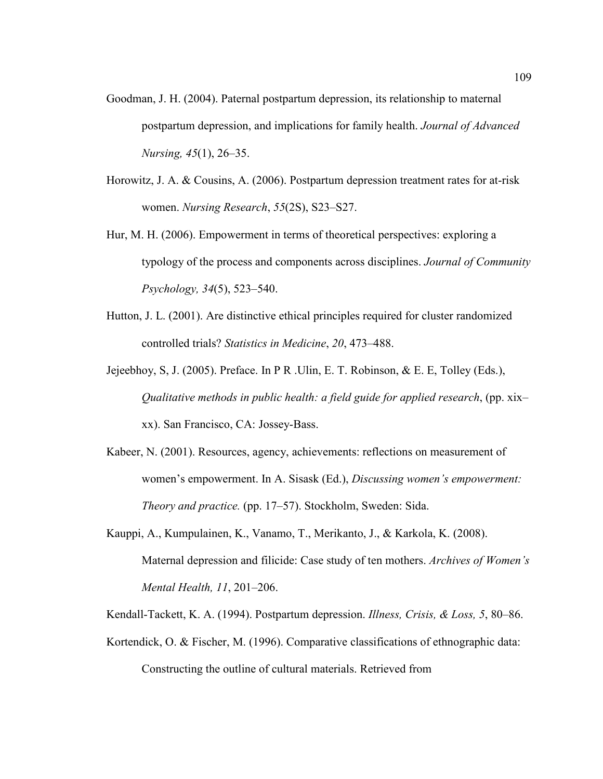- Goodman, J. H. (2004). Paternal postpartum depression, its relationship to maternal postpartum depression, and implications for family health. *Journal of Advanced Nursing, 45*(1), 26–35.
- Horowitz, J. A. & Cousins, A. (2006). Postpartum depression treatment rates for at-risk women. *Nursing Research*, *55*(2S), S23–S27.
- Hur, M. H. (2006). Empowerment in terms of theoretical perspectives: exploring a typology of the process and components across disciplines. *Journal of Community Psychology, 34*(5), 523–540.
- Hutton, J. L. (2001). Are distinctive ethical principles required for cluster randomized controlled trials? *Statistics in Medicine*, *20*, 473–488.
- Jejeebhoy, S, J. (2005). Preface. In P R .Ulin, E. T. Robinson, & E. E, Tolley (Eds.), *Qualitative methods in public health: a field guide for applied research*, (pp. xix– xx). San Francisco, CA: Jossey-Bass.
- Kabeer, N. (2001). Resources, agency, achievements: reflections on measurement of women's empowerment. In A. Sisask (Ed.), *Discussing women's empowerment: Theory and practice.* (pp. 17–57). Stockholm, Sweden: Sida.
- Kauppi, A., Kumpulainen, K., Vanamo, T., Merikanto, J., & Karkola, K. (2008). Maternal depression and filicide: Case study of ten mothers. *Archives of Women's Mental Health, 11*, 201–206.

Kendall-Tackett, K. A. (1994). Postpartum depression. *Illness, Crisis, & Loss, 5*, 80–86.

Kortendick, O. & Fischer, M. (1996). Comparative classifications of ethnographic data: Constructing the outline of cultural materials. Retrieved from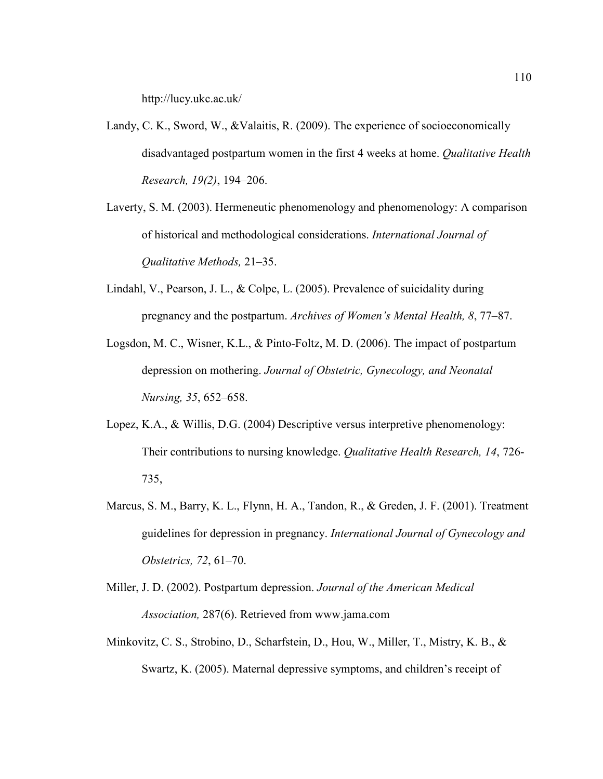http://lucy.ukc.ac.uk/

- Landy, C. K., Sword, W., &Valaitis, R. (2009). The experience of socioeconomically disadvantaged postpartum women in the first 4 weeks at home. *Qualitative Health Research, 19(2)*, 194–206.
- Laverty, S. M. (2003). Hermeneutic phenomenology and phenomenology: A comparison of historical and methodological considerations. *International Journal of Qualitative Methods,* 21–35.
- Lindahl, V., Pearson, J. L., & Colpe, L. (2005). Prevalence of suicidality during pregnancy and the postpartum. *Archives of Women's Mental Health, 8*, 77–87.
- Logsdon, M. C., Wisner, K.L., & Pinto-Foltz, M. D. (2006). The impact of postpartum depression on mothering. *Journal of Obstetric, Gynecology, and Neonatal Nursing, 35*, 652–658.
- Lopez, K.A., & Willis, D.G. (2004) Descriptive versus interpretive phenomenology: Their contributions to nursing knowledge. *Qualitative Health Research, 14*, 726- 735,
- Marcus, S. M., Barry, K. L., Flynn, H. A., Tandon, R., & Greden, J. F. (2001). Treatment guidelines for depression in pregnancy. *International Journal of Gynecology and Obstetrics, 72*, 61–70.
- Miller, J. D. (2002). Postpartum depression. *Journal of the American Medical Association,* 287(6). Retrieved from www.jama.com
- Minkovitz, C. S., Strobino, D., Scharfstein, D., Hou, W., Miller, T., Mistry, K. B., & Swartz, K. (2005). Maternal depressive symptoms, and children's receipt of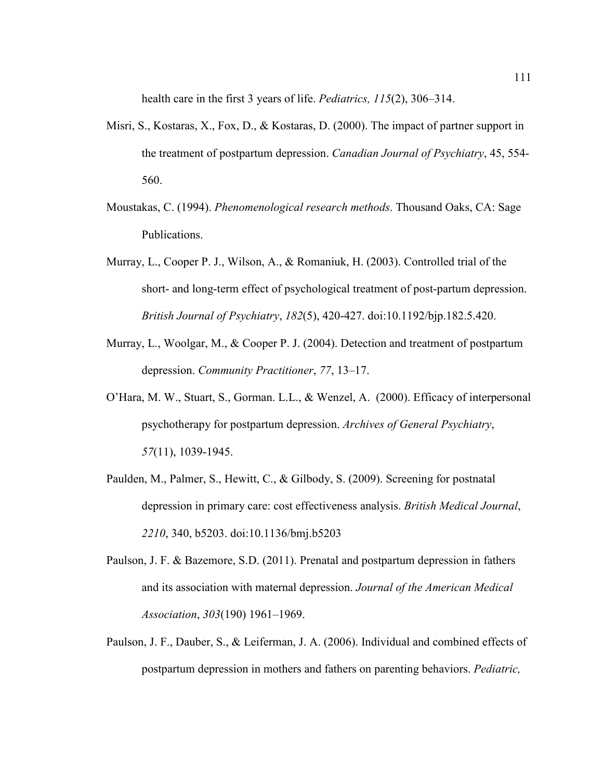health care in the first 3 years of life. *Pediatrics, 115*(2), 306–314.

- Misri, S., Kostaras, X., Fox, D., & Kostaras, D. (2000). The impact of partner support in the treatment of postpartum depression. *Canadian Journal of Psychiatry*, 45, 554- 560.
- Moustakas, C. (1994). *Phenomenological research methods*. Thousand Oaks, CA: Sage Publications.
- Murray, L., Cooper P. J., Wilson, A., & Romaniuk, H. (2003). Controlled trial of the short- and long-term effect of psychological treatment of post-partum depression. *British Journal of Psychiatry*, *182*(5), 420-427. doi:10.1192/bjp.182.5.420.
- Murray, L., Woolgar, M., & Cooper P. J. (2004). Detection and treatment of postpartum depression. *Community Practitioner*, *77*, 13–17.
- O'Hara, M. W., Stuart, S., Gorman. L.L., & Wenzel, A. (2000). Efficacy of interpersonal psychotherapy for postpartum depression. *Archives of General Psychiatry*, *57*(11), 1039-1945.
- Paulden, M., Palmer, S., Hewitt, C., & Gilbody, S. (2009). Screening for postnatal depression in primary care: cost effectiveness analysis. *British Medical Journal*, *2210*, 340, b5203. doi:10.1136/bmj.b5203
- Paulson, J. F. & Bazemore, S.D. (2011). Prenatal and postpartum depression in fathers and its association with maternal depression. *Journal of the American Medical Association*, *303*(190) 1961–1969.
- Paulson, J. F., Dauber, S., & Leiferman, J. A. (2006). Individual and combined effects of postpartum depression in mothers and fathers on parenting behaviors. *Pediatric,*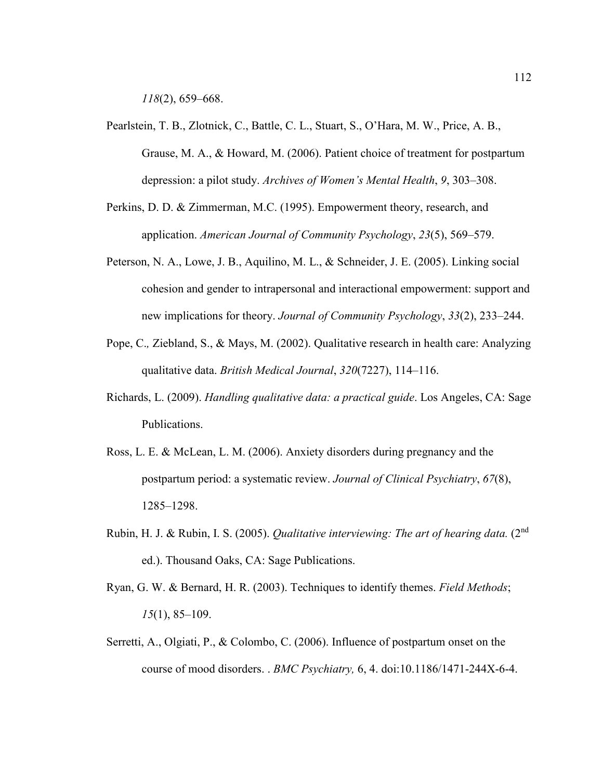*118*(2), 659–668.

- Pearlstein, T. B., Zlotnick, C., Battle, C. L., Stuart, S., O'Hara, M. W., Price, A. B., Grause, M. A., & Howard, M. (2006). Patient choice of treatment for postpartum depression: a pilot study. *Archives of Women's Mental Health*, *9*, 303–308.
- Perkins, D. D. & Zimmerman, M.C. (1995). Empowerment theory, research, and application. *American Journal of Community Psychology*, *23*(5), 569–579.
- Peterson, N. A., Lowe, J. B., Aquilino, M. L., & Schneider, J. E. (2005). Linking social cohesion and gender to intrapersonal and interactional empowerment: support and new implications for theory. *Journal of Community Psychology*, *33*(2), 233–244.
- Pope, C.*,* Ziebland, S., & Mays, M. (2002). Qualitative research in health care: Analyzing qualitative data. *British Medical Journal*, *320*(7227), 114–116.
- Richards, L. (2009). *Handling qualitative data: a practical guide*. Los Angeles, CA: Sage Publications.
- Ross, L. E. & McLean, L. M. (2006). Anxiety disorders during pregnancy and the postpartum period: a systematic review. *Journal of Clinical Psychiatry*, *67*(8), 1285–1298.
- Rubin, H. J. & Rubin, I. S. (2005). *Qualitative interviewing: The art of hearing data.* (2nd ed.). Thousand Oaks, CA: Sage Publications.
- Ryan, G. W. & Bernard, H. R. (2003). Techniques to identify themes. *Field Methods*; *15*(1), 85–109.
- Serretti, A., Olgiati, P., & Colombo, C. (2006). Influence of postpartum onset on the course of mood disorders. . *BMC Psychiatry,* 6, 4. doi:10.1186/1471-244X-6-4.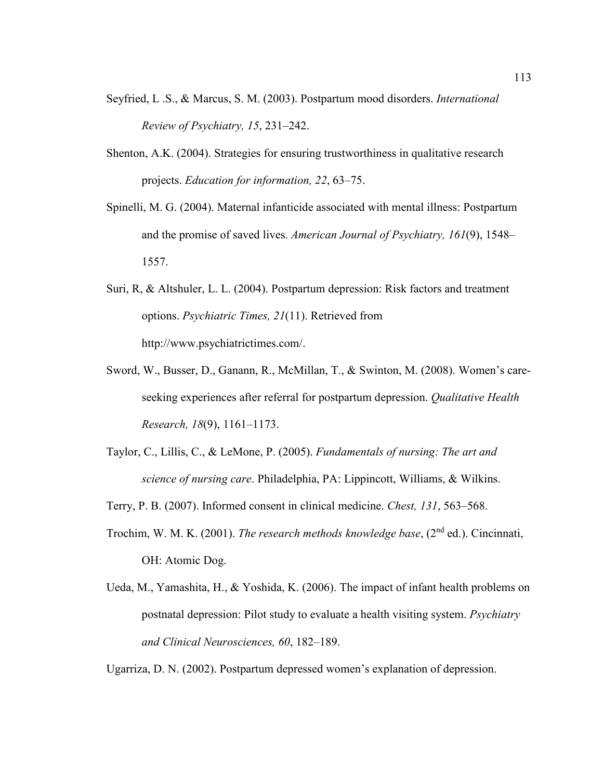- Seyfried, L .S., & Marcus, S. M. (2003). Postpartum mood disorders. *International Review of Psychiatry, 15*, 231–242.
- Shenton, A.K. (2004). Strategies for ensuring trustworthiness in qualitative research projects. *Education for information, 22*, 63–75.
- Spinelli, M. G. (2004). Maternal infanticide associated with mental illness: Postpartum and the promise of saved lives. *American Journal of Psychiatry, 161*(9), 1548– 1557.
- Suri, R, & Altshuler, L. L. (2004). Postpartum depression: Risk factors and treatment options. *Psychiatric Times, 21*(11). Retrieved from http://www.psychiatrictimes.com/.
- Sword, W., Busser, D., Ganann, R., McMillan, T., & Swinton, M. (2008). Women's careseeking experiences after referral for postpartum depression. *Qualitative Health Research, 18*(9), 1161–1173.
- Taylor, C., Lillis, C., & LeMone, P. (2005). *Fundamentals of nursing: The art and science of nursing care*. Philadelphia, PA: Lippincott, Williams, & Wilkins.

Terry, P. B. (2007). Informed consent in clinical medicine. *Chest, 131*, 563–568.

- Trochim, W. M. K. (2001). *The research methods knowledge base*, (2nd ed.). Cincinnati, OH: Atomic Dog.
- Ueda, M., Yamashita, H., & Yoshida, K. (2006). The impact of infant health problems on postnatal depression: Pilot study to evaluate a health visiting system. *Psychiatry and Clinical Neurosciences, 60*, 182–189.

Ugarriza, D. N. (2002). Postpartum depressed women's explanation of depression.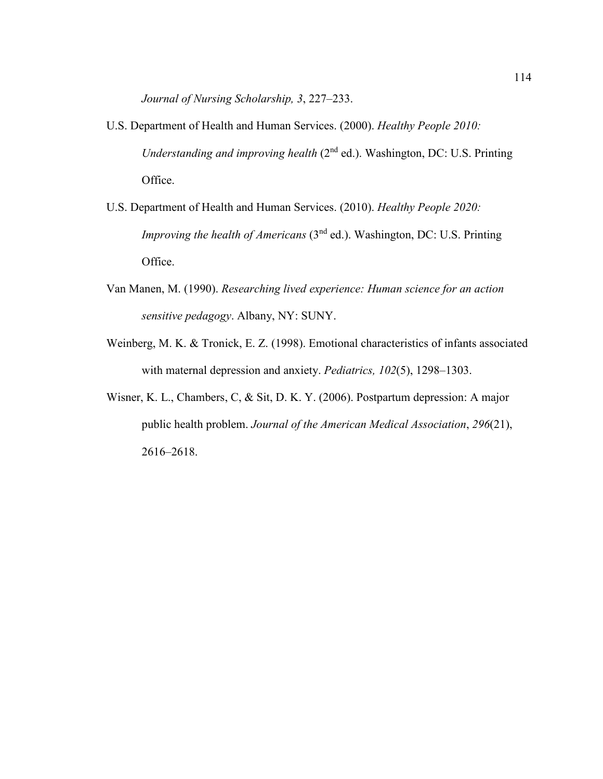*Journal of Nursing Scholarship, 3*, 227–233.

- U.S. Department of Health and Human Services. (2000). *Healthy People 2010: Understanding and improving health* (2<sup>nd</sup> ed.). Washington, DC: U.S. Printing Office.
- U.S. Department of Health and Human Services. (2010). *Healthy People 2020: Improving the health of Americans* (3<sup>nd</sup> ed.). Washington, DC: U.S. Printing Office.
- Van Manen, M. (1990). *Researching lived experience: Human science for an action sensitive pedagogy*. Albany, NY: SUNY.
- Weinberg, M. K. & Tronick, E. Z. (1998). Emotional characteristics of infants associated with maternal depression and anxiety. *Pediatrics, 102*(5), 1298–1303.
- Wisner, K. L., Chambers, C, & Sit, D. K. Y. (2006). Postpartum depression: A major public health problem. *Journal of the American Medical Association*, *296*(21), 2616–2618.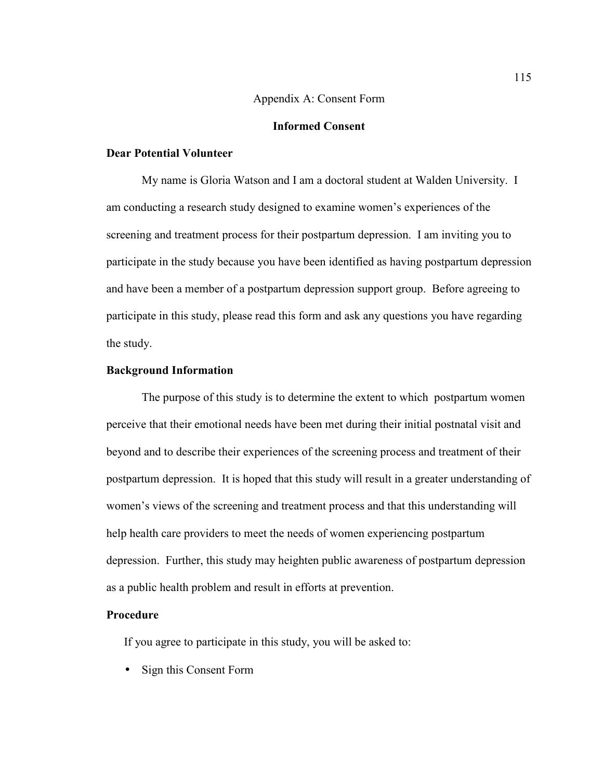#### Appendix A: Consent Form

# **Informed Consent**

## **Dear Potential Volunteer**

My name is Gloria Watson and I am a doctoral student at Walden University. I am conducting a research study designed to examine women's experiences of the screening and treatment process for their postpartum depression. I am inviting you to participate in the study because you have been identified as having postpartum depression and have been a member of a postpartum depression support group. Before agreeing to participate in this study, please read this form and ask any questions you have regarding the study.

### **Background Information**

The purpose of this study is to determine the extent to which postpartum women perceive that their emotional needs have been met during their initial postnatal visit and beyond and to describe their experiences of the screening process and treatment of their postpartum depression. It is hoped that this study will result in a greater understanding of women's views of the screening and treatment process and that this understanding will help health care providers to meet the needs of women experiencing postpartum depression. Further, this study may heighten public awareness of postpartum depression as a public health problem and result in efforts at prevention.

#### **Procedure**

If you agree to participate in this study, you will be asked to:

• Sign this Consent Form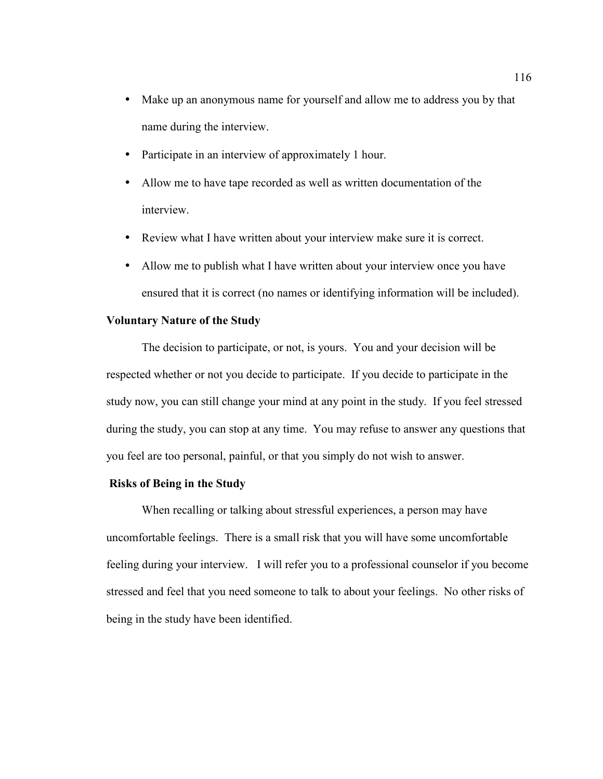- Make up an anonymous name for yourself and allow me to address you by that name during the interview.
- Participate in an interview of approximately 1 hour.
- Allow me to have tape recorded as well as written documentation of the interview.
- Review what I have written about your interview make sure it is correct.
- Allow me to publish what I have written about your interview once you have ensured that it is correct (no names or identifying information will be included).

# **Voluntary Nature of the Study**

The decision to participate, or not, is yours. You and your decision will be respected whether or not you decide to participate. If you decide to participate in the study now, you can still change your mind at any point in the study. If you feel stressed during the study, you can stop at any time. You may refuse to answer any questions that you feel are too personal, painful, or that you simply do not wish to answer.

## **Risks of Being in the Study**

When recalling or talking about stressful experiences, a person may have uncomfortable feelings. There is a small risk that you will have some uncomfortable feeling during your interview. I will refer you to a professional counselor if you become stressed and feel that you need someone to talk to about your feelings. No other risks of being in the study have been identified.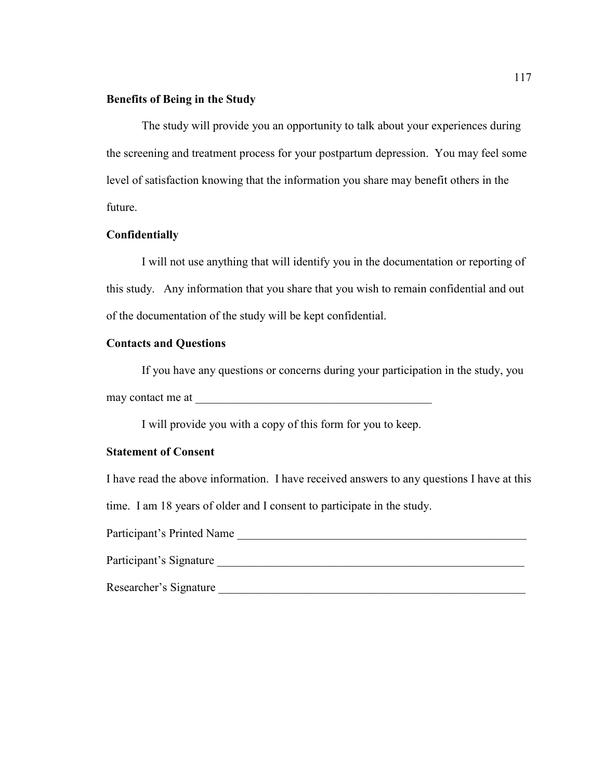## **Benefits of Being in the Study**

The study will provide you an opportunity to talk about your experiences during the screening and treatment process for your postpartum depression. You may feel some level of satisfaction knowing that the information you share may benefit others in the future.

## **Confidentially**

I will not use anything that will identify you in the documentation or reporting of this study. Any information that you share that you wish to remain confidential and out of the documentation of the study will be kept confidential.

# **Contacts and Questions**

If you have any questions or concerns during your participation in the study, you may contact me at  $\blacksquare$ 

I will provide you with a copy of this form for you to keep.

## **Statement of Consent**

I have read the above information. I have received answers to any questions I have at this

time. I am 18 years of older and I consent to participate in the study.

Participant's Printed Name

Participant's Signature

Researcher's Signature \_\_\_\_\_\_\_\_\_\_\_\_\_\_\_\_\_\_\_\_\_\_\_\_\_\_\_\_\_\_\_\_\_\_\_\_\_\_\_\_\_\_\_\_\_\_\_\_\_\_\_\_